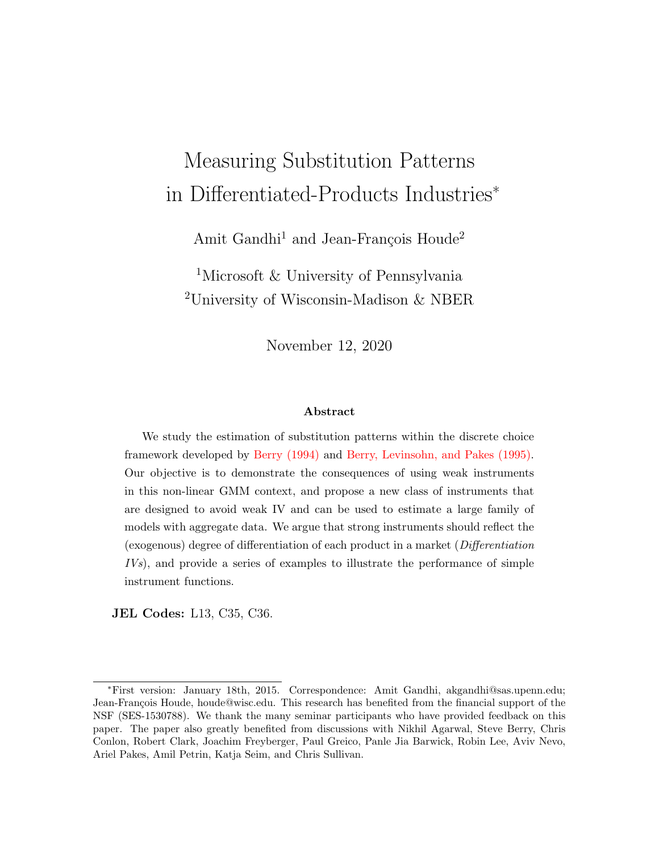# Measuring Substitution Patterns in Differentiated-Products Industries<sup>∗</sup>

Amit Gandhi<sup>1</sup> and Jean-François Houde<sup>2</sup>

<sup>1</sup>Microsoft & University of Pennsylvania <sup>2</sup>University of Wisconsin-Madison & NBER

November 12, 2020

#### Abstract

We study the estimation of substitution patterns within the discrete choice framework developed by [Berry \(1994\)](#page-51-0) and [Berry, Levinsohn, and Pakes \(1995\).](#page-51-1) Our objective is to demonstrate the consequences of using weak instruments in this non-linear GMM context, and propose a new class of instruments that are designed to avoid weak IV and can be used to estimate a large family of models with aggregate data. We argue that strong instruments should reflect the (exogenous) degree of differentiation of each product in a market (Differentiation IVs), and provide a series of examples to illustrate the performance of simple instrument functions.

JEL Codes: L13, C35, C36.

<sup>∗</sup>First version: January 18th, 2015. Correspondence: Amit Gandhi, akgandhi@sas.upenn.edu; Jean-François Houde, houde@wisc.edu. This research has benefited from the financial support of the NSF (SES-1530788). We thank the many seminar participants who have provided feedback on this paper. The paper also greatly benefited from discussions with Nikhil Agarwal, Steve Berry, Chris Conlon, Robert Clark, Joachim Freyberger, Paul Greico, Panle Jia Barwick, Robin Lee, Aviv Nevo, Ariel Pakes, Amil Petrin, Katja Seim, and Chris Sullivan.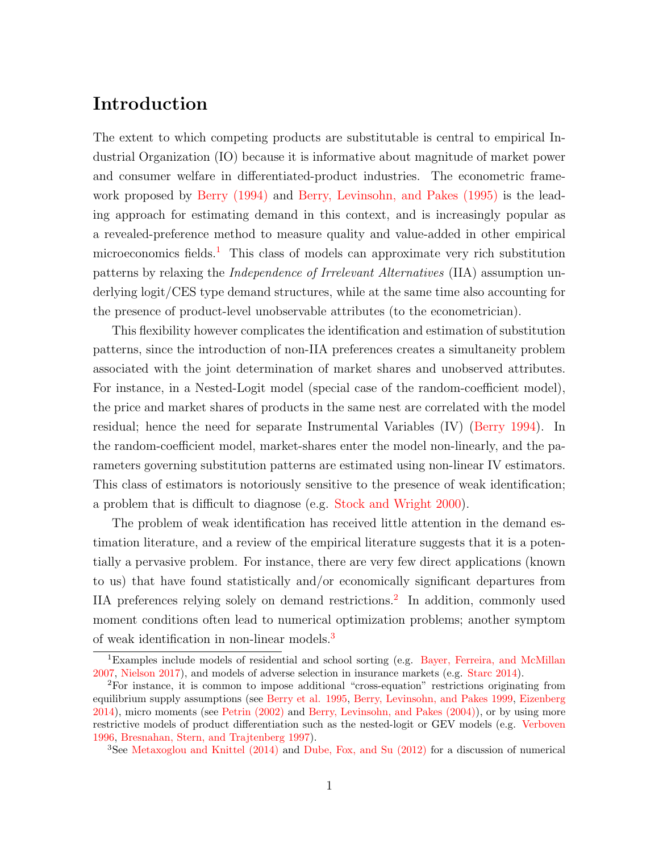# Introduction

The extent to which competing products are substitutable is central to empirical Industrial Organization (IO) because it is informative about magnitude of market power and consumer welfare in differentiated-product industries. The econometric framework proposed by [Berry \(1994\)](#page-51-0) and [Berry, Levinsohn, and Pakes \(1995\)](#page-51-1) is the leading approach for estimating demand in this context, and is increasingly popular as a revealed-preference method to measure quality and value-added in other empirical microeconomics fields.<sup>[1](#page-1-0)</sup> This class of models can approximate very rich substitution patterns by relaxing the Independence of Irrelevant Alternatives (IIA) assumption underlying logit/CES type demand structures, while at the same time also accounting for the presence of product-level unobservable attributes (to the econometrician).

This flexibility however complicates the identification and estimation of substitution patterns, since the introduction of non-IIA preferences creates a simultaneity problem associated with the joint determination of market shares and unobserved attributes. For instance, in a Nested-Logit model (special case of the random-coefficient model), the price and market shares of products in the same nest are correlated with the model residual; hence the need for separate Instrumental Variables (IV) [\(Berry 1994\)](#page-51-0). In the random-coefficient model, market-shares enter the model non-linearly, and the parameters governing substitution patterns are estimated using non-linear IV estimators. This class of estimators is notoriously sensitive to the presence of weak identification; a problem that is difficult to diagnose (e.g. [Stock and Wright 2000\)](#page-55-0).

The problem of weak identification has received little attention in the demand estimation literature, and a review of the empirical literature suggests that it is a potentially a pervasive problem. For instance, there are very few direct applications (known to us) that have found statistically and/or economically significant departures from IIA preferences relying solely on demand restrictions.<sup>[2](#page-1-1)</sup> In addition, commonly used moment conditions often lead to numerical optimization problems; another symptom of weak identification in non-linear models.[3](#page-1-2)

<span id="page-1-0"></span><sup>1</sup>Examples include models of residential and school sorting (e.g. [Bayer, Ferreira, and McMillan](#page-51-2) [2007,](#page-51-2) [Nielson 2017\)](#page-54-0), and models of adverse selection in insurance markets (e.g. [Starc 2014\)](#page-55-1).

<span id="page-1-1"></span><sup>2</sup>For instance, it is common to impose additional "cross-equation" restrictions originating from equilibrium supply assumptions (see [Berry et al. 1995,](#page-51-1) [Berry, Levinsohn, and Pakes 1999,](#page-52-0) [Eizenberg](#page-53-0) [2014\)](#page-53-0), micro moments (see [Petrin \(2002\)](#page-54-1) and [Berry, Levinsohn, and Pakes \(2004\)\)](#page-52-1), or by using more restrictive models of product differentiation such as the nested-logit or GEV models (e.g. [Verboven](#page-55-2) [1996,](#page-55-2) [Bresnahan, Stern, and Trajtenberg 1997\)](#page-52-2).

<span id="page-1-2"></span><sup>3</sup>See [Metaxoglou and Knittel \(2014\)](#page-53-1) and [Dube, Fox, and Su \(2012\)](#page-53-2) for a discussion of numerical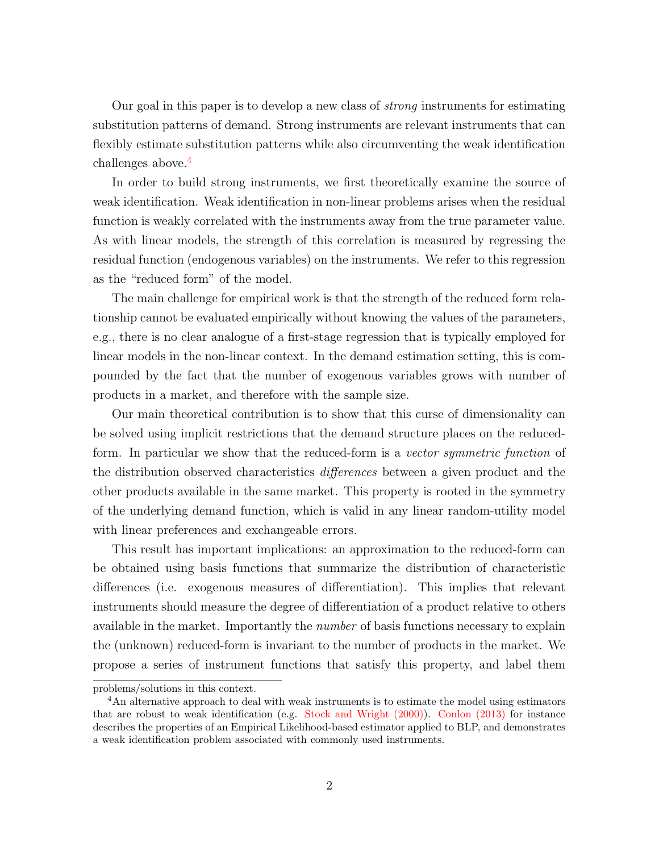Our goal in this paper is to develop a new class of strong instruments for estimating substitution patterns of demand. Strong instruments are relevant instruments that can flexibly estimate substitution patterns while also circumventing the weak identification challenges above.<sup>[4](#page-2-0)</sup>

In order to build strong instruments, we first theoretically examine the source of weak identification. Weak identification in non-linear problems arises when the residual function is weakly correlated with the instruments away from the true parameter value. As with linear models, the strength of this correlation is measured by regressing the residual function (endogenous variables) on the instruments. We refer to this regression as the "reduced form" of the model.

The main challenge for empirical work is that the strength of the reduced form relationship cannot be evaluated empirically without knowing the values of the parameters, e.g., there is no clear analogue of a first-stage regression that is typically employed for linear models in the non-linear context. In the demand estimation setting, this is compounded by the fact that the number of exogenous variables grows with number of products in a market, and therefore with the sample size.

Our main theoretical contribution is to show that this curse of dimensionality can be solved using implicit restrictions that the demand structure places on the reducedform. In particular we show that the reduced-form is a vector symmetric function of the distribution observed characteristics differences between a given product and the other products available in the same market. This property is rooted in the symmetry of the underlying demand function, which is valid in any linear random-utility model with linear preferences and exchangeable errors.

This result has important implications: an approximation to the reduced-form can be obtained using basis functions that summarize the distribution of characteristic differences (i.e. exogenous measures of differentiation). This implies that relevant instruments should measure the degree of differentiation of a product relative to others available in the market. Importantly the number of basis functions necessary to explain the (unknown) reduced-form is invariant to the number of products in the market. We propose a series of instrument functions that satisfy this property, and label them

problems/solutions in this context.

<span id="page-2-0"></span><sup>&</sup>lt;sup>4</sup>An alternative approach to deal with weak instruments is to estimate the model using estimators that are robust to weak identification (e.g. [Stock and Wright \(2000\)\)](#page-55-0). [Conlon \(2013\)](#page-52-3) for instance describes the properties of an Empirical Likelihood-based estimator applied to BLP, and demonstrates a weak identification problem associated with commonly used instruments.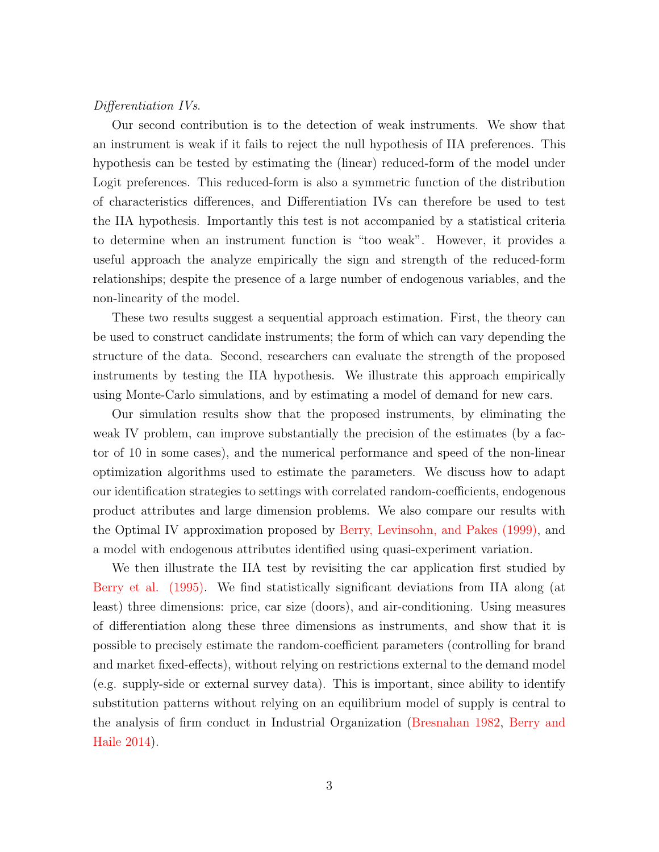#### Differentiation IVs.

Our second contribution is to the detection of weak instruments. We show that an instrument is weak if it fails to reject the null hypothesis of IIA preferences. This hypothesis can be tested by estimating the (linear) reduced-form of the model under Logit preferences. This reduced-form is also a symmetric function of the distribution of characteristics differences, and Differentiation IVs can therefore be used to test the IIA hypothesis. Importantly this test is not accompanied by a statistical criteria to determine when an instrument function is "too weak". However, it provides a useful approach the analyze empirically the sign and strength of the reduced-form relationships; despite the presence of a large number of endogenous variables, and the non-linearity of the model.

These two results suggest a sequential approach estimation. First, the theory can be used to construct candidate instruments; the form of which can vary depending the structure of the data. Second, researchers can evaluate the strength of the proposed instruments by testing the IIA hypothesis. We illustrate this approach empirically using Monte-Carlo simulations, and by estimating a model of demand for new cars.

Our simulation results show that the proposed instruments, by eliminating the weak IV problem, can improve substantially the precision of the estimates (by a factor of 10 in some cases), and the numerical performance and speed of the non-linear optimization algorithms used to estimate the parameters. We discuss how to adapt our identification strategies to settings with correlated random-coefficients, endogenous product attributes and large dimension problems. We also compare our results with the Optimal IV approximation proposed by [Berry, Levinsohn, and Pakes \(1999\),](#page-52-0) and a model with endogenous attributes identified using quasi-experiment variation.

We then illustrate the IIA test by revisiting the car application first studied by [Berry et al. \(1995\).](#page-51-1) We find statistically significant deviations from IIA along (at least) three dimensions: price, car size (doors), and air-conditioning. Using measures of differentiation along these three dimensions as instruments, and show that it is possible to precisely estimate the random-coefficient parameters (controlling for brand and market fixed-effects), without relying on restrictions external to the demand model (e.g. supply-side or external survey data). This is important, since ability to identify substitution patterns without relying on an equilibrium model of supply is central to the analysis of firm conduct in Industrial Organization [\(Bresnahan 1982,](#page-52-4) [Berry and](#page-52-5) [Haile 2014\)](#page-52-5).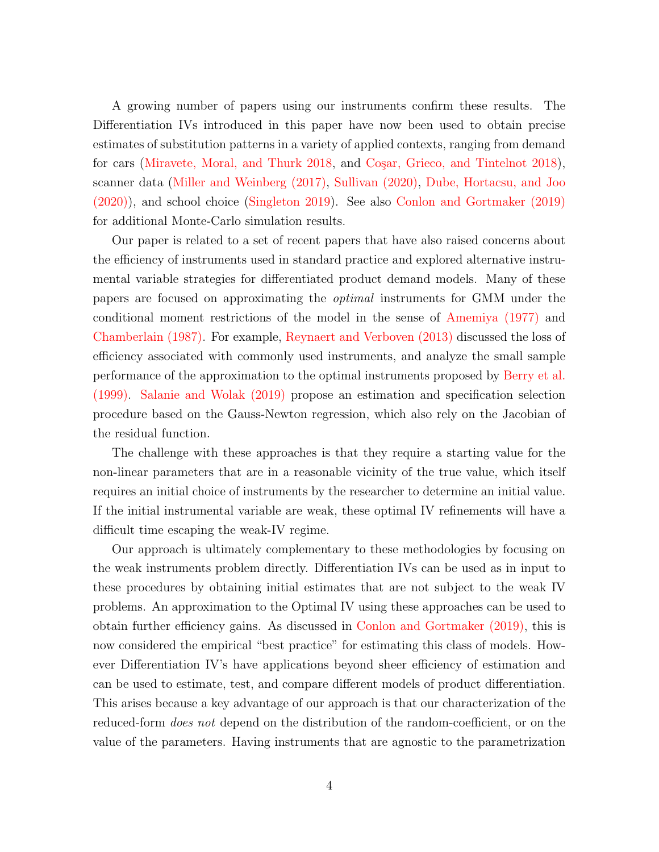A growing number of papers using our instruments confirm these results. The Differentiation IVs introduced in this paper have now been used to obtain precise estimates of substitution patterns in a variety of applied contexts, ranging from demand for cars [\(Miravete, Moral, and Thurk 2018,](#page-54-2) and Coşar, Grieco, and Tintelnot 2018), scanner data [\(Miller and Weinberg \(2017\),](#page-53-3) [Sullivan \(2020\),](#page-55-3) [Dube, Hortacsu, and Joo](#page-53-4) [\(2020\)\)](#page-53-4), and school choice [\(Singleton 2019\)](#page-54-3). See also [Conlon and Gortmaker \(2019\)](#page-52-7) for additional Monte-Carlo simulation results.

Our paper is related to a set of recent papers that have also raised concerns about the efficiency of instruments used in standard practice and explored alternative instrumental variable strategies for differentiated product demand models. Many of these papers are focused on approximating the optimal instruments for GMM under the conditional moment restrictions of the model in the sense of [Amemiya \(1977\)](#page-51-3) and [Chamberlain \(1987\).](#page-52-8) For example, [Reynaert and Verboven \(2013\)](#page-54-4) discussed the loss of efficiency associated with commonly used instruments, and analyze the small sample performance of the approximation to the optimal instruments proposed by [Berry et al.](#page-52-0) [\(1999\).](#page-52-0) [Salanie and Wolak \(2019\)](#page-54-5) propose an estimation and specification selection procedure based on the Gauss-Newton regression, which also rely on the Jacobian of the residual function.

The challenge with these approaches is that they require a starting value for the non-linear parameters that are in a reasonable vicinity of the true value, which itself requires an initial choice of instruments by the researcher to determine an initial value. If the initial instrumental variable are weak, these optimal IV refinements will have a difficult time escaping the weak-IV regime.

Our approach is ultimately complementary to these methodologies by focusing on the weak instruments problem directly. Differentiation IVs can be used as in input to these procedures by obtaining initial estimates that are not subject to the weak IV problems. An approximation to the Optimal IV using these approaches can be used to obtain further efficiency gains. As discussed in [Conlon and Gortmaker \(2019\),](#page-52-7) this is now considered the empirical "best practice" for estimating this class of models. However Differentiation IV's have applications beyond sheer efficiency of estimation and can be used to estimate, test, and compare different models of product differentiation. This arises because a key advantage of our approach is that our characterization of the reduced-form *does not* depend on the distribution of the random-coefficient, or on the value of the parameters. Having instruments that are agnostic to the parametrization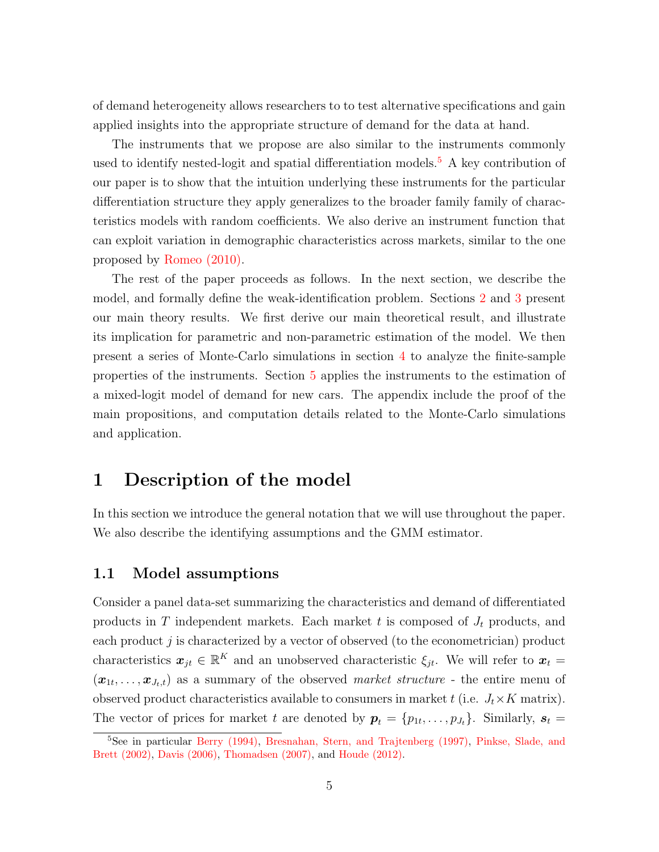of demand heterogeneity allows researchers to to test alternative specifications and gain applied insights into the appropriate structure of demand for the data at hand.

The instruments that we propose are also similar to the instruments commonly used to identify nested-logit and spatial differentiation models.<sup>[5](#page-5-0)</sup> A key contribution of our paper is to show that the intuition underlying these instruments for the particular differentiation structure they apply generalizes to the broader family family of characteristics models with random coefficients. We also derive an instrument function that can exploit variation in demographic characteristics across markets, similar to the one proposed by [Romeo \(2010\).](#page-54-6)

The rest of the paper proceeds as follows. In the next section, we describe the model, and formally define the weak-identification problem. Sections [2](#page-10-0) and [3](#page-19-0) present our main theory results. We first derive our main theoretical result, and illustrate its implication for parametric and non-parametric estimation of the model. We then present a series of Monte-Carlo simulations in section [4](#page-24-0) to analyze the finite-sample properties of the instruments. Section [5](#page-45-0) applies the instruments to the estimation of a mixed-logit model of demand for new cars. The appendix include the proof of the main propositions, and computation details related to the Monte-Carlo simulations and application.

### <span id="page-5-1"></span>1 Description of the model

In this section we introduce the general notation that we will use throughout the paper. We also describe the identifying assumptions and the GMM estimator.

### 1.1 Model assumptions

Consider a panel data-set summarizing the characteristics and demand of differentiated products in T independent markets. Each market t is composed of  $J_t$  products, and each product  $j$  is characterized by a vector of observed (to the econometrician) product characteristics  $x_{jt} \in \mathbb{R}^K$  and an unobserved characteristic  $\xi_{jt}$ . We will refer to  $x_t =$  $(\boldsymbol{x}_{1t},\ldots,\boldsymbol{x}_{J_t,t})$  as a summary of the observed *market structure* - the entire menu of observed product characteristics available to consumers in market t (i.e.  $J_t \times K$  matrix). The vector of prices for market t are denoted by  $p_t = \{p_{1t}, \ldots, p_{J_t}\}\.$  Similarly,  $s_t =$ 

<span id="page-5-0"></span><sup>5</sup>See in particular [Berry \(1994\),](#page-51-0) [Bresnahan, Stern, and Trajtenberg \(1997\),](#page-52-2) [Pinkse, Slade, and](#page-54-7) [Brett \(2002\),](#page-54-7) [Davis \(2006\),](#page-53-5) [Thomadsen \(2007\),](#page-55-4) and [Houde \(2012\).](#page-53-6)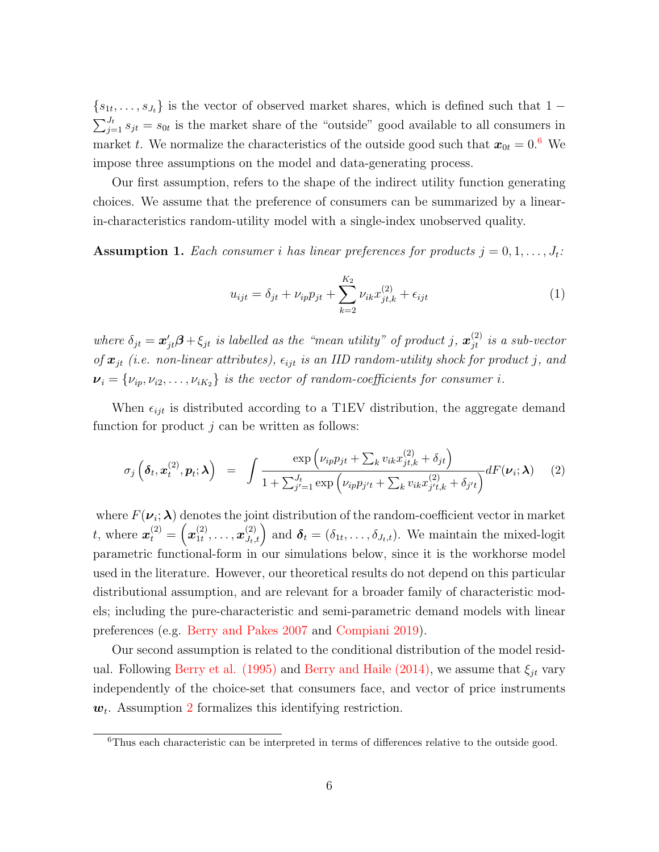${s<sub>1t</sub>,...,s<sub>J<sub>t</sub>}</sub>$  is the vector of observed market shares, which is defined such that 1 –  $\sum_{j=1}^{J_t} s_{jt} = s_{0t}$  is the market share of the "outside" good available to all consumers in market t. We normalize the characteristics of the outside good such that  $x_{0t} = 0.6$  $x_{0t} = 0.6$  We impose three assumptions on the model and data-generating process.

Our first assumption, refers to the shape of the indirect utility function generating choices. We assume that the preference of consumers can be summarized by a linearin-characteristics random-utility model with a single-index unobserved quality.

**Assumption 1.** Each consumer i has linear preferences for products  $j = 0, 1, \ldots, J_t$ :

$$
u_{ijt} = \delta_{jt} + \nu_{ip} p_{jt} + \sum_{k=2}^{K_2} \nu_{ik} x_{jt,k}^{(2)} + \epsilon_{ijt}
$$
 (1)

where  $\delta_{jt} = \bm{x}'_{jt}\bm{\beta} + \xi_{jt}$  is labelled as the "mean utility" of product j,  $\bm{x}^{(2)}_{jt}$  is a sub-vector of  $x_{jt}$  (i.e. non-linear attributes),  $\epsilon_{ijt}$  is an IID random-utility shock for product j, and  $v_i = \{v_{ip}, v_{i2}, \ldots, v_{iK_2}\}\$ is the vector of random-coefficients for consumer i.

When  $\epsilon_{ijt}$  is distributed according to a T1EV distribution, the aggregate demand function for product  $j$  can be written as follows:

$$
\sigma_j\left(\pmb{\delta}_t,\pmb{x}_t^{(2)},\pmb{p}_t;\pmb{\lambda}\right) = \int \frac{\exp\left(\nu_{ip}p_{jt} + \sum_k v_{ik}x_{jt,k}^{(2)} + \delta_{jt}\right)}{1 + \sum_{j'=1}^{J_t} \exp\left(\nu_{ip}p_{j't} + \sum_k v_{ik}x_{j't,k}^{(2)} + \delta_{j't}\right)} dF(\pmb{\nu}_i;\pmb{\lambda}) \tag{2}
$$

where  $F(\nu_i; \boldsymbol{\lambda})$  denotes the joint distribution of the random-coefficient vector in market *t*, where  $x_t^{(2)} = \left(x_{1t}^{(2)}\right)$  $\mathbf{I}_{1t}^{(2)}, \ldots, \mathbf{x}_{J_t,t}^{(2)}$  and  $\boldsymbol{\delta}_t = (\delta_{1t}, \ldots, \delta_{J_t,t}).$  We maintain the mixed-logit parametric functional-form in our simulations below, since it is the workhorse model used in the literature. However, our theoretical results do not depend on this particular distributional assumption, and are relevant for a broader family of characteristic models; including the pure-characteristic and semi-parametric demand models with linear preferences (e.g. [Berry and Pakes 2007](#page-52-9) and [Compiani 2019\)](#page-52-10).

Our second assumption is related to the conditional distribution of the model resid-ual. Following [Berry et al. \(1995\)](#page-51-1) and [Berry and Haile \(2014\),](#page-52-5) we assume that  $\xi_{it}$  vary independently of the choice-set that consumers face, and vector of price instruments  $w_t$ . Assumption [2](#page-7-0) formalizes this identifying restriction.

<span id="page-6-0"></span><sup>&</sup>lt;sup>6</sup>Thus each characteristic can be interpreted in terms of differences relative to the outside good.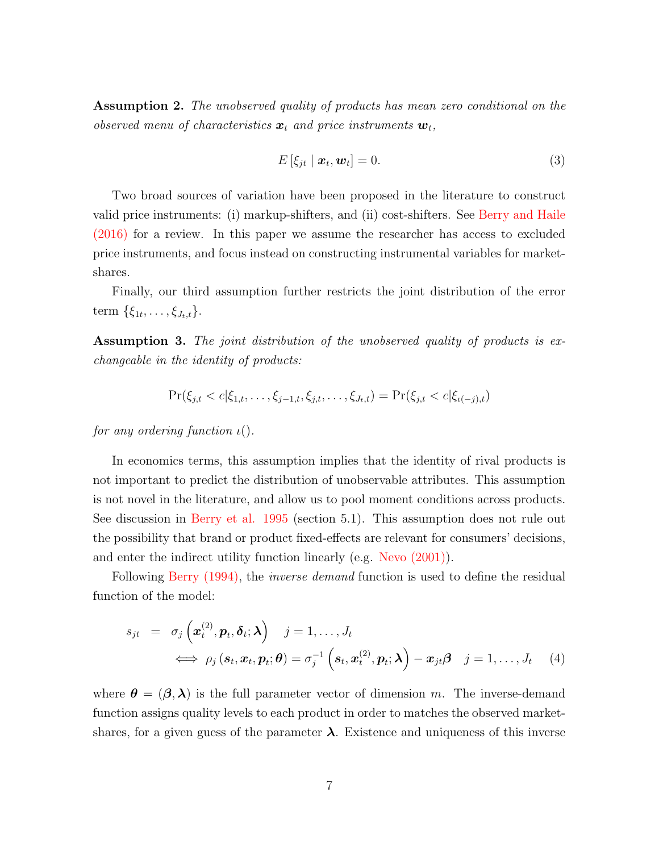<span id="page-7-0"></span>Assumption 2. The unobserved quality of products has mean zero conditional on the observed menu of characteristics  $\boldsymbol{x}_t$  and price instruments  $\boldsymbol{w}_t$ ,

$$
E\left[\xi_{jt} \mid \boldsymbol{x}_t, \boldsymbol{w}_t\right] = 0. \tag{3}
$$

Two broad sources of variation have been proposed in the literature to construct valid price instruments: (i) markup-shifters, and (ii) cost-shifters. See [Berry and Haile](#page-52-11) [\(2016\)](#page-52-11) for a review. In this paper we assume the researcher has access to excluded price instruments, and focus instead on constructing instrumental variables for marketshares.

Finally, our third assumption further restricts the joint distribution of the error term  $\{\xi_{1t},\ldots,\xi_{J_t,t}\}.$ 

<span id="page-7-1"></span>Assumption 3. The joint distribution of the unobserved quality of products is exchangeable in the identity of products:

$$
\Pr(\xi_{j,t} < c | \xi_{1,t}, \dots, \xi_{j-1,t}, \xi_{j,t}, \dots, \xi_{J_t,t}) = \Pr(\xi_{j,t} < c | \xi_{\iota(-j),t})
$$

for any ordering function  $\iota$ .

In economics terms, this assumption implies that the identity of rival products is not important to predict the distribution of unobservable attributes. This assumption is not novel in the literature, and allow us to pool moment conditions across products. See discussion in [Berry et al. 1995](#page-51-1) (section 5.1). This assumption does not rule out the possibility that brand or product fixed-effects are relevant for consumers' decisions, and enter the indirect utility function linearly (e.g. [Nevo \(2001\)\)](#page-54-8).

Following [Berry \(1994\),](#page-51-0) the *inverse demand* function is used to define the residual function of the model:

$$
s_{jt} = \sigma_j\left(\mathbf{x}_t^{(2)}, \mathbf{p}_t, \boldsymbol{\delta}_t; \boldsymbol{\lambda}\right) \quad j = 1, \dots, J_t
$$
  

$$
\iff \rho_j\left(\mathbf{s}_t, \mathbf{x}_t, \mathbf{p}_t; \boldsymbol{\theta}\right) = \sigma_j^{-1}\left(\mathbf{s}_t, \mathbf{x}_t^{(2)}, \mathbf{p}_t; \boldsymbol{\lambda}\right) - \mathbf{x}_{jt} \boldsymbol{\beta} \quad j = 1, \dots, J_t \quad (4)
$$

where  $\theta = (\beta, \lambda)$  is the full parameter vector of dimension m. The inverse-demand function assigns quality levels to each product in order to matches the observed marketshares, for a given guess of the parameter  $\lambda$ . Existence and uniqueness of this inverse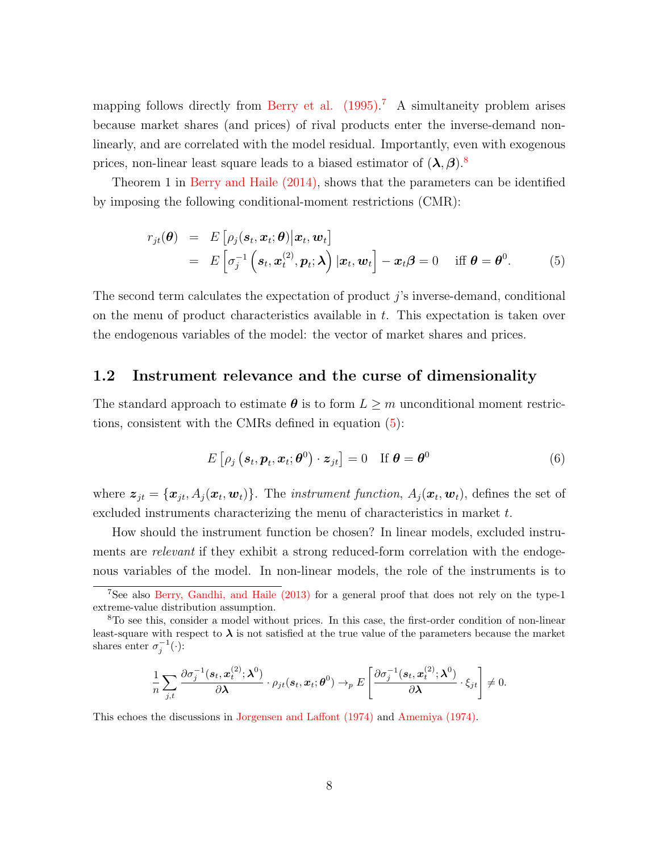mapping follows directly from Berry et al.  $(1995)^{7}$  $(1995)^{7}$  $(1995)^{7}$  A simultaneity problem arises because market shares (and prices) of rival products enter the inverse-demand nonlinearly, and are correlated with the model residual. Importantly, even with exogenous prices, non-linear least square leads to a biased estimator of  $(\lambda, \beta)$ .<sup>[8](#page-8-1)</sup>

Theorem 1 in [Berry and Haile \(2014\),](#page-52-5) shows that the parameters can be identified by imposing the following conditional-moment restrictions (CMR):

<span id="page-8-2"></span>
$$
r_{jt}(\boldsymbol{\theta}) = E\left[\rho_j(\boldsymbol{s}_t, \boldsymbol{x}_t; \boldsymbol{\theta}) \big| \boldsymbol{x}_t, \boldsymbol{w}_t\right]
$$
  
=  $E\left[\sigma_j^{-1}\left(\boldsymbol{s}_t, \boldsymbol{x}_t^{(2)}, \boldsymbol{p}_t; \boldsymbol{\lambda}\right) | \boldsymbol{x}_t, \boldsymbol{w}_t\right] - \boldsymbol{x}_t \boldsymbol{\beta} = 0 \quad \text{iff } \boldsymbol{\theta} = \boldsymbol{\theta}^0.$  (5)

The second term calculates the expectation of product j's inverse-demand, conditional on the menu of product characteristics available in t. This expectation is taken over the endogenous variables of the model: the vector of market shares and prices.

#### <span id="page-8-3"></span>1.2 Instrument relevance and the curse of dimensionality

The standard approach to estimate  $\theta$  is to form  $L \geq m$  unconditional moment restrictions, consistent with the CMRs defined in equation [\(5\)](#page-8-2):

<span id="page-8-4"></span>
$$
E\left[\rho_j\left(\mathbf{s}_t, \mathbf{p}_t, \mathbf{x}_t; \boldsymbol{\theta}^0\right) \cdot \mathbf{z}_{jt}\right] = 0 \quad \text{If } \boldsymbol{\theta} = \boldsymbol{\theta}^0 \tag{6}
$$

where  $\bm{z}_{jt} = \{\bm{x}_{jt}, A_j(\bm{x}_t, \bm{w}_t)\}$ . The *instrument function*,  $A_j(\bm{x}_t, \bm{w}_t)$ , defines the set of excluded instruments characterizing the menu of characteristics in market t.

How should the instrument function be chosen? In linear models, excluded instruments are *relevant* if they exhibit a strong reduced-form correlation with the endogenous variables of the model. In non-linear models, the role of the instruments is to

$$
\frac{1}{n}\sum_{j,t}\frac{\partial \sigma_j^{-1}(\boldsymbol{s}_t,\boldsymbol{x}_t^{(2)};\boldsymbol{\lambda}^0)}{\partial \boldsymbol{\lambda}}\cdot \rho_{jt}(\boldsymbol{s}_t,\boldsymbol{x}_t;\boldsymbol{\theta}^0)\rightarrow_{p} E\left[\frac{\partial \sigma_j^{-1}(\boldsymbol{s}_t,\boldsymbol{x}_t^{(2)};\boldsymbol{\lambda}^0)}{\partial \boldsymbol{\lambda}}\cdot \xi_{jt}\right]\neq 0.
$$

This echoes the discussions in [Jorgensen and Laffont \(1974\)](#page-53-7) and [Amemiya \(1974\).](#page-51-4)

<span id="page-8-0"></span><sup>7</sup>See also [Berry, Gandhi, and Haile \(2013\)](#page-52-12) for a general proof that does not rely on the type-1 extreme-value distribution assumption.

<span id="page-8-1"></span><sup>8</sup>To see this, consider a model without prices. In this case, the first-order condition of non-linear least-square with respect to  $\lambda$  is not satisfied at the true value of the parameters because the market shares enter  $\sigma_j^{-1}(\cdot)$ :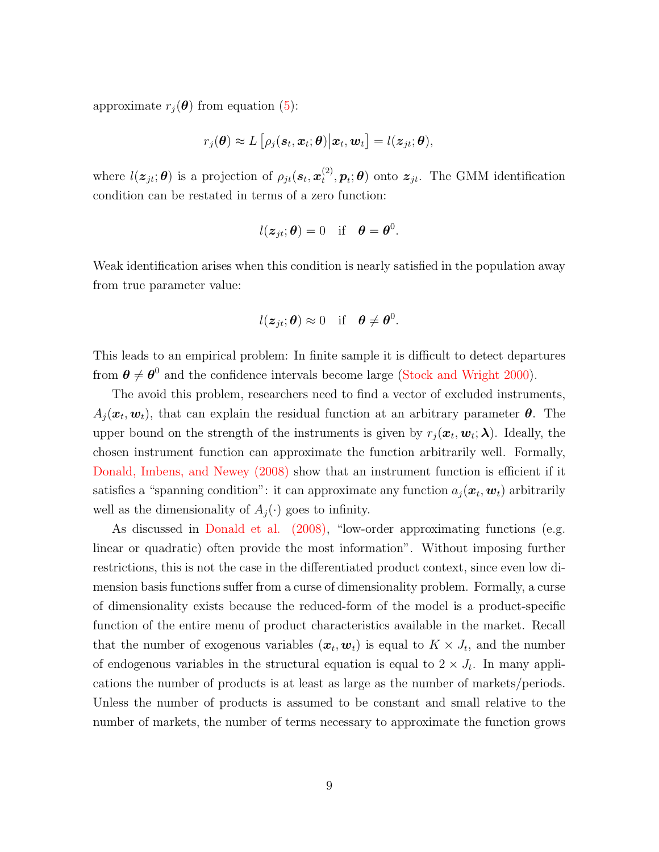approximate  $r_i(\boldsymbol{\theta})$  from equation [\(5\)](#page-8-2):

$$
r_j(\boldsymbol{\theta}) \approx L\left[\rho_j(\boldsymbol{s}_t,\boldsymbol{x}_t;\boldsymbol{\theta})\big|\boldsymbol{x}_t,\boldsymbol{w}_t\right] = l(\boldsymbol{z}_{jt};\boldsymbol{\theta}),
$$

where  $l(\boldsymbol{z}_{jt}; \boldsymbol{\theta})$  is a projection of  $\rho_{jt}(\boldsymbol{s}_t, \boldsymbol{x}_t^{(2)})$  $(t^{(2)}_t, p_t; \theta)$  onto  $z_{jt}$ . The GMM identification condition can be restated in terms of a zero function:

$$
l(z_{jt}; \theta) = 0
$$
 if  $\theta = \theta^0$ .

Weak identification arises when this condition is nearly satisfied in the population away from true parameter value:

$$
l(z_{jt}; \theta) \approx 0
$$
 if  $\theta \neq \theta^0$ .

This leads to an empirical problem: In finite sample it is difficult to detect departures from  $\theta \neq \theta^0$  and the confidence intervals become large [\(Stock and Wright 2000\)](#page-55-0).

The avoid this problem, researchers need to find a vector of excluded instruments,  $A_j(\boldsymbol{x}_t, \boldsymbol{w}_t)$ , that can explain the residual function at an arbitrary parameter  $\boldsymbol{\theta}$ . The upper bound on the strength of the instruments is given by  $r_j(\boldsymbol{x}_t, \boldsymbol{w}_t; \boldsymbol{\lambda})$ . Ideally, the chosen instrument function can approximate the function arbitrarily well. Formally, [Donald, Imbens, and Newey \(2008\)](#page-53-8) show that an instrument function is efficient if it satisfies a "spanning condition": it can approximate any function  $a_j(\boldsymbol{x}_t, \boldsymbol{w}_t)$  arbitrarily well as the dimensionality of  $A_i(\cdot)$  goes to infinity.

As discussed in [Donald et al. \(2008\),](#page-53-8) "low-order approximating functions (e.g. linear or quadratic) often provide the most information". Without imposing further restrictions, this is not the case in the differentiated product context, since even low dimension basis functions suffer from a curse of dimensionality problem. Formally, a curse of dimensionality exists because the reduced-form of the model is a product-specific function of the entire menu of product characteristics available in the market. Recall that the number of exogenous variables  $(\boldsymbol{x}_t, \boldsymbol{w}_t)$  is equal to  $K \times J_t$ , and the number of endogenous variables in the structural equation is equal to  $2 \times J_t$ . In many applications the number of products is at least as large as the number of markets/periods. Unless the number of products is assumed to be constant and small relative to the number of markets, the number of terms necessary to approximate the function grows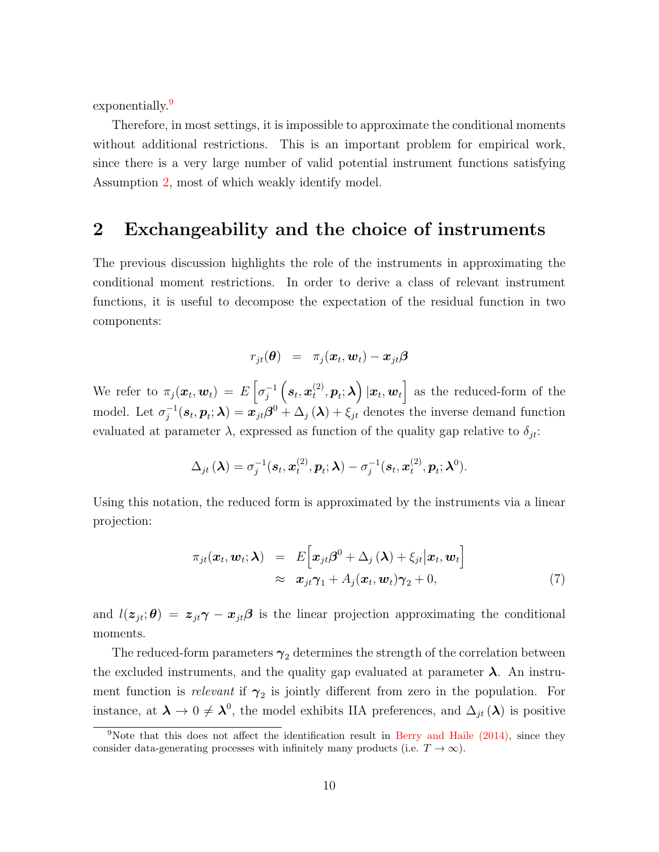exponentially.<sup>[9](#page-10-1)</sup>

Therefore, in most settings, it is impossible to approximate the conditional moments without additional restrictions. This is an important problem for empirical work, since there is a very large number of valid potential instrument functions satisfying Assumption [2,](#page-7-0) most of which weakly identify model.

# <span id="page-10-0"></span>2 Exchangeability and the choice of instruments

The previous discussion highlights the role of the instruments in approximating the conditional moment restrictions. In order to derive a class of relevant instrument functions, it is useful to decompose the expectation of the residual function in two components:

$$
r_{jt}(\boldsymbol{\theta})\ \ =\ \ \pi_j(\boldsymbol{x}_t, \boldsymbol{w}_t) - \boldsymbol{x}_{jt}\boldsymbol{\beta}
$$

We refer to  $\pi_j(\boldsymbol{x}_t, \boldsymbol{w}_t) = E\left[\sigma_j^{-1}\right]$  $\overline{j}^{-1}\left(\boldsymbol{s}_t,\boldsymbol{x}_t^{(2)}\right)$  $\left( \mathbf{x}^{(2)}, \mathbf{p}_t; \boldsymbol{\lambda} \right) | \mathbf{x}_t, \mathbf{w}_t \right]$  as the reduced-form of the model. Let  $\sigma_i^{-1}$  $j_j^{-1}(\bm{s}_t, \bm{p}_t; \bm{\lambda}) = \bm{x}_{jt} \bm{\beta}^0 + \Delta_j(\bm{\lambda}) + \xi_{jt}$  denotes the inverse demand function evaluated at parameter  $\lambda$ , expressed as function of the quality gap relative to  $\delta_{it}$ :

$$
\Delta_{jt}(\boldsymbol{\lambda}) = \sigma_j^{-1}(\boldsymbol{s}_t, \boldsymbol{x}_t^{(2)}, \boldsymbol{p}_t; \boldsymbol{\lambda}) - \sigma_j^{-1}(\boldsymbol{s}_t, \boldsymbol{x}_t^{(2)}, \boldsymbol{p}_t; \boldsymbol{\lambda}^0).
$$

Using this notation, the reduced form is approximated by the instruments via a linear projection:

$$
\pi_{jt}(\boldsymbol{x}_t, \boldsymbol{w}_t; \boldsymbol{\lambda}) = E\big[\boldsymbol{x}_{jt}\boldsymbol{\beta}^0 + \Delta_j(\boldsymbol{\lambda}) + \xi_{jt}|\boldsymbol{x}_t, \boldsymbol{w}_t\big] \n\approx \boldsymbol{x}_{jt}\boldsymbol{\gamma}_1 + A_j(\boldsymbol{x}_t, \boldsymbol{w}_t)\boldsymbol{\gamma}_2 + 0,
$$
\n(7)

and  $l(z_{jt}; \theta) = z_{jt}\gamma - x_{jt}\beta$  is the linear projection approximating the conditional moments.

The reduced-form parameters  $\gamma_2$  determines the strength of the correlation between the excluded instruments, and the quality gap evaluated at parameter  $\lambda$ . An instrument function is *relevant* if  $\gamma_2$  is jointly different from zero in the population. For instance, at  $\lambda \to 0 \neq \lambda^0$ , the model exhibits IIA preferences, and  $\Delta_{jt}(\lambda)$  is positive

<span id="page-10-1"></span><sup>9</sup>Note that this does not affect the identification result in [Berry and Haile \(2014\),](#page-52-5) since they consider data-generating processes with infinitely many products (i.e.  $T \to \infty$ ).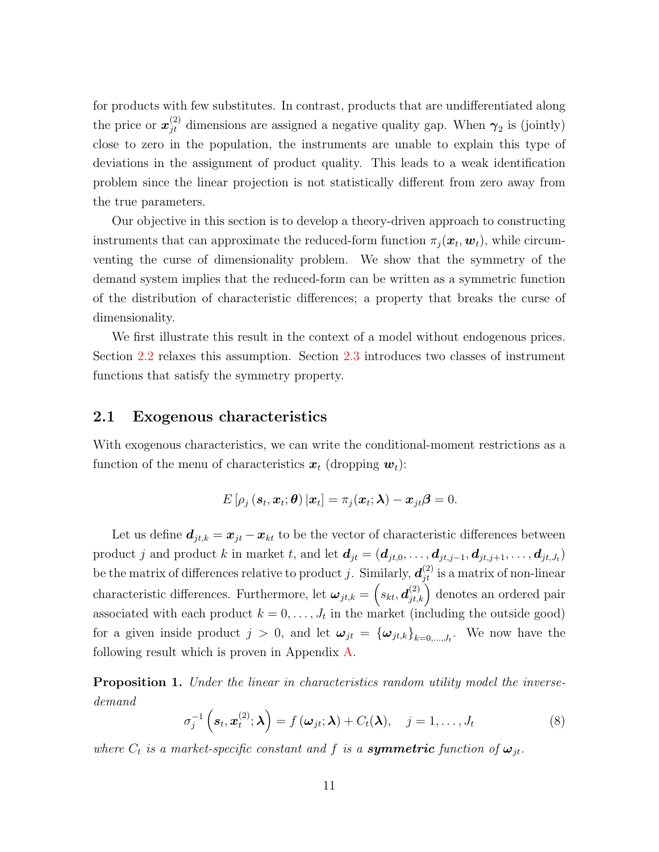for products with few substitutes. In contrast, products that are undifferentiated along the price or  $x_{jt}^{(2)}$  dimensions are assigned a negative quality gap. When  $\gamma_2$  is (jointly) close to zero in the population, the instruments are unable to explain this type of deviations in the assignment of product quality. This leads to a weak identification problem since the linear projection is not statistically different from zero away from the true parameters.

Our objective in this section is to develop a theory-driven approach to constructing instruments that can approximate the reduced-form function  $\pi_j(\bm{x}_t, \bm{w}_t)$ , while circumventing the curse of dimensionality problem. We show that the symmetry of the demand system implies that the reduced-form can be written as a symmetric function of the distribution of characteristic differences; a property that breaks the curse of dimensionality.

We first illustrate this result in the context of a model without endogenous prices. Section [2.2](#page-15-0) relaxes this assumption. Section [2.3](#page-16-0) introduces two classes of instrument functions that satisfy the symmetry property.

#### 2.1 Exogenous characteristics

With exogenous characteristics, we can write the conditional-moment restrictions as a function of the menu of characteristics  $x_t$  (dropping  $w_t$ ):

$$
E\left[\rho_j\left(\boldsymbol{s}_t,\boldsymbol{x}_t;\boldsymbol{\theta}\right)|\boldsymbol{x}_t\right]=\pi_j(\boldsymbol{x}_t;\boldsymbol{\lambda})-\boldsymbol{x}_{jt}\boldsymbol{\beta}=0.
$$

Let us define  $d_{jt,k} = x_{jt} - x_{kt}$  to be the vector of characteristic differences between product j and product k in market t, and let  $d_{jt} = (d_{jt,0}, \ldots, d_{jt,j-1}, d_{jt,j+1}, \ldots, d_{jt,J_t})$ be the matrix of differences relative to product j. Similarly,  $d_{jt}^{(2)}$  is a matrix of non-linear characteristic differences. Furthermore, let  $\omega_{jt,k} = (s_{kt}, d_{jt,k}^{(2)})$  denotes an ordered pair associated with each product  $k = 0, \ldots, J_t$  in the market (including the outside good) for a given inside product  $j > 0$ , and let  $\boldsymbol{\omega}_{jt} = {\{\boldsymbol{\omega}_{jt,k}\}}_{k=0,\dots,J_t}$ . We now have the following result which is proven in Appendix [A.](#page-56-0)

<span id="page-11-1"></span>**Proposition 1.** Under the linear in characteristics random utility model the inversedemand

<span id="page-11-0"></span>
$$
\sigma_j^{-1}\left(\mathbf{s}_t, \mathbf{x}_t^{(2)}; \boldsymbol{\lambda}\right) = f\left(\boldsymbol{\omega}_{jt}; \boldsymbol{\lambda}\right) + C_t(\boldsymbol{\lambda}), \quad j = 1, \ldots, J_t \tag{8}
$$

where  $C_t$  is a market-specific constant and f is a **symmetric** function of  $\omega_{jt}$ .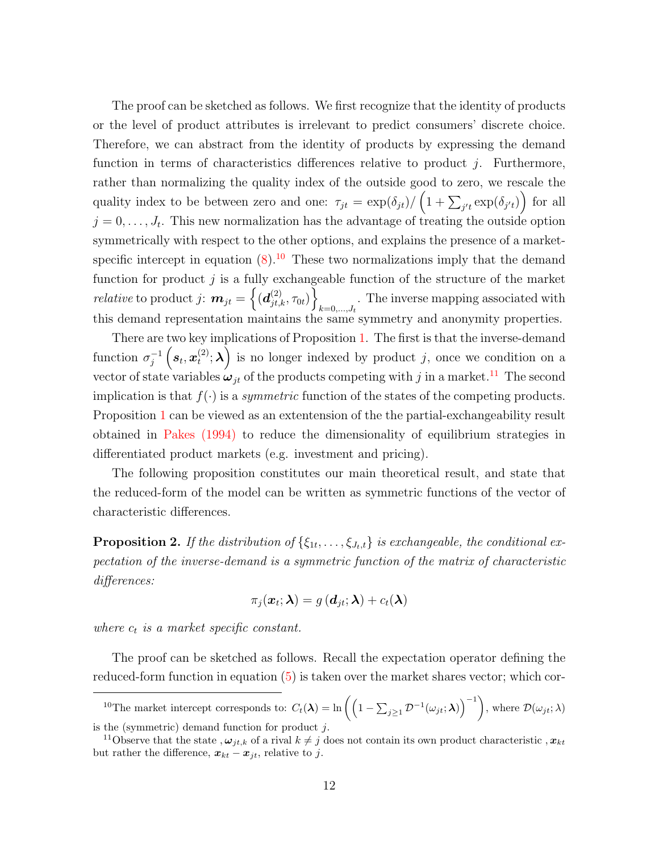The proof can be sketched as follows. We first recognize that the identity of products or the level of product attributes is irrelevant to predict consumers' discrete choice. Therefore, we can abstract from the identity of products by expressing the demand function in terms of characteristics differences relative to product  $j$ . Furthermore, rather than normalizing the quality index of the outside good to zero, we rescale the quality index to be between zero and one:  $\tau_{jt} = \exp(\delta_{jt}) / (1 + \sum_{j't} \exp(\delta_{j't}))$  for all  $j = 0, \ldots, J_t$ . This new normalization has the advantage of treating the outside option symmetrically with respect to the other options, and explains the presence of a marketspecific intercept in equation  $(8)$ .<sup>[10](#page-12-0)</sup> These two normalizations imply that the demand function for product  $j$  is a fully exchangeable function of the structure of the market  $\textit{relative} \text{ to product } j \colon \bm{m}_{jt} = \left\{(\bm{d}_{jt,k}^{(2)}, \tau_{0t})\right\}$ . The inverse mapping associated with  $k=0,\ldots,J_t$ this demand representation maintains the same symmetry and anonymity properties.

There are two key implications of Proposition [1.](#page-11-1) The first is that the inverse-demand function  $\sigma_i^{-1}$  $\frac{1}{j}^{-1}\left(\boldsymbol{s}_t,\boldsymbol{x}_t^{(2)}\right)$  $\mathbf{t}^{(2)}$ ;  $\lambda$ ) is no longer indexed by product j, once we condition on a vector of state variables  $\omega_{jt}$  of the products competing with j in a market.<sup>[11](#page-12-1)</sup> The second implication is that  $f(\cdot)$  is a *symmetric* function of the states of the competing products. Proposition [1](#page-11-1) can be viewed as an extentension of the the partial-exchangeability result obtained in [Pakes \(1994\)](#page-54-9) to reduce the dimensionality of equilibrium strategies in differentiated product markets (e.g. investment and pricing).

The following proposition constitutes our main theoretical result, and state that the reduced-form of the model can be written as symmetric functions of the vector of characteristic differences.

<span id="page-12-2"></span>**Proposition 2.** If the distribution of  $\{\xi_{1t}, \ldots, \xi_{J_t,t}\}$  is exchangeable, the conditional expectation of the inverse-demand is a symmetric function of the matrix of characteristic differences:

$$
\pi_j(\boldsymbol{x}_t; \boldsymbol{\lambda}) = g\left(\boldsymbol{d}_{jt}; \boldsymbol{\lambda}\right) + c_t(\boldsymbol{\lambda})
$$

where  $c_t$  is a market specific constant.

The proof can be sketched as follows. Recall the expectation operator defining the reduced-form function in equation [\(5\)](#page-8-2) is taken over the market shares vector; which cor-

<span id="page-12-0"></span><sup>10</sup>The market intercept corresponds to:  $C_t(\lambda) = \ln\left(\left(1 - \sum_{j\geq 1} \mathcal{D}^{-1}(\omega_{jt}; \lambda)\right)^{-1}\right)$ , where  $\mathcal{D}(\omega_{jt}; \lambda)$ is the (symmetric) demand function for product  $j$ .

<span id="page-12-1"></span><sup>&</sup>lt;sup>11</sup>Observe that the state,  $\omega_{it,k}$  of a rival  $k \neq j$  does not contain its own product characteristic,  $x_{kt}$ but rather the difference,  $x_{kt} - x_{it}$ , relative to j.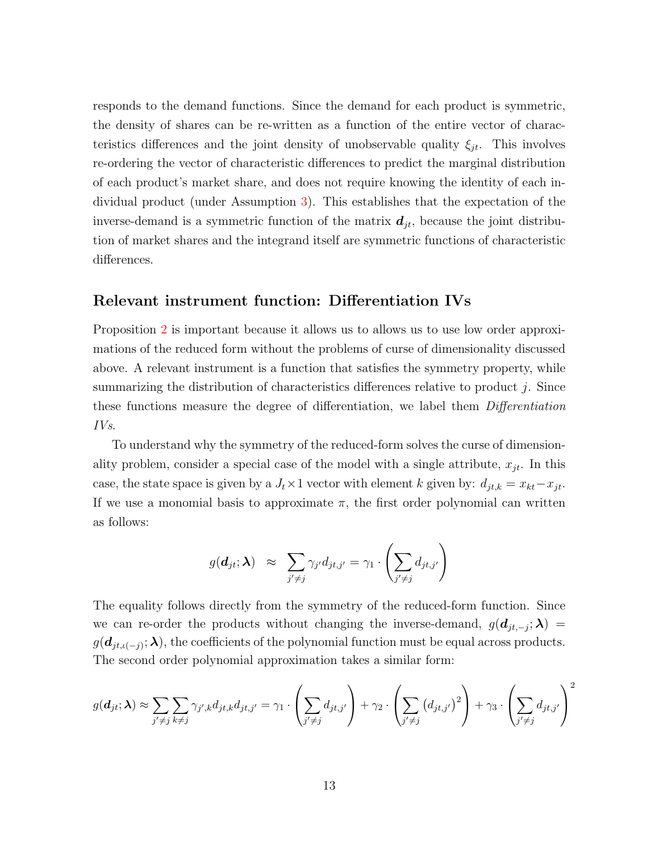responds to the demand functions. Since the demand for each product is symmetric, the density of shares can be re-written as a function of the entire vector of characteristics differences and the joint density of unobservable quality  $\xi_{jt}$ . This involves re-ordering the vector of characteristic differences to predict the marginal distribution of each product's market share, and does not require knowing the identity of each individual product (under Assumption [3\)](#page-7-1). This establishes that the expectation of the inverse-demand is a symmetric function of the matrix  $d_{jt}$ , because the joint distribution of market shares and the integrand itself are symmetric functions of characteristic differences.

### Relevant instrument function: Differentiation IVs

Proposition [2](#page-12-2) is important because it allows us to allows us to use low order approximations of the reduced form without the problems of curse of dimensionality discussed above. A relevant instrument is a function that satisfies the symmetry property, while summarizing the distribution of characteristics differences relative to product  $j$ . Since these functions measure the degree of differentiation, we label them Differentiation IVs.

To understand why the symmetry of the reduced-form solves the curse of dimensionality problem, consider a special case of the model with a single attribute,  $x_{jt}$ . In this case, the state space is given by a  $J_t \times 1$  vector with element k given by:  $d_{jt,k} = x_{kt} - x_{jt}$ . If we use a monomial basis to approximate  $\pi$ , the first order polynomial can written as follows:

$$
g(\boldsymbol{d}_{jt}; \boldsymbol{\lambda}) \approx \sum_{j' \neq j} \gamma_{j'} d_{jt,j'} = \gamma_1 \cdot \left( \sum_{j' \neq j} d_{jt,j'} \right)
$$

The equality follows directly from the symmetry of the reduced-form function. Since we can re-order the products without changing the inverse-demand,  $g(d_{jt,-j};\lambda)$  $g(d_{jt,\iota(-j)}; \boldsymbol{\lambda})$ , the coefficients of the polynomial function must be equal across products. The second order polynomial approximation takes a similar form:

$$
g(\boldsymbol{d}_{jt};\boldsymbol{\lambda}) \approx \sum_{j'\neq j} \sum_{k\neq j} \gamma_{j',k} d_{jt,k} d_{jt,j'} = \gamma_1 \cdot \left(\sum_{j'\neq j} d_{jt,j'}\right) + \gamma_2 \cdot \left(\sum_{j'\neq j} (d_{jt,j'})^2\right) + \gamma_3 \cdot \left(\sum_{j'\neq j} d_{jt,j'}\right)^2
$$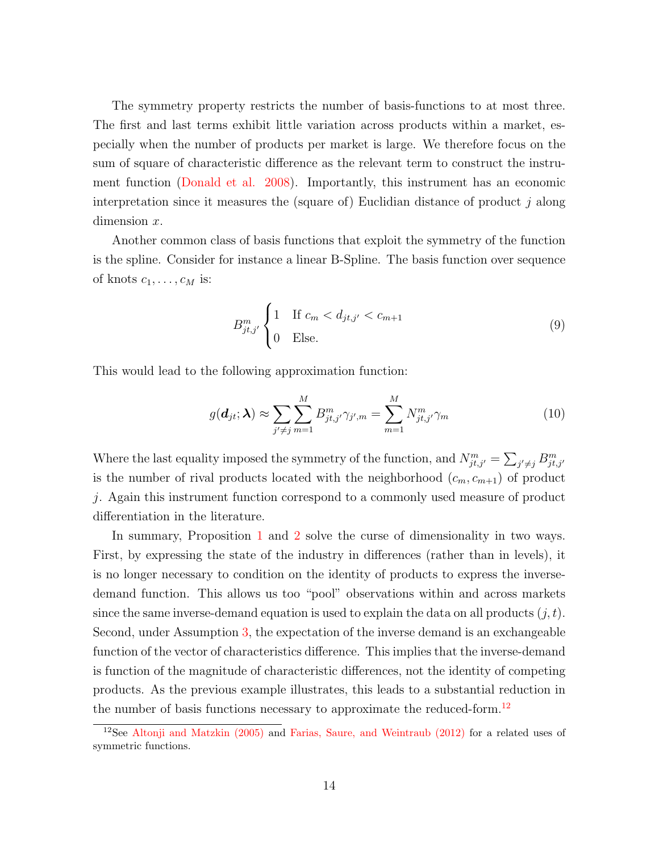The symmetry property restricts the number of basis-functions to at most three. The first and last terms exhibit little variation across products within a market, especially when the number of products per market is large. We therefore focus on the sum of square of characteristic difference as the relevant term to construct the instrument function [\(Donald et al. 2008\)](#page-53-8). Importantly, this instrument has an economic interpretation since it measures the (square of) Euclidian distance of product  $j$  along dimension x.

Another common class of basis functions that exploit the symmetry of the function is the spline. Consider for instance a linear B-Spline. The basis function over sequence of knots  $c_1, \ldots, c_M$  is:

$$
B_{jt,j'}^m \begin{cases} 1 & \text{If } c_m < d_{jt,j'} < c_{m+1} \\ 0 & \text{Else.} \end{cases} \tag{9}
$$

This would lead to the following approximation function:

$$
g(\boldsymbol{d}_{jt}; \boldsymbol{\lambda}) \approx \sum_{j' \neq j} \sum_{m=1}^{M} B^{m}_{jt, j'} \gamma_{j', m} = \sum_{m=1}^{M} N^{m}_{jt, j'} \gamma_m
$$
\n(10)

Where the last equality imposed the symmetry of the function, and  $N_{jt,j'}^m = \sum_{j' \neq j} B_{jt,j'}^m$ is the number of rival products located with the neighborhood  $(c_m, c_{m+1})$  of product j. Again this instrument function correspond to a commonly used measure of product differentiation in the literature.

In summary, Proposition [1](#page-11-1) and [2](#page-12-2) solve the curse of dimensionality in two ways. First, by expressing the state of the industry in differences (rather than in levels), it is no longer necessary to condition on the identity of products to express the inversedemand function. This allows us too "pool" observations within and across markets since the same inverse-demand equation is used to explain the data on all products  $(j, t)$ . Second, under Assumption [3,](#page-7-1) the expectation of the inverse demand is an exchangeable function of the vector of characteristics difference. This implies that the inverse-demand is function of the magnitude of characteristic differences, not the identity of competing products. As the previous example illustrates, this leads to a substantial reduction in the number of basis functions necessary to approximate the reduced-form.[12](#page-14-0)

<span id="page-14-0"></span><sup>&</sup>lt;sup>12</sup>See Altonji and Matzkin  $(2005)$  and Farias, Saure, and Weintraub  $(2012)$  for a related uses of symmetric functions.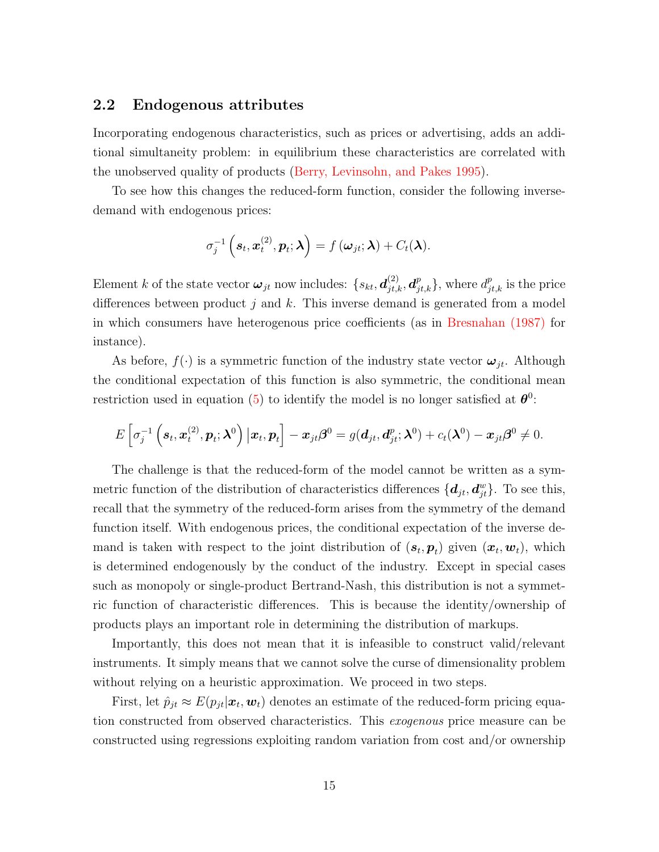### <span id="page-15-0"></span>2.2 Endogenous attributes

Incorporating endogenous characteristics, such as prices or advertising, adds an additional simultaneity problem: in equilibrium these characteristics are correlated with the unobserved quality of products [\(Berry, Levinsohn, and Pakes 1995\)](#page-51-1).

To see how this changes the reduced-form function, consider the following inversedemand with endogenous prices:

$$
\sigma_j^{-1}\left(\mathbf{s}_t,\mathbf{x}_t^{(2)},\mathbf{p}_t;\boldsymbol{\lambda}\right)=f\left(\boldsymbol{\omega}_{jt};\boldsymbol{\lambda}\right)+C_t(\boldsymbol{\lambda}).
$$

Element k of the state vector  $\omega_{jt}$  now includes:  $\{s_{kt}, \mathbf{d}_{jt,k}^{(2)}, \mathbf{d}_{jt,k}^p\}$ , where  $d_{jt,k}^p$  is the price differences between product j and k. This inverse demand is generated from a model in which consumers have heterogenous price coefficients (as in [Bresnahan \(1987\)](#page-52-13) for instance).

As before,  $f(\cdot)$  is a symmetric function of the industry state vector  $\boldsymbol{\omega}_{it}$ . Although the conditional expectation of this function is also symmetric, the conditional mean restriction used in equation [\(5\)](#page-8-2) to identify the model is no longer satisfied at  $\theta^0$ :

$$
E\left[\sigma_j^{-1}\left(\mathbf{s}_t,\mathbf{x}_t^{(2)},\mathbf{p}_t;\boldsymbol{\lambda}^0\right) \big| \mathbf{x}_t,\mathbf{p}_t\right] - \mathbf{x}_{jt}\boldsymbol{\beta}^0 = g(\mathbf{d}_{jt},\mathbf{d}_{jt}^p;\boldsymbol{\lambda}^0) + c_t(\boldsymbol{\lambda}^0) - \mathbf{x}_{jt}\boldsymbol{\beta}^0 \neq 0.
$$

The challenge is that the reduced-form of the model cannot be written as a symmetric function of the distribution of characteristics differences  $\{d_{jt}, d_{jt}^w\}$ . To see this, recall that the symmetry of the reduced-form arises from the symmetry of the demand function itself. With endogenous prices, the conditional expectation of the inverse demand is taken with respect to the joint distribution of  $(s_t, p_t)$  given  $(x_t, w_t)$ , which is determined endogenously by the conduct of the industry. Except in special cases such as monopoly or single-product Bertrand-Nash, this distribution is not a symmetric function of characteristic differences. This is because the identity/ownership of products plays an important role in determining the distribution of markups.

Importantly, this does not mean that it is infeasible to construct valid/relevant instruments. It simply means that we cannot solve the curse of dimensionality problem without relying on a heuristic approximation. We proceed in two steps.

First, let  $\hat{p}_{jt} \approx E(p_{jt}|\boldsymbol{x}_t, \boldsymbol{w}_t)$  denotes an estimate of the reduced-form pricing equation constructed from observed characteristics. This exogenous price measure can be constructed using regressions exploiting random variation from cost and/or ownership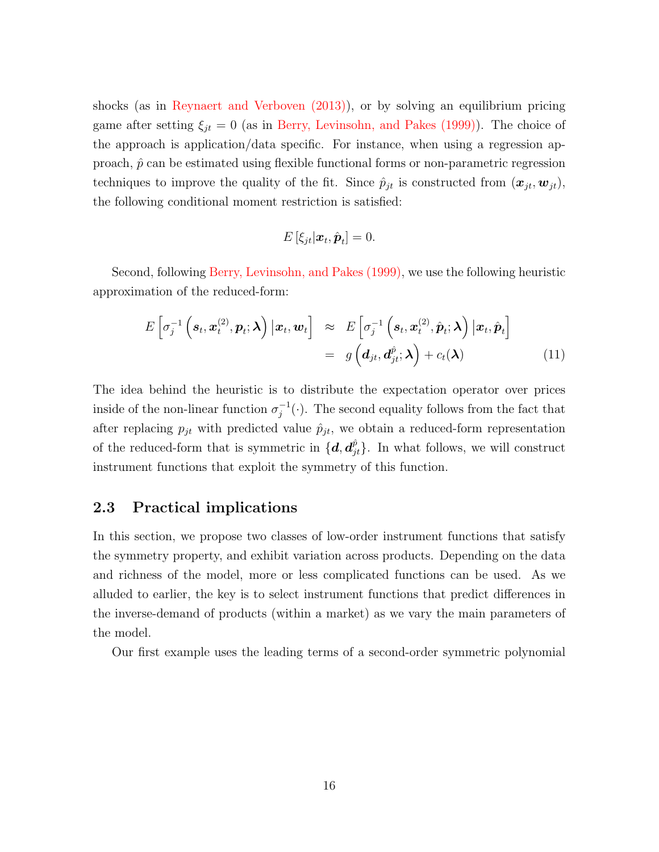shocks (as in [Reynaert and Verboven \(2013\)\)](#page-54-4), or by solving an equilibrium pricing game after setting  $\xi_{jt} = 0$  (as in [Berry, Levinsohn, and Pakes \(1999\)\)](#page-52-0). The choice of the approach is application/data specific. For instance, when using a regression approach,  $\hat{p}$  can be estimated using flexible functional forms or non-parametric regression techniques to improve the quality of the fit. Since  $\hat{p}_{jt}$  is constructed from  $(\bm{x}_{jt}, \bm{w}_{jt})$ , the following conditional moment restriction is satisfied:

$$
E\left[\xi_{jt}|\boldsymbol{x}_t,\hat{\boldsymbol{p}}_t\right]=0.
$$

Second, following [Berry, Levinsohn, and Pakes \(1999\),](#page-52-0) we use the following heuristic approximation of the reduced-form:

<span id="page-16-1"></span>
$$
E\left[\sigma_j^{-1}\left(\mathbf{s}_t,\mathbf{x}_t^{(2)},\mathbf{p}_t;\boldsymbol{\lambda}\right)|\mathbf{x}_t,\mathbf{w}_t\right] \approx E\left[\sigma_j^{-1}\left(\mathbf{s}_t,\mathbf{x}_t^{(2)},\hat{\mathbf{p}}_t;\boldsymbol{\lambda}\right)|\mathbf{x}_t,\hat{\mathbf{p}}_t\right]
$$

$$
= g\left(\mathbf{d}_{jt},\mathbf{d}_{jt}^{\hat{p}};\boldsymbol{\lambda}\right) + c_t(\boldsymbol{\lambda})
$$
(11)

The idea behind the heuristic is to distribute the expectation operator over prices inside of the non-linear function  $\sigma_i^{-1}$  $j^{-1}(\cdot)$ . The second equality follows from the fact that after replacing  $p_{jt}$  with predicted value  $\hat{p}_{jt}$ , we obtain a reduced-form representation of the reduced-form that is symmetric in  $\{d, d_{jt}^{\hat{p}}\}$ . In what follows, we will construct instrument functions that exploit the symmetry of this function.

### <span id="page-16-0"></span>2.3 Practical implications

In this section, we propose two classes of low-order instrument functions that satisfy the symmetry property, and exhibit variation across products. Depending on the data and richness of the model, more or less complicated functions can be used. As we alluded to earlier, the key is to select instrument functions that predict differences in the inverse-demand of products (within a market) as we vary the main parameters of the model.

Our first example uses the leading terms of a second-order symmetric polynomial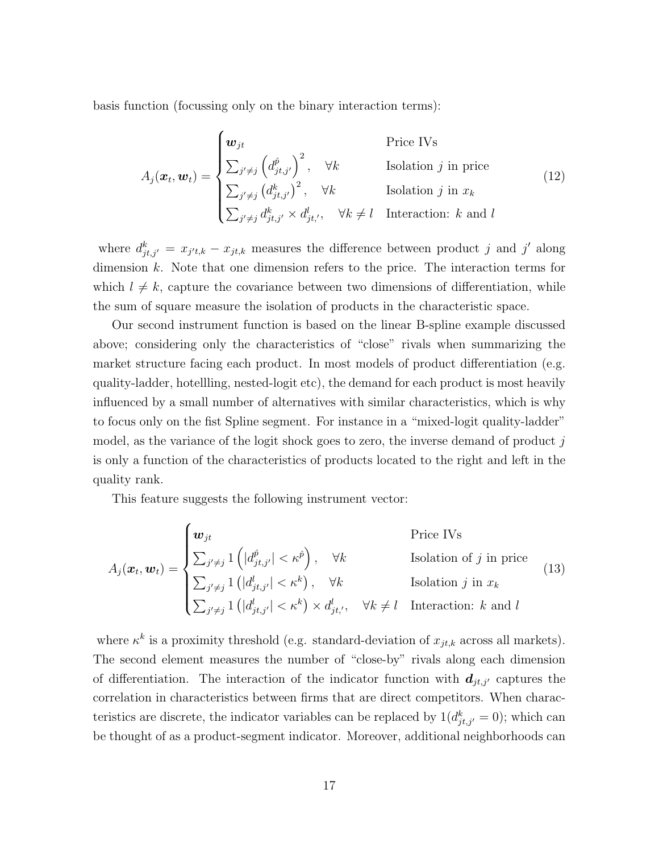basis function (focussing only on the binary interaction terms):

$$
A_j(\boldsymbol{x}_t, \boldsymbol{w}_t) = \begin{cases} \boldsymbol{w}_{jt} & \text{Price IVs} \\ \sum_{j' \neq j} \left( d_{jt,j'}^{\hat{p}} \right)^2, \quad \forall k & \text{Isolation } j \text{ in price} \\ \sum_{j' \neq j} \left( d_{jt,j'}^k \right)^2, \quad \forall k & \text{Isolation } j \text{ in } x_k \\ \sum_{j' \neq j} d_{jt,j'}^k \times d_{jt',}^l, \quad \forall k \neq l & \text{Interaction: } k \text{ and } l \end{cases}
$$
(12)

where  $d_{jt,j'}^k = x_{j't,k} - x_{jt,k}$  measures the difference between product j and j' along dimension  $k$ . Note that one dimension refers to the price. The interaction terms for which  $l \neq k$ , capture the covariance between two dimensions of differentiation, while the sum of square measure the isolation of products in the characteristic space.

Our second instrument function is based on the linear B-spline example discussed above; considering only the characteristics of "close" rivals when summarizing the market structure facing each product. In most models of product differentiation (e.g. quality-ladder, hotellling, nested-logit etc), the demand for each product is most heavily influenced by a small number of alternatives with similar characteristics, which is why to focus only on the fist Spline segment. For instance in a "mixed-logit quality-ladder" model, as the variance of the logit shock goes to zero, the inverse demand of product  $j$ is only a function of the characteristics of products located to the right and left in the quality rank.

This feature suggests the following instrument vector:

<span id="page-17-0"></span>
$$
A_j(\boldsymbol{x}_t, \boldsymbol{w}_t) = \begin{cases} \boldsymbol{w}_{jt} & \text{Price IVs} \\ \sum_{j' \neq j} 1\left(|d_{jt,j'}^{\hat{p}}| < \kappa^{\hat{p}}\right), & \forall k \\ \sum_{j' \neq j} 1\left(|d_{jt,j'}^{\hat{p}}| < \kappa^k\right), & \forall k \\ \sum_{j' \neq j} 1\left(|d_{jt,j'}^{\hat{p}}| < \kappa^k\right) \times d_{jt'}^{\hat{p}}, & \forall k \neq l \quad \text{Interaction: } k \text{ and } l \end{cases} \tag{13}
$$

where  $\kappa^k$  is a proximity threshold (e.g. standard-deviation of  $x_{jt,k}$  across all markets). The second element measures the number of "close-by" rivals along each dimension of differentiation. The interaction of the indicator function with  $d_{jt,j'}$  captures the correlation in characteristics between firms that are direct competitors. When characteristics are discrete, the indicator variables can be replaced by  $1(d_{jt,j'}^k = 0)$ ; which can be thought of as a product-segment indicator. Moreover, additional neighborhoods can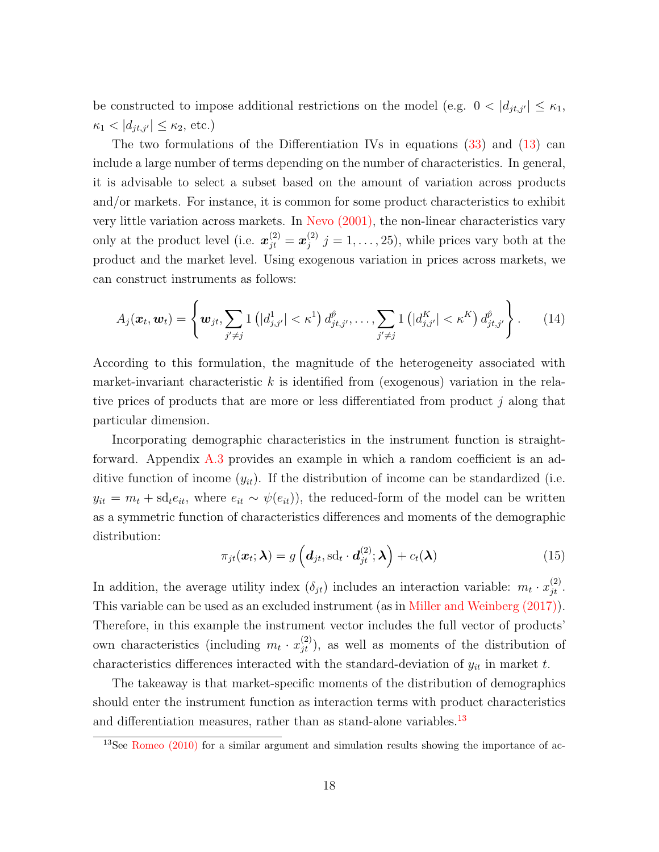be constructed to impose additional restrictions on the model (e.g.  $0 < |d_{jt,j'}| \leq \kappa_1$ ,  $\kappa_1 < |d_{jt,j'}| \leq \kappa_2$ , etc.)

The two formulations of the Differentiation IVs in equations [\(33\)](#page-61-0) and [\(13\)](#page-17-0) can include a large number of terms depending on the number of characteristics. In general, it is advisable to select a subset based on the amount of variation across products and/or markets. For instance, it is common for some product characteristics to exhibit very little variation across markets. In [Nevo \(2001\),](#page-54-8) the non-linear characteristics vary only at the product level (i.e.  $\boldsymbol{x}_{jt}^{(2)} = \boldsymbol{x}_j^{(2)}$  $j_j^{(2)}$   $j = 1, \ldots, 25$ , while prices vary both at the product and the market level. Using exogenous variation in prices across markets, we can construct instruments as follows:

$$
A_j(\boldsymbol{x}_t, \boldsymbol{w}_t) = \left\{ \boldsymbol{w}_{jt}, \sum_{j' \neq j} 1 \left( |d_{j,j'}^1| < \kappa^1 \right) d_{jt,j'}^{\hat{p}}, \dots, \sum_{j' \neq j} 1 \left( |d_{j,j'}^K| < \kappa^K \right) d_{jt,j'}^{\hat{p}} \right\}. \tag{14}
$$

According to this formulation, the magnitude of the heterogeneity associated with market-invariant characteristic k is identified from (exogenous) variation in the relative prices of products that are more or less differentiated from product  $j$  along that particular dimension.

Incorporating demographic characteristics in the instrument function is straightforward. Appendix [A.3](#page-60-0) provides an example in which a random coefficient is an additive function of income  $(y_{it})$ . If the distribution of income can be standardized (i.e.  $y_{it} = m_t + \mathrm{sd}_t e_{it}$ , where  $e_{it} \sim \psi(e_{it})$ , the reduced-form of the model can be written as a symmetric function of characteristics differences and moments of the demographic distribution:

$$
\pi_{jt}(\boldsymbol{x}_t; \boldsymbol{\lambda}) = g\left(\boldsymbol{d}_{jt}, \mathrm{sd}_t \cdot \boldsymbol{d}_{jt}^{(2)}; \boldsymbol{\lambda}\right) + c_t(\boldsymbol{\lambda})
$$
\n(15)

In addition, the average utility index  $(\delta_{jt})$  includes an interaction variable:  $m_t \cdot x_{jt}^{(2)}$ . This variable can be used as an excluded instrument (as in [Miller and Weinberg \(2017\)\)](#page-53-3). Therefore, in this example the instrument vector includes the full vector of products' own characteristics (including  $m_t \cdot x_{jt}^{(2)}$ ), as well as moments of the distribution of characteristics differences interacted with the standard-deviation of  $y_{it}$  in market t.

The takeaway is that market-specific moments of the distribution of demographics should enter the instrument function as interaction terms with product characteristics and differentiation measures, rather than as stand-alone variables.<sup>[13](#page-18-0)</sup>

<span id="page-18-0"></span><sup>&</sup>lt;sup>13</sup>See [Romeo \(2010\)](#page-54-6) for a similar argument and simulation results showing the importance of ac-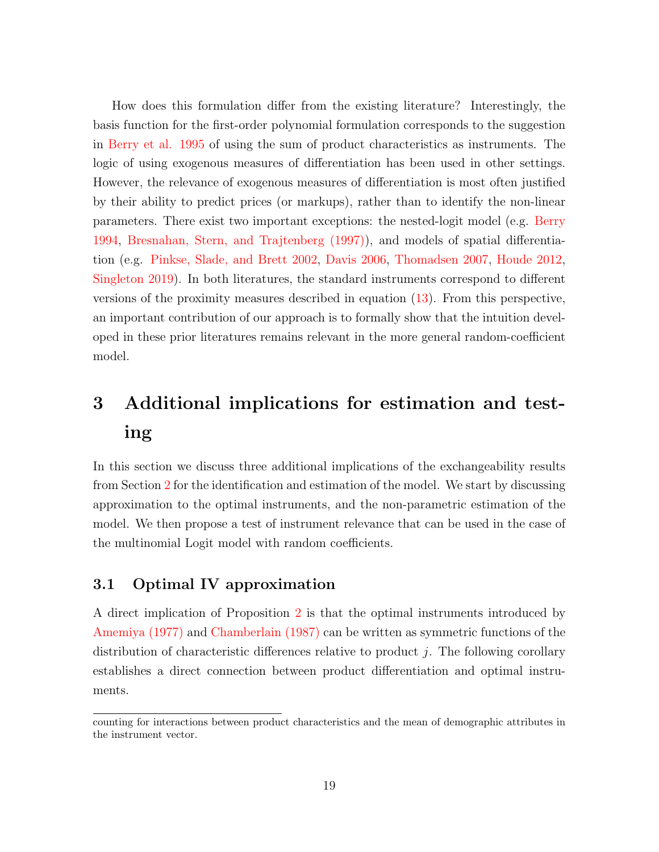How does this formulation differ from the existing literature? Interestingly, the basis function for the first-order polynomial formulation corresponds to the suggestion in [Berry et al. 1995](#page-51-1) of using the sum of product characteristics as instruments. The logic of using exogenous measures of differentiation has been used in other settings. However, the relevance of exogenous measures of differentiation is most often justified by their ability to predict prices (or markups), rather than to identify the non-linear parameters. There exist two important exceptions: the nested-logit model (e.g. [Berry](#page-51-0) [1994,](#page-51-0) [Bresnahan, Stern, and Trajtenberg \(1997\)\)](#page-52-2), and models of spatial differentiation (e.g. [Pinkse, Slade, and Brett 2002,](#page-54-7) [Davis 2006,](#page-53-5) [Thomadsen 2007,](#page-55-4) [Houde 2012,](#page-53-6) [Singleton 2019\)](#page-54-3). In both literatures, the standard instruments correspond to different versions of the proximity measures described in equation [\(13\)](#page-17-0). From this perspective, an important contribution of our approach is to formally show that the intuition developed in these prior literatures remains relevant in the more general random-coefficient model.

# <span id="page-19-0"></span>3 Additional implications for estimation and testing

In this section we discuss three additional implications of the exchangeability results from Section [2](#page-10-0) for the identification and estimation of the model. We start by discussing approximation to the optimal instruments, and the non-parametric estimation of the model. We then propose a test of instrument relevance that can be used in the case of the multinomial Logit model with random coefficients.

### 3.1 Optimal IV approximation

A direct implication of Proposition [2](#page-12-2) is that the optimal instruments introduced by [Amemiya \(1977\)](#page-51-3) and [Chamberlain \(1987\)](#page-52-8) can be written as symmetric functions of the distribution of characteristic differences relative to product  $j$ . The following corollary establishes a direct connection between product differentiation and optimal instruments.

counting for interactions between product characteristics and the mean of demographic attributes in the instrument vector.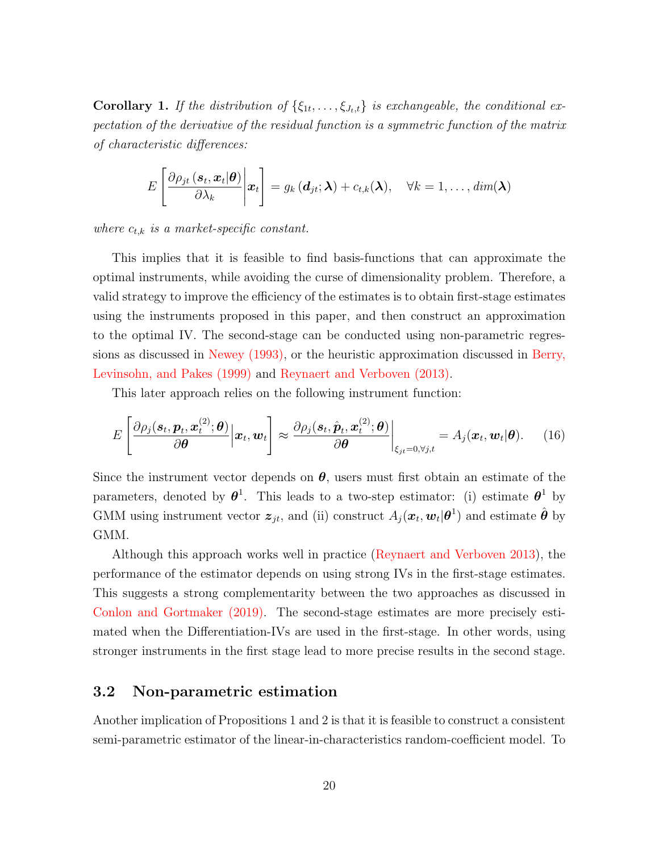**Corollary 1.** If the distribution of  $\{\xi_{1t},\ldots,\xi_{J_t,t}\}$  is exchangeable, the conditional expectation of the derivative of the residual function is a symmetric function of the matrix of characteristic differences:

$$
E\left[\frac{\partial \rho_{jt}(\mathbf{s}_t, \mathbf{x}_t|\boldsymbol{\theta})}{\partial \lambda_k}\bigg|\mathbf{x}_t\right] = g_k\left(\mathbf{d}_{jt}; \boldsymbol{\lambda}\right) + c_{t,k}(\boldsymbol{\lambda}), \quad \forall k = 1, \ldots, dim(\boldsymbol{\lambda})
$$

where  $c_{t,k}$  is a market-specific constant.

This implies that it is feasible to find basis-functions that can approximate the optimal instruments, while avoiding the curse of dimensionality problem. Therefore, a valid strategy to improve the efficiency of the estimates is to obtain first-stage estimates using the instruments proposed in this paper, and then construct an approximation to the optimal IV. The second-stage can be conducted using non-parametric regressions as discussed in [Newey \(1993\),](#page-54-10) or the heuristic approximation discussed in [Berry,](#page-52-0) [Levinsohn, and Pakes \(1999\)](#page-52-0) and [Reynaert and Verboven \(2013\).](#page-54-4)

This later approach relies on the following instrument function:

$$
E\left[\frac{\partial \rho_j(\mathbf{s}_t, \mathbf{p}_t, \mathbf{x}_t^{(2)}; \boldsymbol{\theta})}{\partial \boldsymbol{\theta}} \Big| \mathbf{x}_t, \mathbf{w}_t\right] \approx \frac{\partial \rho_j(\mathbf{s}_t, \hat{\mathbf{p}}_t, \mathbf{x}_t^{(2)}; \boldsymbol{\theta})}{\partial \boldsymbol{\theta}} \bigg|_{\xi_{jt} = 0, \forall j, t} = A_j(\mathbf{x}_t, \mathbf{w}_t | \boldsymbol{\theta}). \tag{16}
$$

Since the instrument vector depends on  $\theta$ , users must first obtain an estimate of the parameters, denoted by  $\theta^1$ . This leads to a two-step estimator: (i) estimate  $\theta^1$  by GMM using instrument vector  $\bm{z}_{jt}$ , and (ii) construct  $A_j(\bm{x}_t, \bm{w}_t | \bm{\theta}^1)$  and estimate  $\hat{\bm{\theta}}$  by GMM.

Although this approach works well in practice [\(Reynaert and Verboven 2013\)](#page-54-4), the performance of the estimator depends on using strong IVs in the first-stage estimates. This suggests a strong complementarity between the two approaches as discussed in [Conlon and Gortmaker \(2019\).](#page-52-7) The second-stage estimates are more precisely estimated when the Differentiation-IVs are used in the first-stage. In other words, using stronger instruments in the first stage lead to more precise results in the second stage.

#### 3.2 Non-parametric estimation

Another implication of Propositions 1 and 2 is that it is feasible to construct a consistent semi-parametric estimator of the linear-in-characteristics random-coefficient model. To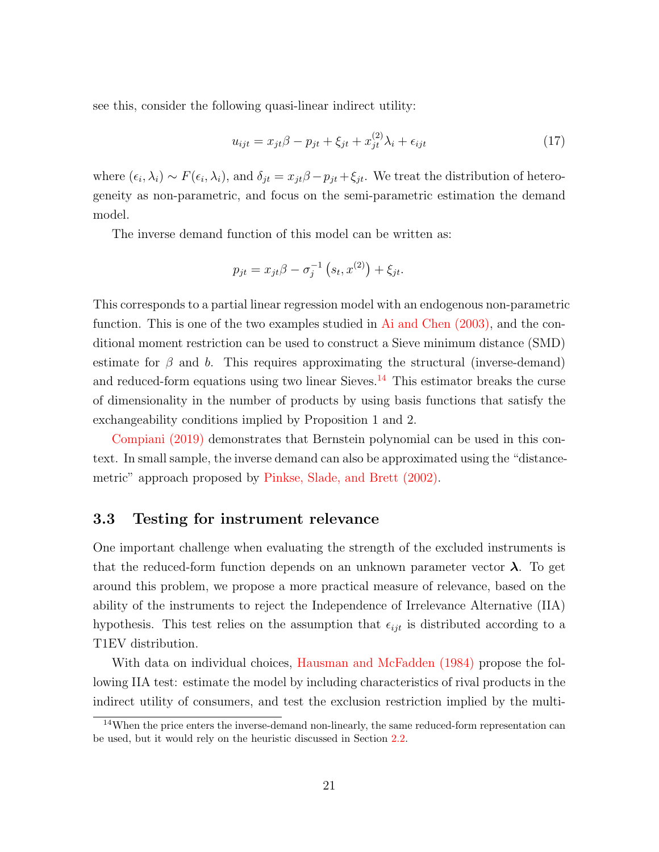see this, consider the following quasi-linear indirect utility:

$$
u_{ijt} = x_{jt}\beta - p_{jt} + \xi_{jt} + x_{jt}^{(2)}\lambda_i + \epsilon_{ijt}
$$
\n
$$
\tag{17}
$$

where  $(\epsilon_i, \lambda_i) \sim F(\epsilon_i, \lambda_i)$ , and  $\delta_{jt} = x_{jt}\beta - p_{jt} + \xi_{jt}$ . We treat the distribution of heterogeneity as non-parametric, and focus on the semi-parametric estimation the demand model.

The inverse demand function of this model can be written as:

$$
p_{jt} = x_{jt} \beta - \sigma_j^{-1} (s_t, x^{(2)}) + \xi_{jt}.
$$

This corresponds to a partial linear regression model with an endogenous non-parametric function. This is one of the two examples studied in [Ai and Chen \(2003\),](#page-51-6) and the conditional moment restriction can be used to construct a Sieve minimum distance (SMD) estimate for  $\beta$  and b. This requires approximating the structural (inverse-demand) and reduced-form equations using two linear Sieves.<sup>[14](#page-21-0)</sup> This estimator breaks the curse of dimensionality in the number of products by using basis functions that satisfy the exchangeability conditions implied by Proposition 1 and 2.

[Compiani \(2019\)](#page-52-10) demonstrates that Bernstein polynomial can be used in this context. In small sample, the inverse demand can also be approximated using the "distancemetric" approach proposed by [Pinkse, Slade, and Brett \(2002\).](#page-54-7)

#### 3.3 Testing for instrument relevance

One important challenge when evaluating the strength of the excluded instruments is that the reduced-form function depends on an unknown parameter vector  $\lambda$ . To get around this problem, we propose a more practical measure of relevance, based on the ability of the instruments to reject the Independence of Irrelevance Alternative (IIA) hypothesis. This test relies on the assumption that  $\epsilon_{ijt}$  is distributed according to a T1EV distribution.

With data on individual choices, [Hausman and McFadden \(1984\)](#page-53-10) propose the following IIA test: estimate the model by including characteristics of rival products in the indirect utility of consumers, and test the exclusion restriction implied by the multi-

<span id="page-21-0"></span><sup>&</sup>lt;sup>14</sup>When the price enters the inverse-demand non-linearly, the same reduced-form representation can be used, but it would rely on the heuristic discussed in Section [2.2.](#page-15-0)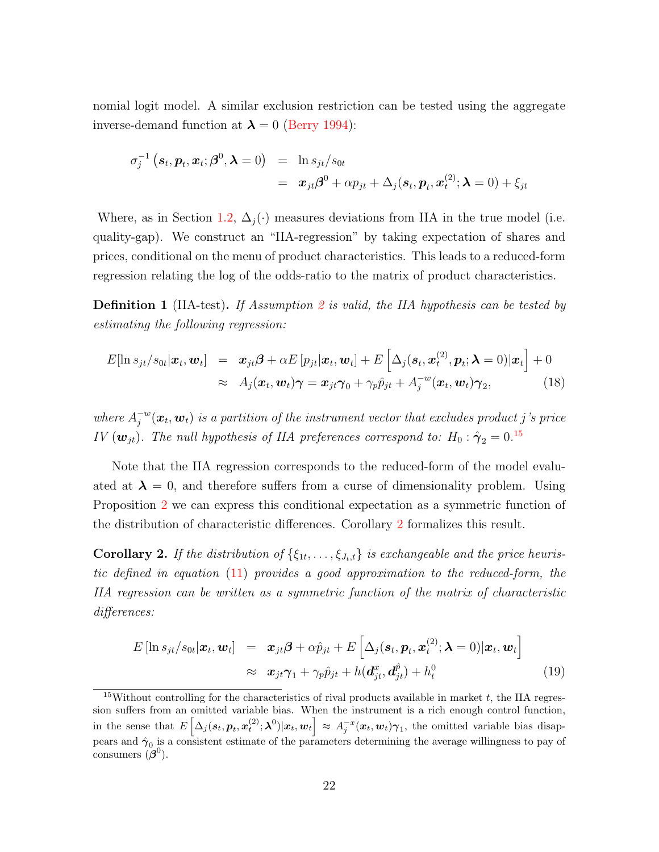nomial logit model. A similar exclusion restriction can be tested using the aggregate inverse-demand function at  $\lambda = 0$  [\(Berry 1994\)](#page-51-0):

$$
\sigma_j^{-1}(\boldsymbol{s}_t, \boldsymbol{p}_t, \boldsymbol{x}_t; \boldsymbol{\beta}^0, \boldsymbol{\lambda} = 0) = \ln s_{jt}/s_{0t}
$$
  
=  $\boldsymbol{x}_{jt}\boldsymbol{\beta}^0 + \alpha p_{jt} + \Delta_j(\boldsymbol{s}_t, \boldsymbol{p}_t, \boldsymbol{x}_t^{(2)}; \boldsymbol{\lambda} = 0) + \xi_{jt}$ 

Where, as in Section [1.2,](#page-8-3)  $\Delta_i(\cdot)$  measures deviations from IIA in the true model (i.e. quality-gap). We construct an "IIA-regression" by taking expectation of shares and prices, conditional on the menu of product characteristics. This leads to a reduced-form regression relating the log of the odds-ratio to the matrix of product characteristics.

**Definition 1** (IIA-test). If Assumption [2](#page-7-0) is valid, the IIA hypothesis can be tested by estimating the following regression:

$$
E[\ln s_{jt}/s_{0t}|\boldsymbol{x}_t, \boldsymbol{w}_t] = \boldsymbol{x}_{jt}\boldsymbol{\beta} + \alpha E[p_{jt}|\boldsymbol{x}_t, \boldsymbol{w}_t] + E\left[\Delta_j(\boldsymbol{s}_t, \boldsymbol{x}_t^{(2)}, \boldsymbol{p}_t; \boldsymbol{\lambda} = 0)|\boldsymbol{x}_t\right] + 0
$$
  
\n
$$
\approx A_j(\boldsymbol{x}_t, \boldsymbol{w}_t)\boldsymbol{\gamma} = \boldsymbol{x}_{jt}\boldsymbol{\gamma}_0 + \gamma_p\hat{p}_{jt} + A_j^{-w}(\boldsymbol{x}_t, \boldsymbol{w}_t)\boldsymbol{\gamma}_2,
$$
\n(18)

where  $A_i^{-w}$  $j^{w}(\bm{x}_t,\bm{w}_t)$  is a partition of the instrument vector that excludes product  $j$  's price IV  $(\boldsymbol{w}_{jt})$ . The null hypothesis of IIA preferences correspond to:  $H_0: \hat{\boldsymbol{\gamma}}_2 = 0$ .<sup>[15](#page-22-0)</sup>

Note that the IIA regression corresponds to the reduced-form of the model evaluated at  $\lambda = 0$ , and therefore suffers from a curse of dimensionality problem. Using Proposition [2](#page-12-2) we can express this conditional expectation as a symmetric function of the distribution of characteristic differences. Corollary [2](#page-22-1) formalizes this result.

<span id="page-22-1"></span>**Corollary 2.** If the distribution of  $\{\xi_{1t}, \ldots, \xi_{J_t,t}\}$  is exchangeable and the price heuristic defined in equation [\(11\)](#page-16-1) provides a good approximation to the reduced-form, the IIA regression can be written as a symmetric function of the matrix of characteristic differences:

$$
E\left[\ln s_{jt}/s_{0t}|\boldsymbol{x}_t,\boldsymbol{w}_t\right] = \boldsymbol{x}_{jt}\boldsymbol{\beta} + \alpha\hat{p}_{jt} + E\left[\Delta_j(\boldsymbol{s}_t,\boldsymbol{p}_t,\boldsymbol{x}_t^{(2)};\boldsymbol{\lambda}=0)|\boldsymbol{x}_t,\boldsymbol{w}_t\right] \approx \boldsymbol{x}_{jt}\boldsymbol{\gamma}_1 + \gamma_p\hat{p}_{jt} + h(\boldsymbol{d}_{jt}^x,\boldsymbol{d}_{jt}^{\hat{p}}) + h_t^0
$$
\n(19)

<span id="page-22-0"></span><sup>&</sup>lt;sup>15</sup>Without controlling for the characteristics of rival products available in market  $t$ , the IIA regression suffers from an omitted variable bias. When the instrument is a rich enough control function, in the sense that  $E\left[\Delta_j(s_t, p_t, x_t^{(2)}; \lambda^0)|x_t, w_t\right] \approx A_j^{-x}(x_t, w_t)\gamma_1$ , the omitted variable bias disappears and  $\hat{\gamma}_0$  is a consistent estimate of the parameters determining the average willingness to pay of consumers  $(\beta^0)$ .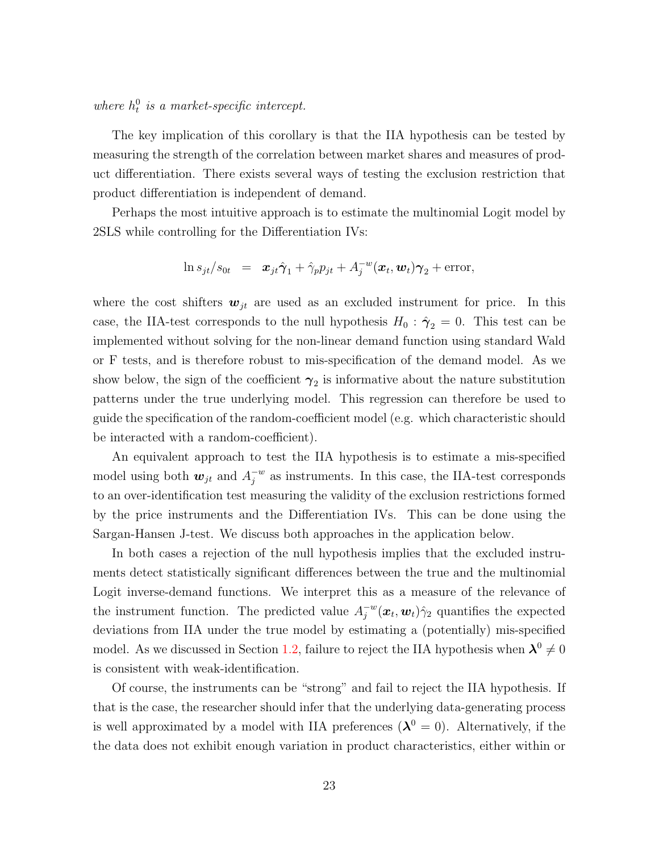where  $h_t^0$  is a market-specific intercept.

The key implication of this corollary is that the IIA hypothesis can be tested by measuring the strength of the correlation between market shares and measures of product differentiation. There exists several ways of testing the exclusion restriction that product differentiation is independent of demand.

Perhaps the most intuitive approach is to estimate the multinomial Logit model by 2SLS while controlling for the Differentiation IVs:

$$
\ln s_{jt}/s_{0t} = \mathbf{x}_{jt}\hat{\boldsymbol{\gamma}}_1 + \hat{\gamma}_p p_{jt} + A_j^{-w}(\mathbf{x}_t, \mathbf{w}_t)\boldsymbol{\gamma}_2 + \text{error},
$$

where the cost shifters  $w_{jt}$  are used as an excluded instrument for price. In this case, the IIA-test corresponds to the null hypothesis  $H_0$ :  $\hat{\gamma}_2 = 0$ . This test can be implemented without solving for the non-linear demand function using standard Wald or F tests, and is therefore robust to mis-specification of the demand model. As we show below, the sign of the coefficient  $\gamma_2$  is informative about the nature substitution patterns under the true underlying model. This regression can therefore be used to guide the specification of the random-coefficient model (e.g. which characteristic should be interacted with a random-coefficient).

An equivalent approach to test the IIA hypothesis is to estimate a mis-specified model using both  $w_{jt}$  and  $A_i^{-w}$  $j^w$  as instruments. In this case, the IIA-test corresponds to an over-identification test measuring the validity of the exclusion restrictions formed by the price instruments and the Differentiation IVs. This can be done using the Sargan-Hansen J-test. We discuss both approaches in the application below.

In both cases a rejection of the null hypothesis implies that the excluded instruments detect statistically significant differences between the true and the multinomial Logit inverse-demand functions. We interpret this as a measure of the relevance of the instrument function. The predicted value  $A_i^{-w}$  $j^{w}(\boldsymbol{x}_t, \boldsymbol{w}_t) \hat{\gamma}_2$  quantifies the expected deviations from IIA under the true model by estimating a (potentially) mis-specified model. As we discussed in Section [1.2,](#page-8-3) failure to reject the IIA hypothesis when  $\lambda^0 \neq 0$ is consistent with weak-identification.

Of course, the instruments can be "strong" and fail to reject the IIA hypothesis. If that is the case, the researcher should infer that the underlying data-generating process is well approximated by a model with IIA preferences  $(\lambda^0 = 0)$ . Alternatively, if the the data does not exhibit enough variation in product characteristics, either within or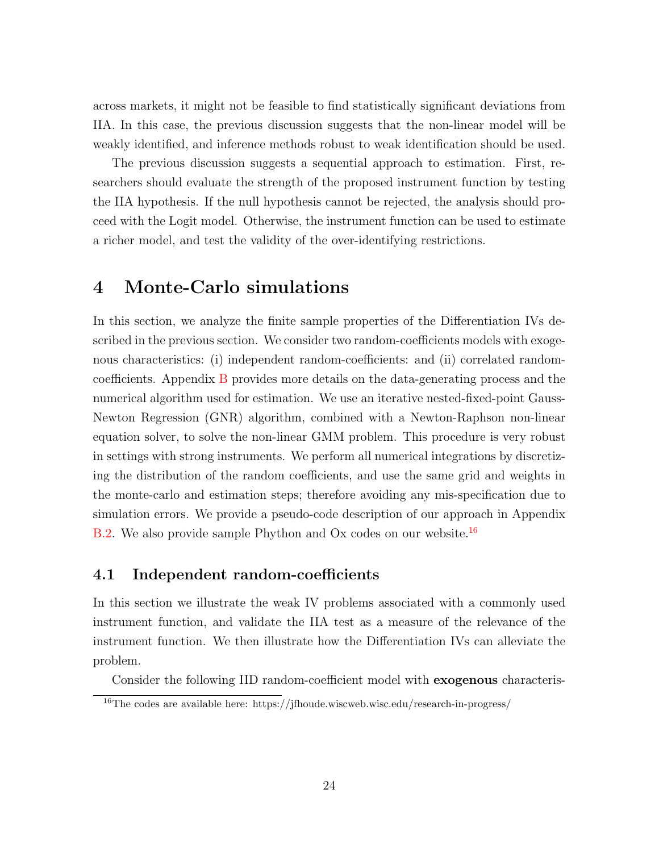across markets, it might not be feasible to find statistically significant deviations from IIA. In this case, the previous discussion suggests that the non-linear model will be weakly identified, and inference methods robust to weak identification should be used.

The previous discussion suggests a sequential approach to estimation. First, researchers should evaluate the strength of the proposed instrument function by testing the IIA hypothesis. If the null hypothesis cannot be rejected, the analysis should proceed with the Logit model. Otherwise, the instrument function can be used to estimate a richer model, and test the validity of the over-identifying restrictions.

### <span id="page-24-0"></span>4 Monte-Carlo simulations

In this section, we analyze the finite sample properties of the Differentiation IVs described in the previous section. We consider two random-coefficients models with exogenous characteristics: (i) independent random-coefficients: and (ii) correlated randomcoefficients. Appendix [B](#page-62-0) provides more details on the data-generating process and the numerical algorithm used for estimation. We use an iterative nested-fixed-point Gauss-Newton Regression (GNR) algorithm, combined with a Newton-Raphson non-linear equation solver, to solve the non-linear GMM problem. This procedure is very robust in settings with strong instruments. We perform all numerical integrations by discretizing the distribution of the random coefficients, and use the same grid and weights in the monte-carlo and estimation steps; therefore avoiding any mis-specification due to simulation errors. We provide a pseudo-code description of our approach in Appendix [B.2.](#page-63-0) We also provide sample Phython and Ox codes on our website.<sup>[16](#page-24-1)</sup>

#### 4.1 Independent random-coefficients

In this section we illustrate the weak IV problems associated with a commonly used instrument function, and validate the IIA test as a measure of the relevance of the instrument function. We then illustrate how the Differentiation IVs can alleviate the problem.

Consider the following IID random-coefficient model with exogenous characteris-

<span id="page-24-1"></span><sup>16</sup>The codes are available here: https://jfhoude.wiscweb.wisc.edu/research-in-progress/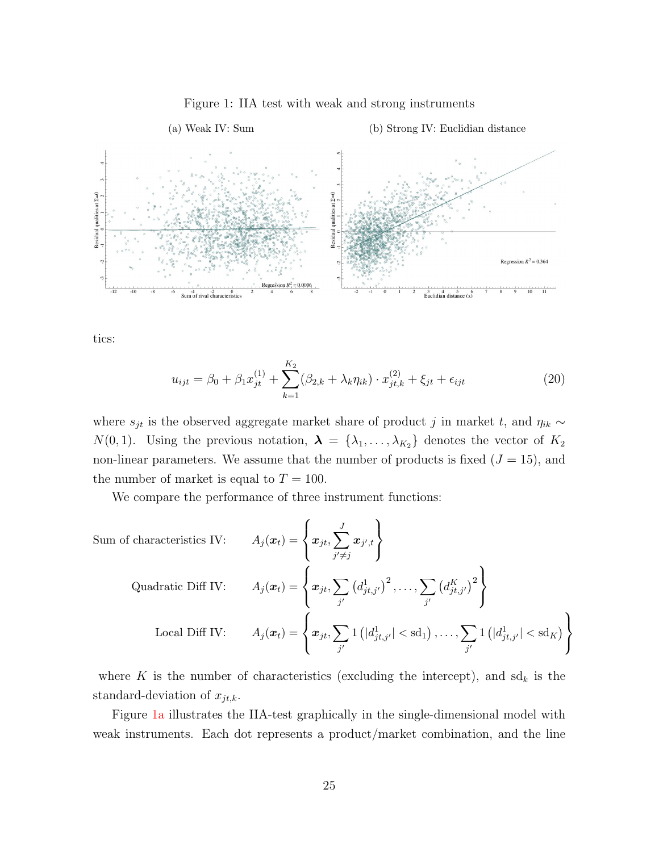<span id="page-25-0"></span>

<span id="page-25-1"></span>Figure 1: IIA test with weak and strong instruments

tics:

<span id="page-25-2"></span>
$$
u_{ijt} = \beta_0 + \beta_1 x_{jt}^{(1)} + \sum_{k=1}^{K_2} (\beta_{2,k} + \lambda_k \eta_{ik}) \cdot x_{jt,k}^{(2)} + \xi_{jt} + \epsilon_{ijt}
$$
 (20)

where  $s_{jt}$  is the observed aggregate market share of product j in market t, and  $\eta_{ik} \sim$  $N(0, 1)$ . Using the previous notation,  $\lambda = {\lambda_1, \ldots, \lambda_{K_2}}$  denotes the vector of  $K_2$ non-linear parameters. We assume that the number of products is fixed  $(J = 15)$ , and the number of market is equal to  $T = 100$ .

We compare the performance of three instrument functions:

Sum of characteristics IV: 
$$
A_j(\boldsymbol{x}_t) = \left\{ \boldsymbol{x}_{jt}, \sum_{j' \neq j} \boldsymbol{x}_{j',t} \right\}
$$
  
Quadratic Diff IV: 
$$
A_j(\boldsymbol{x}_t) = \left\{ \boldsymbol{x}_{jt}, \sum_{j'} \left( d_{jt,j'}^1 \right)^2, \dots, \sum_{j'} \left( d_{jt,j'}^K \right)^2 \right\}
$$
  
Local Diff IV: 
$$
A_j(\boldsymbol{x}_t) = \left\{ \boldsymbol{x}_{jt}, \sum_{j'} 1 \left( |d_{jt,j'}^1| < \text{sd}_1 \right), \dots, \sum_{j'} 1 \left( |d_{jt,j'}^1| < \text{sd}_K \right) \right\}
$$

where K is the number of characteristics (excluding the intercept), and  $\mathrm{sd}_k$  is the standard-deviation of  $x_{jt,k}$ .

Figure [1a](#page-25-0) illustrates the IIA-test graphically in the single-dimensional model with weak instruments. Each dot represents a product/market combination, and the line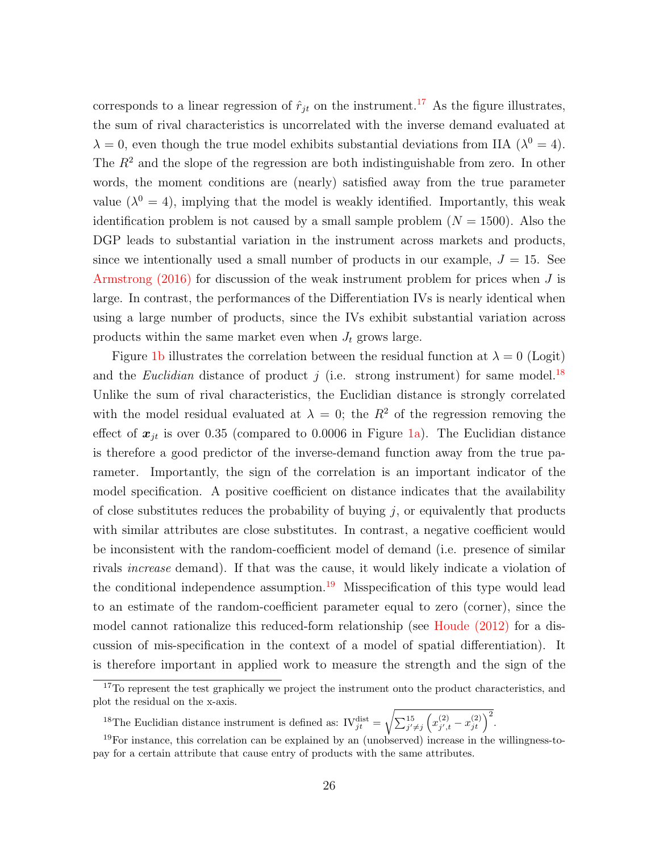corresponds to a linear regression of  $\hat{r}_{jt}$  on the instrument.<sup>[17](#page-26-0)</sup> As the figure illustrates, the sum of rival characteristics is uncorrelated with the inverse demand evaluated at  $\lambda = 0$ , even though the true model exhibits substantial deviations from IIA ( $\lambda^0 = 4$ ). The  $R^2$  and the slope of the regression are both indistinguishable from zero. In other words, the moment conditions are (nearly) satisfied away from the true parameter value  $(\lambda^0 = 4)$ , implying that the model is weakly identified. Importantly, this weak identification problem is not caused by a small sample problem  $(N = 1500)$ . Also the DGP leads to substantial variation in the instrument across markets and products, since we intentionally used a small number of products in our example,  $J = 15$ . See Armstrong  $(2016)$  for discussion of the weak instrument problem for prices when J is large. In contrast, the performances of the Differentiation IVs is nearly identical when using a large number of products, since the IVs exhibit substantial variation across products within the same market even when  $J_t$  grows large.

Figure [1b](#page-25-1) illustrates the correlation between the residual function at  $\lambda = 0$  (Logit) and the *Euclidian* distance of product j (i.e. strong instrument) for same model.<sup>[18](#page-26-1)</sup> Unlike the sum of rival characteristics, the Euclidian distance is strongly correlated with the model residual evaluated at  $\lambda = 0$ ; the  $R^2$  of the regression removing the effect of  $x_{jt}$  is over 0.35 (compared to 0.0006 in Figure [1a\)](#page-25-0). The Euclidian distance is therefore a good predictor of the inverse-demand function away from the true parameter. Importantly, the sign of the correlation is an important indicator of the model specification. A positive coefficient on distance indicates that the availability of close substitutes reduces the probability of buying  $j$ , or equivalently that products with similar attributes are close substitutes. In contrast, a negative coefficient would be inconsistent with the random-coefficient model of demand (i.e. presence of similar rivals increase demand). If that was the cause, it would likely indicate a violation of the conditional independence assumption.<sup>[19](#page-26-2)</sup> Misspecification of this type would lead to an estimate of the random-coefficient parameter equal to zero (corner), since the model cannot rationalize this reduced-form relationship (see [Houde \(2012\)](#page-53-6) for a discussion of mis-specification in the context of a model of spatial differentiation). It is therefore important in applied work to measure the strength and the sign of the

<span id="page-26-1"></span><sup>18</sup>The Euclidian distance instrument is defined as:  $\mathrm{IV}^{\text{dist}}_{jt} =$  $\sqrt{\sum_{j'\neq j}^{15} (x_{j',i}^{(2)})}$  $\binom{(2)}{j',t} - x_{jt}^{(2)}$ 

<span id="page-26-0"></span><sup>&</sup>lt;sup>17</sup>To represent the test graphically we project the instrument onto the product characteristics, and plot the residual on the x-axis.

<span id="page-26-2"></span> $19$ For instance, this correlation can be explained by an (unobserved) increase in the willingness-topay for a certain attribute that cause entry of products with the same attributes.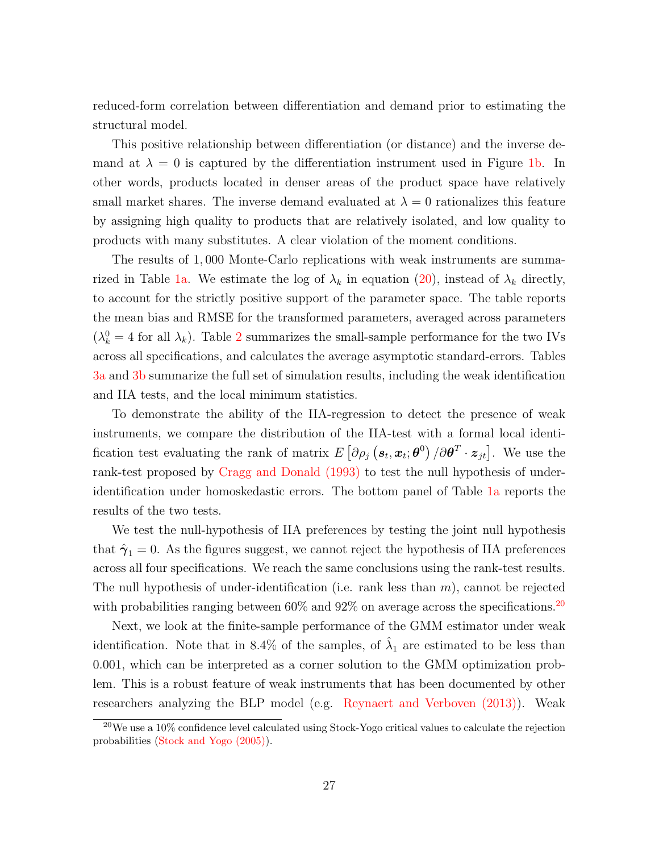reduced-form correlation between differentiation and demand prior to estimating the structural model.

This positive relationship between differentiation (or distance) and the inverse demand at  $\lambda = 0$  is captured by the differentiation instrument used in Figure [1b.](#page-25-1) In other words, products located in denser areas of the product space have relatively small market shares. The inverse demand evaluated at  $\lambda = 0$  rationalizes this feature by assigning high quality to products that are relatively isolated, and low quality to products with many substitutes. A clear violation of the moment conditions.

The results of 1, 000 Monte-Carlo replications with weak instruments are summa-rized in Table [1a.](#page-28-0) We estimate the log of  $\lambda_k$  in equation [\(20\)](#page-25-2), instead of  $\lambda_k$  directly, to account for the strictly positive support of the parameter space. The table reports the mean bias and RMSE for the transformed parameters, averaged across parameters  $(\lambda_k^0 = 4$  for all  $\lambda_k$ ). Table [2](#page-29-0) summarizes the small-sample performance for the two IVs across all specifications, and calculates the average asymptotic standard-errors. Tables [3a](#page-30-0) and [3b](#page-30-1) summarize the full set of simulation results, including the weak identification and IIA tests, and the local minimum statistics.

To demonstrate the ability of the IIA-regression to detect the presence of weak instruments, we compare the distribution of the IIA-test with a formal local identification test evaluating the rank of matrix  $E[\partial \rho_j (\mathbf{s}_t, \mathbf{x}_t; \boldsymbol{\theta}^0) / \partial \boldsymbol{\theta}^T \cdot \mathbf{z}_{jt}]$ . We use the rank-test proposed by [Cragg and Donald \(1993\)](#page-53-11) to test the null hypothesis of underidentification under homoskedastic errors. The bottom panel of Table [1a](#page-28-0) reports the results of the two tests.

We test the null-hypothesis of IIA preferences by testing the joint null hypothesis that  $\hat{\gamma}_1 = 0$ . As the figures suggest, we cannot reject the hypothesis of IIA preferences across all four specifications. We reach the same conclusions using the rank-test results. The null hypothesis of under-identification (i.e. rank less than  $m$ ), cannot be rejected with probabilities ranging between  $60\%$  and  $92\%$  on average across the specifications.<sup>[20](#page-27-0)</sup>

Next, we look at the finite-sample performance of the GMM estimator under weak identification. Note that in 8.4% of the samples, of  $\hat{\lambda}_1$  are estimated to be less than 0.001, which can be interpreted as a corner solution to the GMM optimization problem. This is a robust feature of weak instruments that has been documented by other researchers analyzing the BLP model (e.g. [Reynaert and Verboven \(2013\)\)](#page-54-4). Weak

<span id="page-27-0"></span><sup>&</sup>lt;sup>20</sup>We use a 10% confidence level calculated using Stock-Yogo critical values to calculate the rejection probabilities [\(Stock and Yogo \(2005\)\)](#page-55-5).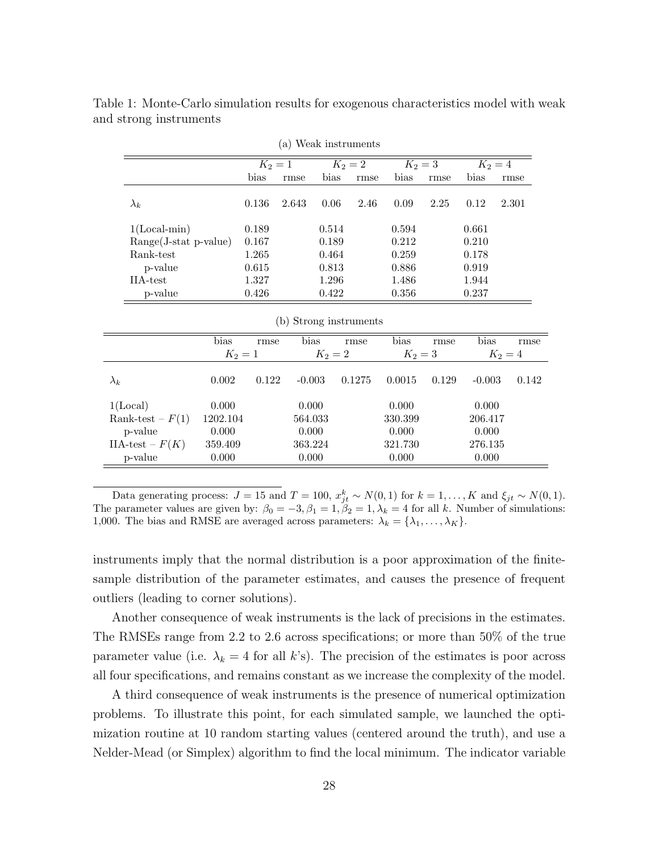<span id="page-28-0"></span>

|                         | (a) Weak instruments |           |                        |           |           |           |       |           |           |  |  |
|-------------------------|----------------------|-----------|------------------------|-----------|-----------|-----------|-------|-----------|-----------|--|--|
|                         |                      | $K_2 = 1$ |                        |           | $K_2 = 2$ | $K_2 = 3$ |       | $K_2 = 4$ |           |  |  |
|                         |                      | bias      | rmse                   | bias      | rmse      | bias      | rmse  | bias      | rmse      |  |  |
| $\lambda_k$             |                      | 0.136     | 2.643                  | 0.06      | 2.46      | 0.09      | 2.25  | 0.12      | 2.301     |  |  |
| $1(Local-min)$          |                      | 0.189     |                        | 0.514     |           | 0.594     |       | 0.661     |           |  |  |
| $Range(J-stat p-value)$ |                      | 0.167     |                        | 0.189     |           | 0.212     |       | 0.210     |           |  |  |
| Rank-test               |                      | 1.265     |                        | 0.464     |           | 0.259     |       | 0.178     |           |  |  |
| p-value                 |                      | 0.615     |                        | 0.813     |           | 0.886     |       | 0.919     |           |  |  |
| IIA-test                |                      | 1.327     |                        | 1.296     |           | 1.486     |       | 1.944     |           |  |  |
| p-value                 |                      | 0.426     |                        | 0.422     |           | 0.356     |       | 0.237     |           |  |  |
|                         |                      |           | (b) Strong instruments |           |           |           |       |           |           |  |  |
|                         | bias                 | rmse      | bias                   |           | rmse      | bias      | rmse  | bias      | rmse      |  |  |
|                         | $K_2 = 1$            |           |                        | $K_2 = 2$ |           | $K_2 = 3$ |       |           | $K_2 = 4$ |  |  |
| $\lambda_k$             | 0.002                | 0.122     | $-0.003$               |           | 0.1275    | 0.0015    | 0.129 | $-0.003$  | 0.142     |  |  |
| 1(Local)                | 0.000                |           | 0.000                  |           |           | 0.000     |       | 0.000     |           |  |  |
| Rank-test – $F(1)$      | 1202.104             |           | 564.033                |           |           | 330.399   |       | 206.417   |           |  |  |
| p-value                 | 0.000                |           | 0.000                  |           |           | 0.000     |       | 0.000     |           |  |  |
| IIA-test – $F(K)$       | 359.409              |           | 363.224                |           |           | 321.730   |       | 276.135   |           |  |  |
| p-value                 | 0.000                |           | 0.000                  |           |           | 0.000     |       | 0.000     |           |  |  |

Table 1: Monte-Carlo simulation results for exogenous characteristics model with weak and strong instruments

instruments imply that the normal distribution is a poor approximation of the finitesample distribution of the parameter estimates, and causes the presence of frequent outliers (leading to corner solutions).

Another consequence of weak instruments is the lack of precisions in the estimates. The RMSEs range from 2.2 to 2.6 across specifications; or more than 50% of the true parameter value (i.e.  $\lambda_k = 4$  for all k's). The precision of the estimates is poor across all four specifications, and remains constant as we increase the complexity of the model.

A third consequence of weak instruments is the presence of numerical optimization problems. To illustrate this point, for each simulated sample, we launched the optimization routine at 10 random starting values (centered around the truth), and use a Nelder-Mead (or Simplex) algorithm to find the local minimum. The indicator variable

<span id="page-28-1"></span>Data generating process:  $J = 15$  and  $T = 100$ ,  $x_{jt}^k \sim N(0, 1)$  for  $k = 1, ..., K$  and  $\xi_{jt} \sim N(0, 1)$ . The parameter values are given by:  $\beta_0 = -3, \beta_1 = 1, \beta_2 = 1, \lambda_k = 4$  for all k. Number of simulations: 1,000. The bias and RMSE are averaged across parameters:  $\lambda_k = {\lambda_1, ..., \lambda_K}$ .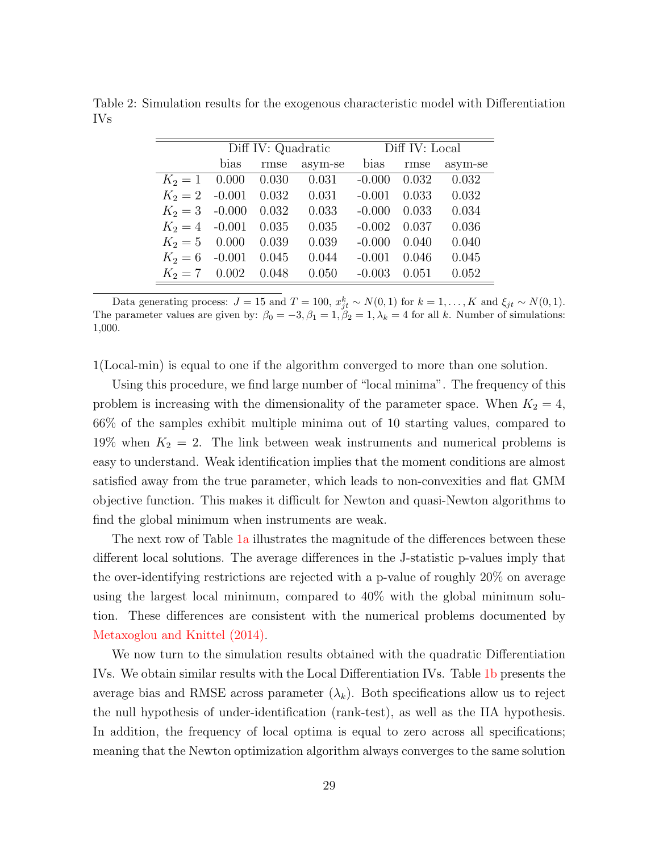|                  |          | Diff IV: Quadratic |         | Diff IV: Local |       |         |  |
|------------------|----------|--------------------|---------|----------------|-------|---------|--|
|                  | bias     | rmse               | asym-se | bias           | rmse  | asym-se |  |
| $K_2 = 1$        | 0.000    | 0.030              | 0.031   | $-0.000$       | 0.032 | 0.032   |  |
| $K_2 = 2$ -0.001 |          | 0.032              | 0.031   | $-0.001$       | 0.033 | 0.032   |  |
| $K_2 = 3$ -0.000 |          | 0.032              | 0.033   | $-0.000$       | 0.033 | 0.034   |  |
| $K_2 = 4$ -0.001 |          | 0.035              | 0.035   | $-0.002$       | 0.037 | 0.036   |  |
| $K_2 = 5$        | 0.000    | 0.039              | 0.039   | $-0.000$       | 0.040 | 0.040   |  |
| $K_2=6$          | $-0.001$ | 0.045              | 0.044   | $-0.001$       | 0.046 | 0.045   |  |
| $K_2 = 7$ 0.002  |          | 0.048              | 0.050   | $-0.003$       | 0.051 | 0.052   |  |

<span id="page-29-0"></span>Table 2: Simulation results for the exogenous characteristic model with Differentiation IVs

Data generating process:  $J = 15$  and  $T = 100$ ,  $x_{jt}^k \sim N(0, 1)$  for  $k = 1, ..., K$  and  $\xi_{jt} \sim N(0, 1)$ . The parameter values are given by:  $\beta_0 = -3, \beta_1 = 1, \beta_2 = 1, \lambda_k = 4$  for all k. Number of simulations: 1,000.

1(Local-min) is equal to one if the algorithm converged to more than one solution.

Using this procedure, we find large number of "local minima". The frequency of this problem is increasing with the dimensionality of the parameter space. When  $K_2 = 4$ , 66% of the samples exhibit multiple minima out of 10 starting values, compared to 19% when  $K_2 = 2$ . The link between weak instruments and numerical problems is easy to understand. Weak identification implies that the moment conditions are almost satisfied away from the true parameter, which leads to non-convexities and flat GMM objective function. This makes it difficult for Newton and quasi-Newton algorithms to find the global minimum when instruments are weak.

The next row of Table [1a](#page-28-0) illustrates the magnitude of the differences between these different local solutions. The average differences in the J-statistic p-values imply that the over-identifying restrictions are rejected with a p-value of roughly 20% on average using the largest local minimum, compared to 40% with the global minimum solution. These differences are consistent with the numerical problems documented by [Metaxoglou and Knittel \(2014\).](#page-53-1)

We now turn to the simulation results obtained with the quadratic Differentiation IVs. We obtain similar results with the Local Differentiation IVs. Table [1b](#page-28-1) presents the average bias and RMSE across parameter  $(\lambda_k)$ . Both specifications allow us to reject the null hypothesis of under-identification (rank-test), as well as the IIA hypothesis. In addition, the frequency of local optima is equal to zero across all specifications; meaning that the Newton optimization algorithm always converges to the same solution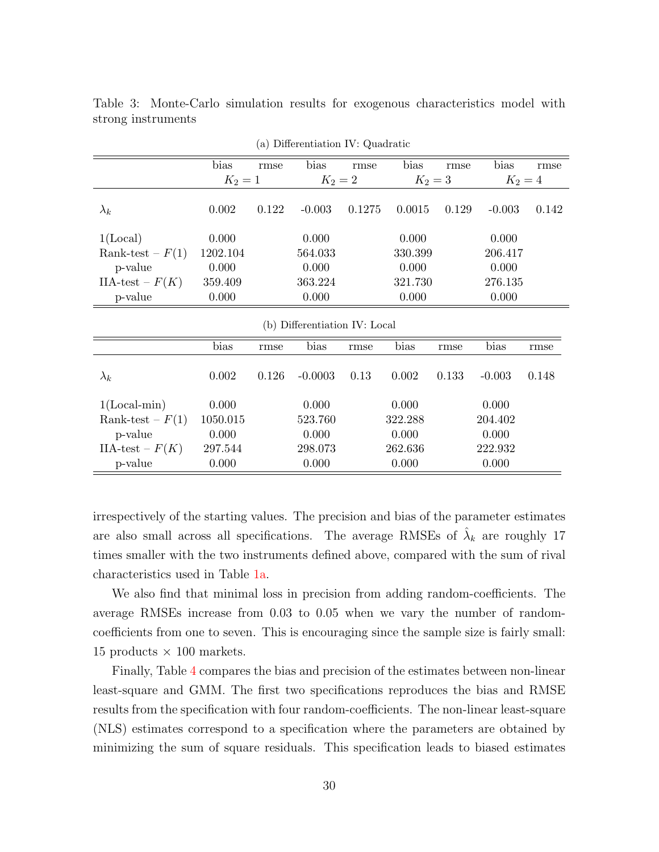<span id="page-30-1"></span><span id="page-30-0"></span>

| (a) Differentiation IV: Quadratic |          |                                     |                               |        |           |       |          |       |  |
|-----------------------------------|----------|-------------------------------------|-------------------------------|--------|-----------|-------|----------|-------|--|
|                                   | bias     | rmse                                | bias                          | rmse   | bias      | rmse  | bias     | rmse  |  |
|                                   |          | $K_2 = 2$<br>$K_2 = 3$<br>$K_2 = 1$ |                               |        | $K_2 = 4$ |       |          |       |  |
| $\lambda_k$                       | 0.002    | 0.122                               | $-0.003$                      | 0.1275 | 0.0015    | 0.129 | $-0.003$ | 0.142 |  |
| 1(Local)                          | 0.000    |                                     | 0.000                         |        | 0.000     |       | 0.000    |       |  |
| Rank-test – $F(1)$                | 1202.104 |                                     | 564.033                       |        | 330.399   |       | 206.417  |       |  |
| p-value                           | 0.000    |                                     | 0.000                         |        | 0.000     |       | 0.000    |       |  |
| $IIA-test - F(K)$                 | 359.409  |                                     | 363.224                       |        | 321.730   |       | 276.135  |       |  |
| p-value                           | 0.000    |                                     | 0.000                         |        | 0.000     |       | 0.000    |       |  |
|                                   |          |                                     | (b) Differentiation IV: Local |        |           |       |          |       |  |
|                                   | bias     | rmse                                | bias                          | rmse   | bias      | rmse  | bias     | rmse  |  |
| $\lambda_k$                       | 0.002    | 0.126                               | $-0.0003$                     | 0.13   | 0.002     | 0.133 | $-0.003$ | 0.148 |  |
| $1(Local-min)$                    | 0.000    |                                     | 0.000                         |        | 0.000     |       | 0.000    |       |  |
| Rank-test – $F(1)$                | 1050.015 |                                     | 523.760                       |        | 322.288   |       | 204.402  |       |  |
| p-value                           | 0.000    |                                     | 0.000                         |        | 0.000     |       | 0.000    |       |  |
| $IIA-test - F(K)$                 | 297.544  |                                     | 298.073                       |        | 262.636   |       | 222.932  |       |  |
| p-value                           | 0.000    |                                     | 0.000                         |        | 0.000     |       | 0.000    |       |  |

Table 3: Monte-Carlo simulation results for exogenous characteristics model with strong instruments

irrespectively of the starting values. The precision and bias of the parameter estimates are also small across all specifications. The average RMSEs of  $\hat{\lambda}_k$  are roughly 17 times smaller with the two instruments defined above, compared with the sum of rival characteristics used in Table [1a.](#page-28-0)

We also find that minimal loss in precision from adding random-coefficients. The average RMSEs increase from 0.03 to 0.05 when we vary the number of randomcoefficients from one to seven. This is encouraging since the sample size is fairly small: 15 products  $\times$  100 markets.

Finally, Table [4](#page-31-0) compares the bias and precision of the estimates between non-linear least-square and GMM. The first two specifications reproduces the bias and RMSE results from the specification with four random-coefficients. The non-linear least-square (NLS) estimates correspond to a specification where the parameters are obtained by minimizing the sum of square residuals. This specification leads to biased estimates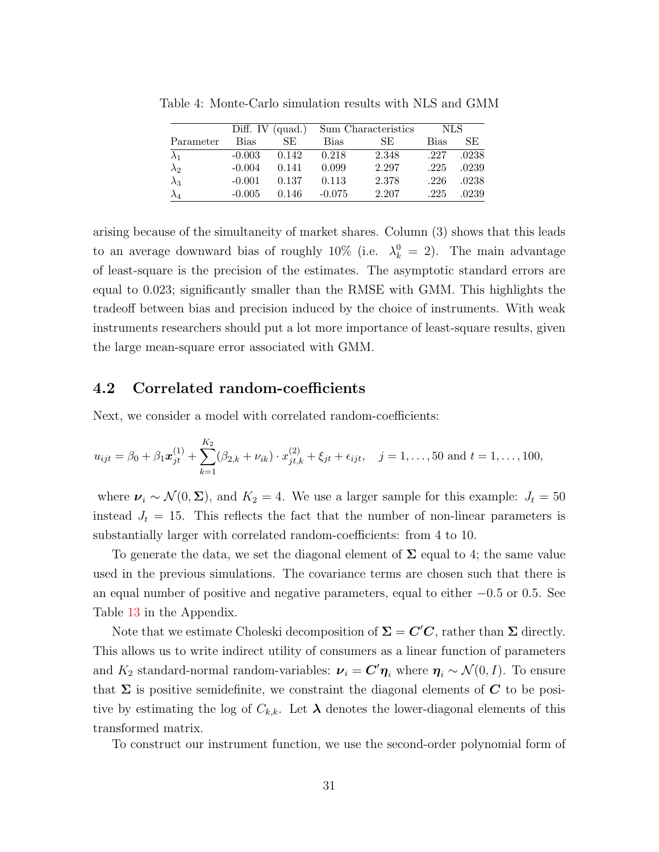|             | Diff. IV $(quad.)$ |       |             | Sum Characteristics | NLS. |       |
|-------------|--------------------|-------|-------------|---------------------|------|-------|
| Parameter   | Bias               | SE.   | <b>Bias</b> | SE.                 | Bias | SE.   |
| $\lambda_1$ | $-0.003$           | 0.142 | 0.218       | 2.348               | .227 | .0238 |
| $\lambda_2$ | $-0.004$           | 0.141 | 0.099       | 2.297               | .225 | .0239 |
| $\lambda_3$ | $-0.001$           | 0.137 | 0.113       | 2.378               | .226 | .0238 |
| $\lambda_4$ | $-0.005$           | 0.146 | $-0.075$    | 2.207               | .225 | .0239 |

<span id="page-31-0"></span>Table 4: Monte-Carlo simulation results with NLS and GMM

arising because of the simultaneity of market shares. Column (3) shows that this leads to an average downward bias of roughly 10% (i.e.  $\lambda_k^0 = 2$ ). The main advantage of least-square is the precision of the estimates. The asymptotic standard errors are equal to 0.023; significantly smaller than the RMSE with GMM. This highlights the tradeoff between bias and precision induced by the choice of instruments. With weak instruments researchers should put a lot more importance of least-square results, given the large mean-square error associated with GMM.

#### <span id="page-31-1"></span>4.2 Correlated random-coefficients

Next, we consider a model with correlated random-coefficients:

$$
u_{ijt} = \beta_0 + \beta_1 \boldsymbol{x}_{jt}^{(1)} + \sum_{k=1}^{K_2} (\beta_{2,k} + \nu_{ik}) \cdot \boldsymbol{x}_{jt,k}^{(2)} + \xi_{jt} + \epsilon_{ijt}, \quad j = 1, \dots, 50 \text{ and } t = 1, \dots, 100,
$$

where  $v_i \sim \mathcal{N}(0, \Sigma)$ , and  $K_2 = 4$ . We use a larger sample for this example:  $J_t = 50$ instead  $J_t = 15$ . This reflects the fact that the number of non-linear parameters is substantially larger with correlated random-coefficients: from 4 to 10.

To generate the data, we set the diagonal element of  $\Sigma$  equal to 4; the same value used in the previous simulations. The covariance terms are chosen such that there is an equal number of positive and negative parameters, equal to either −0.5 or 0.5. See Table [13](#page-62-1) in the Appendix.

Note that we estimate Choleski decomposition of  $\Sigma = C'C$ , rather than  $\Sigma$  directly. This allows us to write indirect utility of consumers as a linear function of parameters and  $K_2$  standard-normal random-variables:  $\boldsymbol{\nu}_i = \boldsymbol{C}' \boldsymbol{\eta}_i$  where  $\boldsymbol{\eta}_i \sim \mathcal{N}(0, I)$ . To ensure that  $\Sigma$  is positive semidefinite, we constraint the diagonal elements of  $C$  to be positive by estimating the log of  $C_{k,k}$ . Let  $\lambda$  denotes the lower-diagonal elements of this transformed matrix.

To construct our instrument function, we use the second-order polynomial form of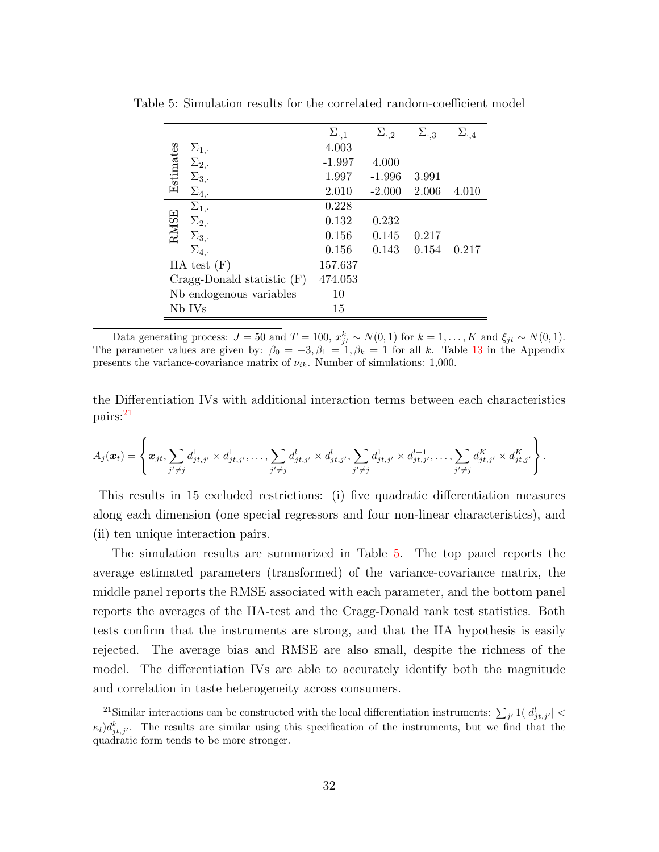|                                 | $\Sigma_{\cdot,1}$ | $\Sigma_{\cdot,2}$ | $\Sigma_{\cdot,3}$ | $\Sigma_{\cdot,4}$ |
|---------------------------------|--------------------|--------------------|--------------------|--------------------|
| $\Sigma_{1,\cdot}$              | 4.003              |                    |                    |                    |
| $\Sigma_{2}$ .                  | $-1.997$           | 4.000              |                    |                    |
| Estimates<br>$\Sigma_{3}$       | 1.997              | $-1.996$           | 3.991              |                    |
| $\Sigma_{4,}.$                  | 2.010              | $-2.000$           | 2.006              | 4.010              |
| $\Sigma_{1,}.$                  | 0.228              |                    |                    |                    |
| $\Sigma_{2,}.$                  | 0.132              | 0.232              |                    |                    |
| <b>RMSE</b><br>$\Sigma_{3}$ .   | 0.156              | 0.145              | 0.217              |                    |
| $\Sigma_4$ .                    | 0.156              | 0.143              | 0.154              | 0.217              |
| IIA test $(F)$                  | 157.637            |                    |                    |                    |
| $Cragg$ -Donald statistic $(F)$ | 474.053            |                    |                    |                    |
| Nb endogenous variables         | 10                 |                    |                    |                    |
| Nb IVs                          | 15                 |                    |                    |                    |

<span id="page-32-1"></span>Table 5: Simulation results for the correlated random-coefficient model

<span id="page-32-0"></span>Data generating process:  $J = 50$  and  $T = 100$ ,  $x_{jt}^k \sim N(0, 1)$  for  $k = 1, ..., K$  and  $\xi_{jt} \sim N(0, 1)$ . The parameter values are given by:  $\beta_0 = -3, \beta_1 = 1, \beta_k = 1$  for all k. Table [13](#page-62-1) in the Appendix presents the variance-covariance matrix of  $\nu_{ik}$ . Number of simulations: 1,000.

the Differentiation IVs with additional interaction terms between each characteristics pairs:[21](#page-32-0)

$$
A_j(\boldsymbol{x}_t) = \left\{ \boldsymbol{x}_{jt}, \sum_{j' \neq j} d_{jt,j'}^1 \times d_{jt,j'}^1, \dots, \sum_{j' \neq j} d_{jt,j'}^l \times d_{jt,j'}^l, \sum_{j' \neq j} d_{jt,j'}^1 \times d_{jt,j'}^{l+1}, \dots, \sum_{j' \neq j} d_{jt,j'}^K \times d_{jt,j'}^K \right\}.
$$

This results in 15 excluded restrictions: (i) five quadratic differentiation measures along each dimension (one special regressors and four non-linear characteristics), and (ii) ten unique interaction pairs.

The simulation results are summarized in Table [5.](#page-32-1) The top panel reports the average estimated parameters (transformed) of the variance-covariance matrix, the middle panel reports the RMSE associated with each parameter, and the bottom panel reports the averages of the IIA-test and the Cragg-Donald rank test statistics. Both tests confirm that the instruments are strong, and that the IIA hypothesis is easily rejected. The average bias and RMSE are also small, despite the richness of the model. The differentiation IVs are able to accurately identify both the magnitude and correlation in taste heterogeneity across consumers.

<sup>&</sup>lt;sup>21</sup>Similar interactions can be constructed with the local differentiation instruments:  $\sum_{j'} 1(|d_{jt,j'}^l| <$  $\kappa_l$ ) $d_{jt,j}^k$ . The results are similar using this specification of the instruments, but we find that the quadratic form tends to be more stronger.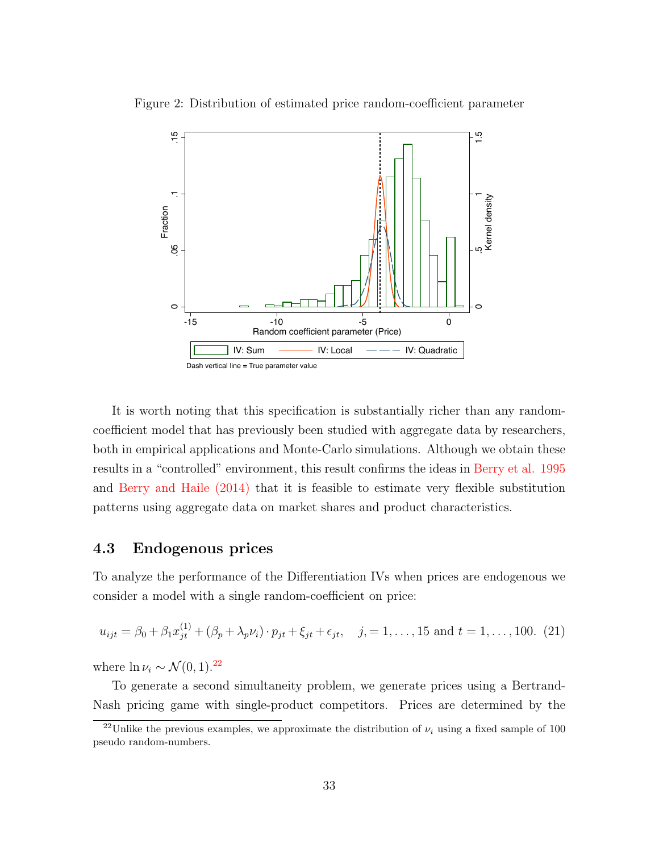

<span id="page-33-1"></span>Figure 2: Distribution of estimated price random-coefficient parameter

It is worth noting that this specification is substantially richer than any randomcoefficient model that has previously been studied with aggregate data by researchers, both in empirical applications and Monte-Carlo simulations. Although we obtain these results in a "controlled" environment, this result confirms the ideas in [Berry et al. 1995](#page-51-1) and [Berry and Haile \(2014\)](#page-52-5) that it is feasible to estimate very flexible substitution patterns using aggregate data on market shares and product characteristics.

#### <span id="page-33-2"></span>4.3 Endogenous prices

To analyze the performance of the Differentiation IVs when prices are endogenous we consider a model with a single random-coefficient on price:

$$
u_{ijt} = \beta_0 + \beta_1 x_{jt}^{(1)} + (\beta_p + \lambda_p \nu_i) \cdot p_{jt} + \xi_{jt} + \epsilon_{jt}, \quad j = 1, ..., 15 \text{ and } t = 1, ..., 100. (21)
$$

where  $\ln \nu_i \sim \mathcal{N}(0, 1).^{22}$  $\ln \nu_i \sim \mathcal{N}(0, 1).^{22}$  $\ln \nu_i \sim \mathcal{N}(0, 1).^{22}$ 

To generate a second simultaneity problem, we generate prices using a Bertrand-Nash pricing game with single-product competitors. Prices are determined by the

<span id="page-33-0"></span><sup>&</sup>lt;sup>22</sup>Unlike the previous examples, we approximate the distribution of  $\nu_i$  using a fixed sample of 100 pseudo random-numbers.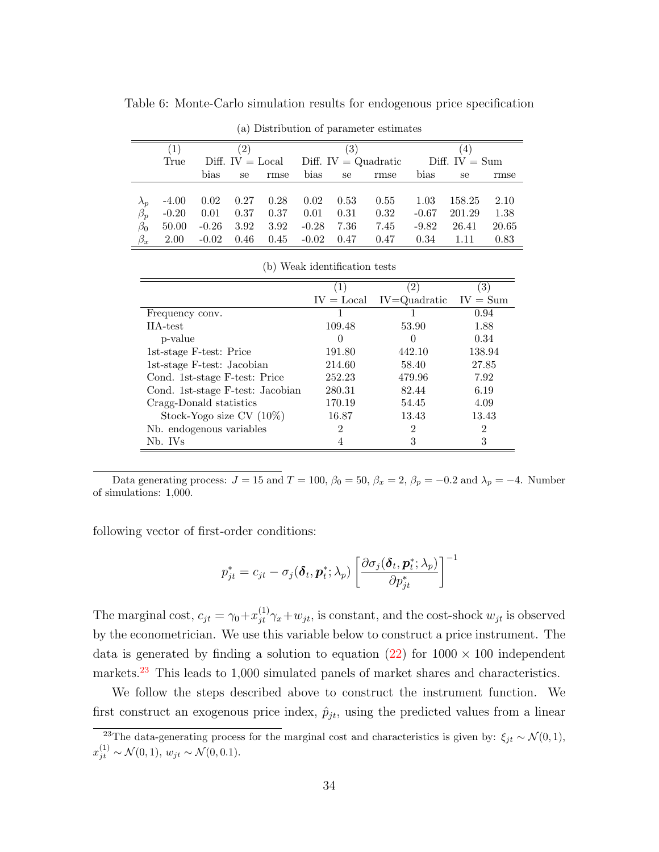<span id="page-34-4"></span>

|             | (a) Distribution of parameter estimates |                                                                        |                    |      |         |                        |      |         |                  |       |  |  |  |
|-------------|-----------------------------------------|------------------------------------------------------------------------|--------------------|------|---------|------------------------|------|---------|------------------|-------|--|--|--|
|             | (2)<br>3)<br>4)<br>$\perp$              |                                                                        |                    |      |         |                        |      |         |                  |       |  |  |  |
|             | True                                    |                                                                        | Diff. $IV = Local$ |      |         | Diff. $IV = Quadratic$ |      |         | Diff. $IV = Sum$ |       |  |  |  |
|             |                                         | bias<br>bias<br>bias<br>rmse<br>rmse<br>se<br>se<br>se                 |                    |      |         |                        |      |         |                  | rmse  |  |  |  |
|             |                                         |                                                                        |                    |      |         |                        |      |         |                  |       |  |  |  |
| $\lambda_p$ | $-4.00$                                 | 0.02                                                                   | 0.27               | 0.28 | 0.02    | 0.53                   | 0.55 | 1.03    | 158.25           | 2.10  |  |  |  |
| $\beta_p$   | $-0.20$                                 | 0.01                                                                   | 0.37               | 0.37 | 0.01    | 0.31                   | 0.32 | $-0.67$ | 201.29           | 1.38  |  |  |  |
| $\beta_0$   | 50.00                                   | 3.92<br>$-0.26$<br>3.92<br>$-0.28$<br>7.36<br>7.45<br>$-9.82$<br>26.41 |                    |      |         |                        |      |         |                  | 20.65 |  |  |  |
| $\beta_x$   | 2.00                                    | $-0.02$                                                                | 0.46               | 0.45 | $-0.02$ | 0.47                   | 0.47 | 0.34    | 1.11             | 0.83  |  |  |  |

<span id="page-34-2"></span>Table 6: Monte-Carlo simulation results for endogenous price specification

(b) Weak identification tests

<span id="page-34-3"></span>

|                                  |              | $\left(2\right)$            | 3)     |
|----------------------------------|--------------|-----------------------------|--------|
|                                  | $IV = Local$ | $IV = Quadratic$ $IV = Sum$ |        |
| Frequency conv.                  |              |                             | 0.94   |
| IIA-test                         | 109.48       | 53.90                       | 1.88   |
| p-value                          | $\cup$       | $\theta$                    | 0.34   |
| 1st-stage F-test: Price          | 191.80       | 442.10                      | 138.94 |
| 1st-stage F-test: Jacobian       | 214.60       | 58.40                       | 27.85  |
| Cond. 1st-stage F-test: Price    | 252.23       | 479.96                      | 7.92   |
| Cond. 1st-stage F-test: Jacobian | 280.31       | 82.44                       | 6.19   |
| Cragg-Donald statistics          | 170.19       | 54.45                       | 4.09   |
| Stock-Yogo size $CV(10\%)$       | 16.87        | 13.43                       | 13.43  |
| Nb. endogenous variables         | 2            | $\overline{2}$              | 2      |
| Nb. IVs                          |              | З                           | 3      |

<span id="page-34-1"></span>Data generating process:  $J = 15$  and  $T = 100$ ,  $\beta_0 = 50$ ,  $\beta_x = 2$ ,  $\beta_p = -0.2$  and  $\lambda_p = -4$ . Number of simulations: 1,000.

following vector of first-order conditions:

<span id="page-34-0"></span>
$$
p_{jt}^* = c_{jt} - \sigma_j(\boldsymbol{\delta}_t, \boldsymbol{p}_t^*; \lambda_p) \left[ \frac{\partial \sigma_j(\boldsymbol{\delta}_t, \boldsymbol{p}_t^*; \lambda_p)}{\partial p_{jt}^*} \right]^{-1}
$$

The marginal cost,  $c_{jt} = \gamma_0 + x_{jt}^{(1)} \gamma_x + w_{jt}$ , is constant, and the cost-shock  $w_{jt}$  is observed by the econometrician. We use this variable below to construct a price instrument. The data is generated by finding a solution to equation [\(22\)](#page-34-0) for  $1000 \times 100$  independent markets.<sup>[23](#page-34-1)</sup> This leads to 1,000 simulated panels of market shares and characteristics.

We follow the steps described above to construct the instrument function. We first construct an exogenous price index,  $\hat{p}_{jt}$ , using the predicted values from a linear

<sup>&</sup>lt;sup>23</sup>The data-generating process for the marginal cost and characteristics is given by:  $\xi_{jt} \sim \mathcal{N}(0, 1)$ ,  $x_{jt}^{(1)} \sim \mathcal{N}(0, 1), w_{jt} \sim \mathcal{N}(0, 0.1).$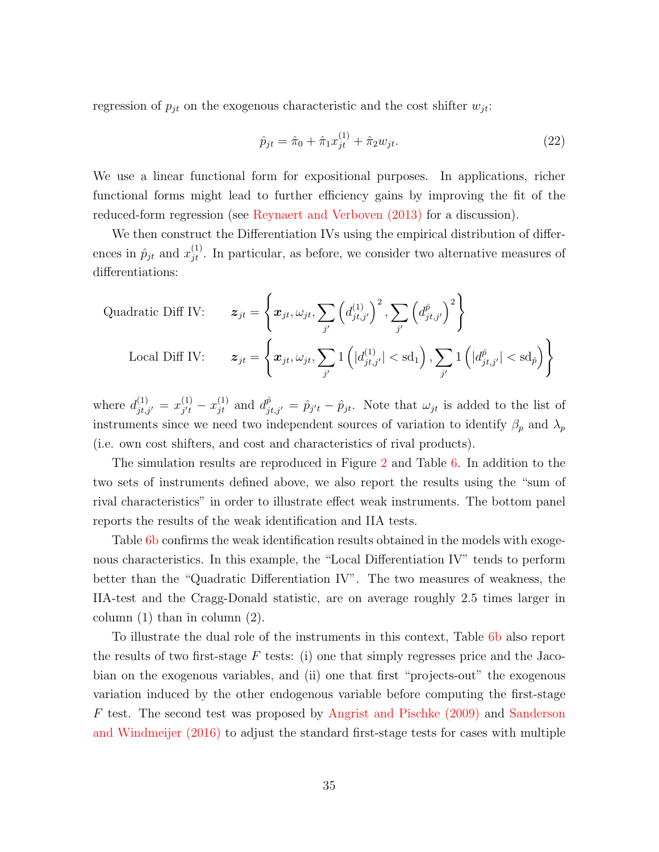regression of  $p_{jt}$  on the exogenous characteristic and the cost shifter  $w_{jt}$ :

$$
\hat{p}_{jt} = \hat{\pi}_0 + \hat{\pi}_1 x_{jt}^{(1)} + \hat{\pi}_2 w_{jt}.
$$
\n(22)

We use a linear functional form for expositional purposes. In applications, richer functional forms might lead to further efficiency gains by improving the fit of the reduced-form regression (see [Reynaert and Verboven \(2013\)](#page-54-4) for a discussion).

We then construct the Differentiation IVs using the empirical distribution of differences in  $\hat{p}_{jt}$  and  $x_{jt}^{(1)}$ . In particular, as before, we consider two alternative measures of differentiations:

Quadratic Diff IV: 
$$
\mathbf{z}_{jt} = \left\{ \boldsymbol{x}_{jt}, \omega_{jt}, \sum_{j'} \left( d_{jt,j'}^{(1)} \right)^2, \sum_{j'} \left( d_{jt,j'}^{\hat{p}} \right)^2 \right\}
$$
  
Local Diff IV: 
$$
\mathbf{z}_{jt} = \left\{ \boldsymbol{x}_{jt}, \omega_{jt}, \sum_{j'} 1 \left( |d_{jt,j'}^{(1)}| < \text{sd}_1 \right), \sum_{j'} 1 \left( |d_{jt,j'}^{\hat{p}}| < \text{sd}_{\hat{p}} \right) \right\}
$$

where  $d_{jt,j'}^{(1)} = x_{j't}^{(1)}$  $j'^{(1)}_{j'} - x^{(1)}_{jt}$  and  $d^{\hat{p}}_{jt,j'} = \hat{p}_{j't} - \hat{p}_{jt}$ . Note that  $\omega_{jt}$  is added to the list of instruments since we need two independent sources of variation to identify  $\beta_p$  and  $\lambda_p$ (i.e. own cost shifters, and cost and characteristics of rival products).

The simulation results are reproduced in Figure [2](#page-33-1) and Table [6.](#page-34-2) In addition to the two sets of instruments defined above, we also report the results using the "sum of rival characteristics" in order to illustrate effect weak instruments. The bottom panel reports the results of the weak identification and IIA tests.

Table [6b](#page-34-3) confirms the weak identification results obtained in the models with exogenous characteristics. In this example, the "Local Differentiation IV" tends to perform better than the "Quadratic Differentiation IV". The two measures of weakness, the IIA-test and the Cragg-Donald statistic, are on average roughly 2.5 times larger in column (1) than in column (2).

To illustrate the dual role of the instruments in this context, Table [6b](#page-34-3) also report the results of two first-stage  $F$  tests: (i) one that simply regresses price and the Jacobian on the exogenous variables, and (ii) one that first "projects-out" the exogenous variation induced by the other endogenous variable before computing the first-stage F test. The second test was proposed by [Angrist and Pischke \(2009\)](#page-51-8) and [Sanderson](#page-54-11) [and Windmeijer \(2016\)](#page-54-11) to adjust the standard first-stage tests for cases with multiple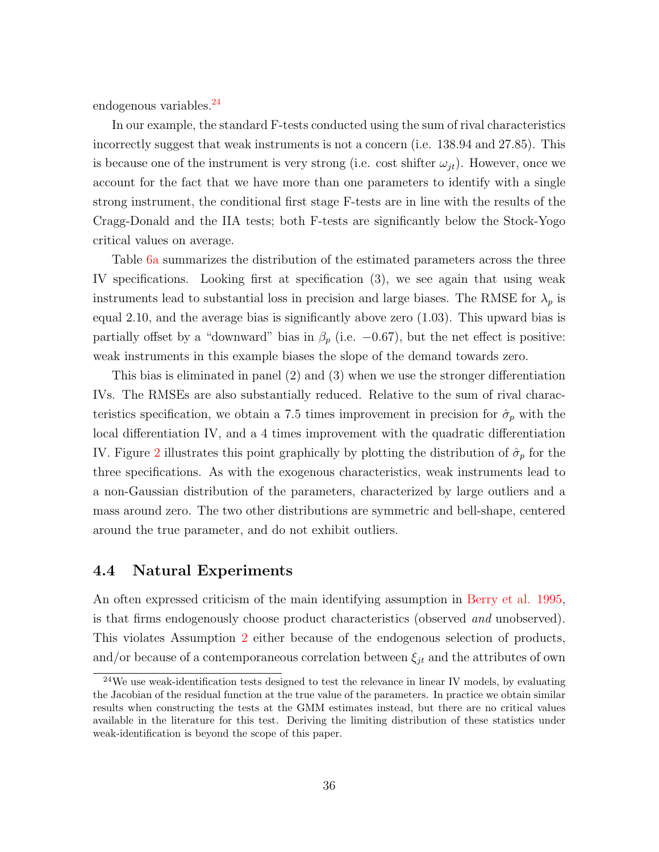endogenous variables.<sup>[24](#page-36-0)</sup>

In our example, the standard F-tests conducted using the sum of rival characteristics incorrectly suggest that weak instruments is not a concern (i.e. 138.94 and 27.85). This is because one of the instrument is very strong (i.e. cost shifter  $\omega_{jt}$ ). However, once we account for the fact that we have more than one parameters to identify with a single strong instrument, the conditional first stage F-tests are in line with the results of the Cragg-Donald and the IIA tests; both F-tests are significantly below the Stock-Yogo critical values on average.

Table [6a](#page-34-4) summarizes the distribution of the estimated parameters across the three IV specifications. Looking first at specification (3), we see again that using weak instruments lead to substantial loss in precision and large biases. The RMSE for  $\lambda_p$  is equal 2.10, and the average bias is significantly above zero (1.03). This upward bias is partially offset by a "downward" bias in  $\beta_p$  (i.e.  $-0.67$ ), but the net effect is positive: weak instruments in this example biases the slope of the demand towards zero.

This bias is eliminated in panel (2) and (3) when we use the stronger differentiation IVs. The RMSEs are also substantially reduced. Relative to the sum of rival characteristics specification, we obtain a 7.5 times improvement in precision for  $\hat{\sigma}_p$  with the local differentiation IV, and a 4 times improvement with the quadratic differentiation IV. Figure [2](#page-33-1) illustrates this point graphically by plotting the distribution of  $\hat{\sigma}_p$  for the three specifications. As with the exogenous characteristics, weak instruments lead to a non-Gaussian distribution of the parameters, characterized by large outliers and a mass around zero. The two other distributions are symmetric and bell-shape, centered around the true parameter, and do not exhibit outliers.

#### 4.4 Natural Experiments

An often expressed criticism of the main identifying assumption in [Berry et al. 1995,](#page-51-1) is that firms endogenously choose product characteristics (observed and unobserved). This violates Assumption [2](#page-7-0) either because of the endogenous selection of products, and/or because of a contemporaneous correlation between  $\xi_{jt}$  and the attributes of own

<span id="page-36-0"></span><sup>24</sup>We use weak-identification tests designed to test the relevance in linear IV models, by evaluating the Jacobian of the residual function at the true value of the parameters. In practice we obtain similar results when constructing the tests at the GMM estimates instead, but there are no critical values available in the literature for this test. Deriving the limiting distribution of these statistics under weak-identification is beyond the scope of this paper.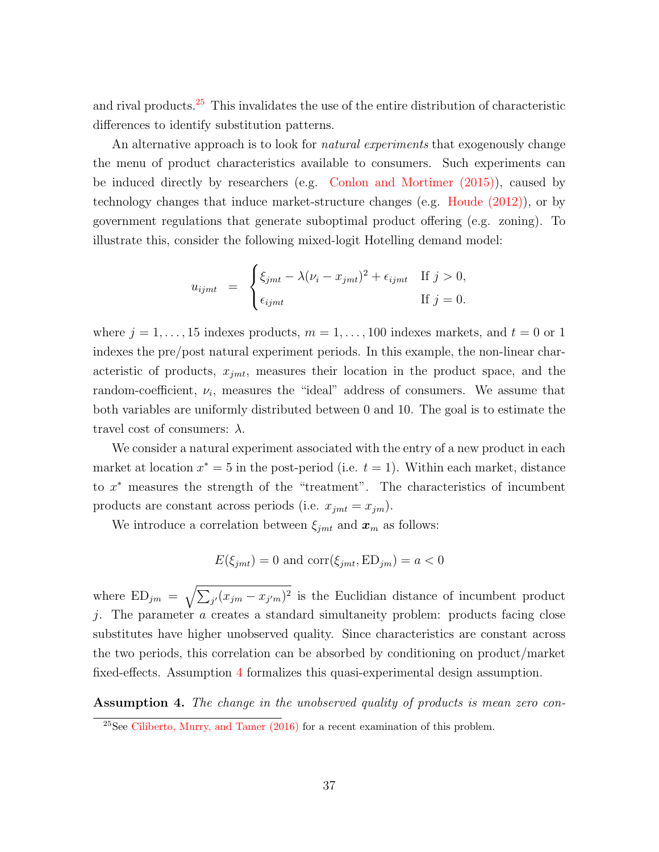and rival products.[25](#page-37-0) This invalidates the use of the entire distribution of characteristic differences to identify substitution patterns.

An alternative approach is to look for *natural experiments* that exogenously change the menu of product characteristics available to consumers. Such experiments can be induced directly by researchers (e.g. [Conlon and Mortimer \(2015\)\)](#page-52-14), caused by technology changes that induce market-structure changes (e.g. [Houde \(2012\)\)](#page-53-6), or by government regulations that generate suboptimal product offering (e.g. zoning). To illustrate this, consider the following mixed-logit Hotelling demand model:

$$
u_{ijmt} = \begin{cases} \xi_{jmt} - \lambda (\nu_i - x_{jmt})^2 + \epsilon_{ijmt} & \text{If } j > 0, \\ \epsilon_{ijmt} & \text{If } j = 0. \end{cases}
$$

where  $j = 1, \ldots, 15$  indexes products,  $m = 1, \ldots, 100$  indexes markets, and  $t = 0$  or 1 indexes the pre/post natural experiment periods. In this example, the non-linear characteristic of products,  $x_{jmt}$ , measures their location in the product space, and the random-coefficient,  $\nu_i$ , measures the "ideal" address of consumers. We assume that both variables are uniformly distributed between 0 and 10. The goal is to estimate the travel cost of consumers:  $\lambda$ .

We consider a natural experiment associated with the entry of a new product in each market at location  $x^* = 5$  in the post-period (i.e.  $t = 1$ ). Within each market, distance to x <sup>∗</sup> measures the strength of the "treatment". The characteristics of incumbent products are constant across periods (i.e.  $x_{jmt} = x_{jm}$ ).

We introduce a correlation between  $\xi_{jmt}$  and  $x_m$  as follows:

$$
E(\xi_{jmt}) = 0
$$
 and  $\text{corr}(\xi_{jmt}, \text{ED}_{jm}) = a < 0$ 

where  $ED_{jm} = \sqrt{\sum_{j'} (x_{jm} - x_{j'm})^2}$  is the Euclidian distance of incumbent product j. The parameter a creates a standard simultaneity problem: products facing close substitutes have higher unobserved quality. Since characteristics are constant across the two periods, this correlation can be absorbed by conditioning on product/market fixed-effects. Assumption [4](#page-37-1) formalizes this quasi-experimental design assumption.

<span id="page-37-1"></span>Assumption 4. The change in the unobserved quality of products is mean zero con-

<span id="page-37-0"></span> $^{25}$ See [Ciliberto, Murry, and Tamer \(2016\)](#page-52-15) for a recent examination of this problem.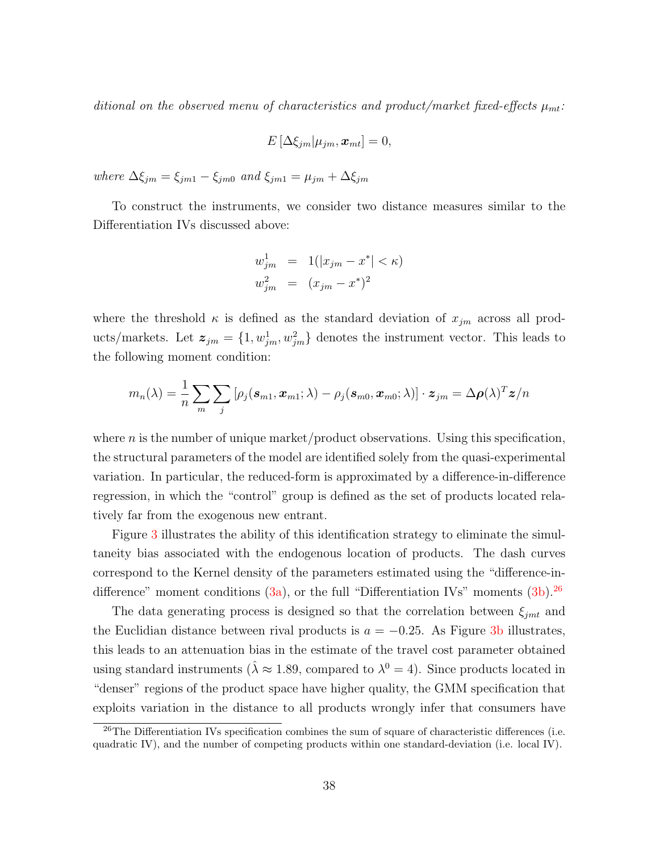ditional on the observed menu of characteristics and product/market fixed-effects  $\mu_{mt}$ :

$$
E\left[\Delta \xi_{jm}|\mu_{jm}, \boldsymbol{x}_{mt}\right] = 0,
$$

where  $\Delta \xi_{jm} = \xi_{jm1} - \xi_{jm0}$  and  $\xi_{jm1} = \mu_{jm} + \Delta \xi_{jm}$ 

To construct the instruments, we consider two distance measures similar to the Differentiation IVs discussed above:

$$
w_{jm}^{1} = 1(|x_{jm} - x^{*}| < \kappa)
$$
  

$$
w_{jm}^{2} = (x_{jm} - x^{*})^{2}
$$

where the threshold  $\kappa$  is defined as the standard deviation of  $x_{jm}$  across all products/markets. Let  $\mathbf{z}_{jm} = \{1, w_{jm}^1, w_{jm}^2\}$  denotes the instrument vector. This leads to the following moment condition:

$$
m_n(\lambda) = \frac{1}{n} \sum_{m} \sum_{j} \left[ \rho_j(\boldsymbol{s}_{m1}, \boldsymbol{x}_{m1}; \lambda) - \rho_j(\boldsymbol{s}_{m0}, \boldsymbol{x}_{m0}; \lambda) \right] \cdot \boldsymbol{z}_{jm} = \Delta \boldsymbol{\rho}(\lambda)^T \boldsymbol{z}/n
$$

where  $n$  is the number of unique market/product observations. Using this specification, the structural parameters of the model are identified solely from the quasi-experimental variation. In particular, the reduced-form is approximated by a difference-in-difference regression, in which the "control" group is defined as the set of products located relatively far from the exogenous new entrant.

Figure [3](#page-39-0) illustrates the ability of this identification strategy to eliminate the simultaneity bias associated with the endogenous location of products. The dash curves correspond to the Kernel density of the parameters estimated using the "difference-indifference" moment conditions  $(3a)$ , or the full "Differentiation IVs" moments  $(3b)$ <sup>[26](#page-38-0)</sup>

The data generating process is designed so that the correlation between  $\xi_{jmt}$  and the Euclidian distance between rival products is  $a = -0.25$ . As Figure [3b](#page-39-2) illustrates, this leads to an attenuation bias in the estimate of the travel cost parameter obtained using standard instruments ( $\hat{\lambda} \approx 1.89$ , compared to  $\lambda^0 = 4$ ). Since products located in "denser" regions of the product space have higher quality, the GMM specification that exploits variation in the distance to all products wrongly infer that consumers have

<span id="page-38-0"></span><sup>&</sup>lt;sup>26</sup>The Differentiation IVs specification combines the sum of square of characteristic differences (i.e. quadratic IV), and the number of competing products within one standard-deviation (i.e. local IV).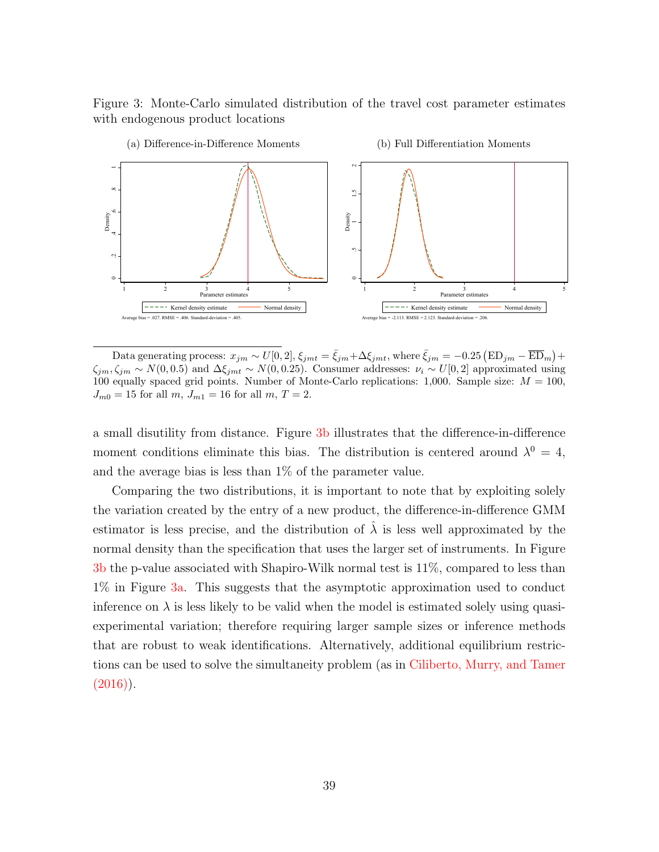<span id="page-39-2"></span><span id="page-39-0"></span>Figure 3: Monte-Carlo simulated distribution of the travel cost parameter estimates with endogenous product locations

<span id="page-39-1"></span>

Data generating process:  $x_{jm} \sim U[0, 2]$ ,  $\xi_{jmt} = \bar{\xi}_{jm} + \Delta \xi_{jmt}$ , where  $\bar{\xi}_{jm} = -0.25 (\text{ED}_{jm} - \overline{\text{ED}}_m) +$  $\zeta_{jm}, \zeta_{jm} \sim N(0, 0.5)$  and  $\Delta \xi_{jm} t \sim N(0, 0.25)$ . Consumer addresses:  $\nu_i \sim U[0, 2]$  approximated using 100 equally spaced grid points. Number of Monte-Carlo replications: 1,000. Sample size:  $M = 100$ ,  $J_{m0} = 15$  for all  $m, J_{m1} = 16$  for all  $m, T = 2$ .

a small disutility from distance. Figure [3b](#page-39-2) illustrates that the difference-in-difference moment conditions eliminate this bias. The distribution is centered around  $\lambda^0 = 4$ , and the average bias is less than 1% of the parameter value.

Comparing the two distributions, it is important to note that by exploiting solely the variation created by the entry of a new product, the difference-in-difference GMM estimator is less precise, and the distribution of  $\lambda$  is less well approximated by the normal density than the specification that uses the larger set of instruments. In Figure [3b](#page-39-2) the p-value associated with Shapiro-Wilk normal test is 11%, compared to less than 1% in Figure [3a.](#page-39-1) This suggests that the asymptotic approximation used to conduct inference on  $\lambda$  is less likely to be valid when the model is estimated solely using quasiexperimental variation; therefore requiring larger sample sizes or inference methods that are robust to weak identifications. Alternatively, additional equilibrium restrictions can be used to solve the simultaneity problem (as in [Ciliberto, Murry, and Tamer](#page-52-15)  $(2016)$ .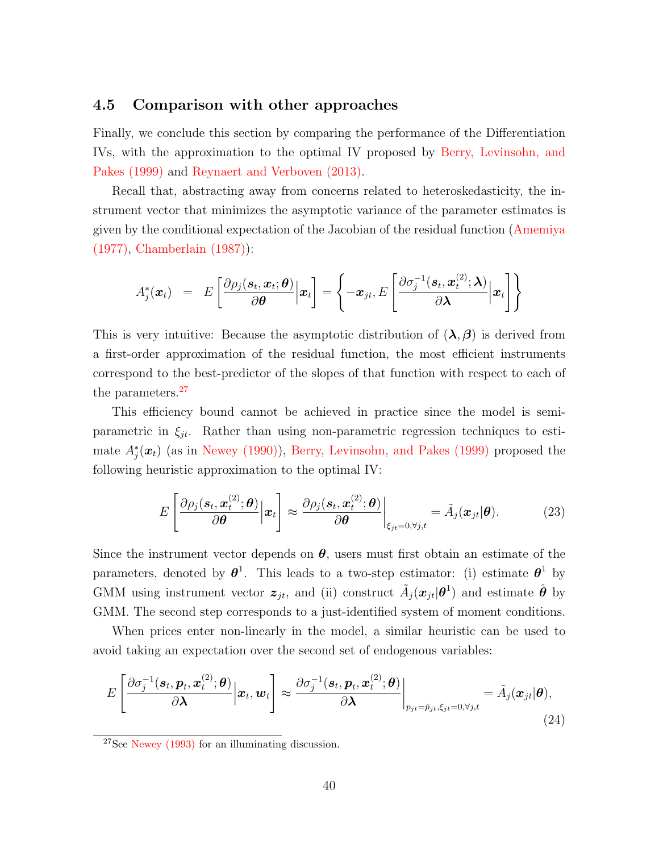#### 4.5 Comparison with other approaches

Finally, we conclude this section by comparing the performance of the Differentiation IVs, with the approximation to the optimal IV proposed by [Berry, Levinsohn, and](#page-52-0) [Pakes \(1999\)](#page-52-0) and [Reynaert and Verboven \(2013\).](#page-54-4)

Recall that, abstracting away from concerns related to heteroskedasticity, the instrument vector that minimizes the asymptotic variance of the parameter estimates is given by the conditional expectation of the Jacobian of the residual function [\(Amemiya](#page-51-3) [\(1977\),](#page-51-3) [Chamberlain \(1987\)\)](#page-52-8):

$$
A_j^*(\boldsymbol{x}_t) = E\left[\frac{\partial \rho_j(\boldsymbol{s}_t, \boldsymbol{x}_t; \boldsymbol{\theta})}{\partial \boldsymbol{\theta}} \Big| \boldsymbol{x}_t\right] = \left\{-\boldsymbol{x}_{jt}, E\left[\frac{\partial \sigma_j^{-1}(\boldsymbol{s}_t, \boldsymbol{x}_t^{(2)}; \boldsymbol{\lambda})}{\partial \boldsymbol{\lambda}} \Big| \boldsymbol{x}_t\right]\right\}
$$

This is very intuitive: Because the asymptotic distribution of  $(\lambda, \beta)$  is derived from a first-order approximation of the residual function, the most efficient instruments correspond to the best-predictor of the slopes of that function with respect to each of the parameters.<sup>[27](#page-40-0)</sup>

This efficiency bound cannot be achieved in practice since the model is semiparametric in  $\xi_{it}$ . Rather than using non-parametric regression techniques to estimate  $A_j^*(x_t)$  (as in [Newey \(1990\)\)](#page-54-12), [Berry, Levinsohn, and Pakes \(1999\)](#page-52-0) proposed the following heuristic approximation to the optimal IV:

<span id="page-40-1"></span>
$$
E\left[\frac{\partial \rho_j(\mathbf{s}_t, \mathbf{x}_t^{(2)}; \boldsymbol{\theta})}{\partial \boldsymbol{\theta}} \Big| \mathbf{x}_t\right] \approx \frac{\partial \rho_j(\mathbf{s}_t, \mathbf{x}_t^{(2)}; \boldsymbol{\theta})}{\partial \boldsymbol{\theta}} \bigg|_{\xi_{jt} = 0, \forall j, t} = \tilde{A}_j(\mathbf{x}_{jt} | \boldsymbol{\theta}). \tag{23}
$$

Since the instrument vector depends on  $\theta$ , users must first obtain an estimate of the parameters, denoted by  $\theta^1$ . This leads to a two-step estimator: (i) estimate  $\theta^1$  by GMM using instrument vector  $z_{jt}$ , and (ii) construct  $\tilde{A}_j(x_{jt}|\theta^1)$  and estimate  $\hat{\theta}$  by GMM. The second step corresponds to a just-identified system of moment conditions.

When prices enter non-linearly in the model, a similar heuristic can be used to avoid taking an expectation over the second set of endogenous variables:

$$
E\left[\frac{\partial \sigma_j^{-1}(\boldsymbol{s}_t, \boldsymbol{p}_t, \boldsymbol{x}_t^{(2)}; \boldsymbol{\theta})}{\partial \boldsymbol{\lambda}} \Big| \boldsymbol{x}_t, \boldsymbol{w}_t\right] \approx \frac{\partial \sigma_j^{-1}(\boldsymbol{s}_t, \boldsymbol{p}_t, \boldsymbol{x}_t^{(2)}; \boldsymbol{\theta})}{\partial \boldsymbol{\lambda}}\bigg|_{p_{jt} = \hat{p}_{jt}, \xi_{jt} = 0, \forall j, t} = \tilde{A}_j(\boldsymbol{x}_{jt}|\boldsymbol{\theta}),
$$
\n(24)

<span id="page-40-0"></span> $27$ See [Newey \(1993\)](#page-54-10) for an illuminating discussion.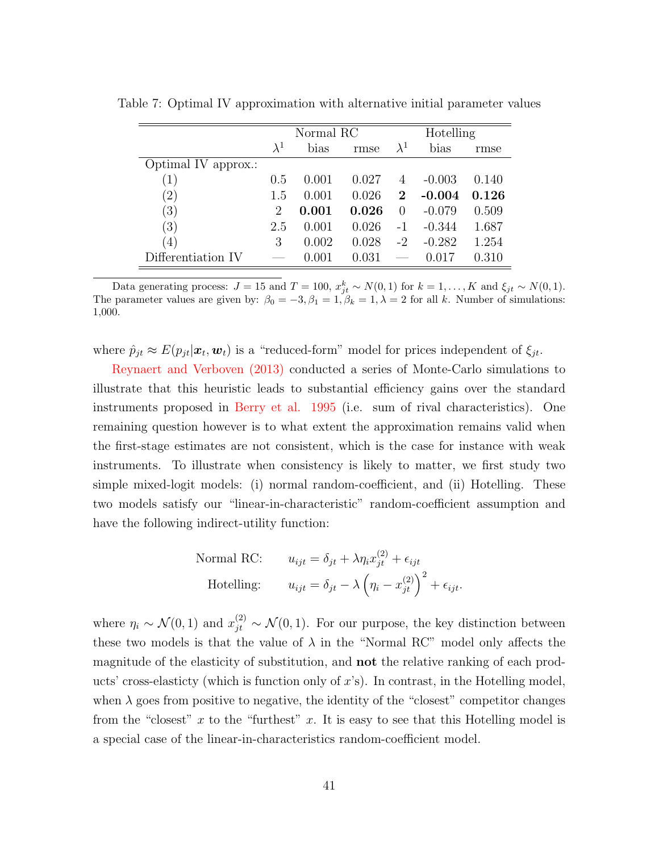|                     | Normal RC   |       |       | Hotelling        |          |       |
|---------------------|-------------|-------|-------|------------------|----------|-------|
|                     | $\lambda^1$ | bias  | rmse  | $\lambda^1$      | bias     | rmse  |
| Optimal IV approx.: |             |       |       |                  |          |       |
| (1)                 | 0.5         | 0.001 | 0.027 | 4                | $-0.003$ | 0.140 |
| $^{\prime}2)$       | 1.5         | 0.001 | 0.026 | $\mathbf 2$      | $-0.004$ | 0.126 |
| (3)                 | 2           | 0.001 | 0.026 | $\left( \right)$ | $-0.079$ | 0.509 |
| (3)                 | 2.5         | 0.001 | 0.026 | $-1$             | $-0.344$ | 1.687 |
| $\left( 4\right)$   | 3           | 0.002 | 0.028 | $-2$             | $-0.282$ | 1.254 |
| Differentiation IV  |             | 0.001 | 0.031 |                  | 0.017    | 0.310 |

<span id="page-41-0"></span>Table 7: Optimal IV approximation with alternative initial parameter values

Data generating process:  $J = 15$  and  $T = 100$ ,  $x_{jt}^k \sim N(0, 1)$  for  $k = 1, ..., K$  and  $\xi_{jt} \sim N(0, 1)$ . The parameter values are given by:  $\beta_0 = -3, \beta_1 = 1, \beta_k = 1, \lambda = 2$  for all k. Number of simulations: 1,000.

where  $\hat{p}_{jt} \approx E(p_{jt}|\boldsymbol{x}_t, \boldsymbol{w}_t)$  is a "reduced-form" model for prices independent of  $\xi_{jt}$ .

[Reynaert and Verboven \(2013\)](#page-54-4) conducted a series of Monte-Carlo simulations to illustrate that this heuristic leads to substantial efficiency gains over the standard instruments proposed in [Berry et al. 1995](#page-51-1) (i.e. sum of rival characteristics). One remaining question however is to what extent the approximation remains valid when the first-stage estimates are not consistent, which is the case for instance with weak instruments. To illustrate when consistency is likely to matter, we first study two simple mixed-logit models: (i) normal random-coefficient, and (ii) Hotelling. These two models satisfy our "linear-in-characteristic" random-coefficient assumption and have the following indirect-utility function:

Normal RC: 
$$
u_{ijt} = \delta_{jt} + \lambda \eta_i x_{jt}^{(2)} + \epsilon_{ijt}
$$
  
Hotelling: 
$$
u_{ijt} = \delta_{jt} - \lambda \left( \eta_i - x_{jt}^{(2)} \right)^2 + \epsilon_{ijt}.
$$

where  $\eta_i \sim \mathcal{N}(0,1)$  and  $x_{jt}^{(2)} \sim \mathcal{N}(0,1)$ . For our purpose, the key distinction between these two models is that the value of  $\lambda$  in the "Normal RC" model only affects the magnitude of the elasticity of substitution, and not the relative ranking of each products' cross-elasticty (which is function only of  $x$ 's). In contrast, in the Hotelling model, when  $\lambda$  goes from positive to negative, the identity of the "closest" competitor changes from the "closest" x to the "furthest" x. It is easy to see that this Hotelling model is a special case of the linear-in-characteristics random-coefficient model.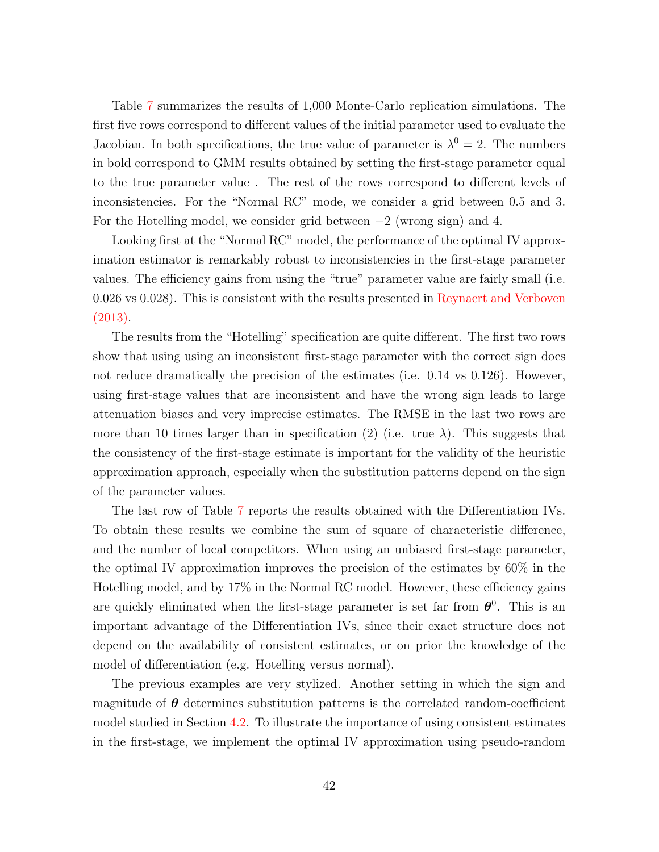Table [7](#page-41-0) summarizes the results of 1,000 Monte-Carlo replication simulations. The first five rows correspond to different values of the initial parameter used to evaluate the Jacobian. In both specifications, the true value of parameter is  $\lambda^0 = 2$ . The numbers in bold correspond to GMM results obtained by setting the first-stage parameter equal to the true parameter value . The rest of the rows correspond to different levels of inconsistencies. For the "Normal RC" mode, we consider a grid between 0.5 and 3. For the Hotelling model, we consider grid between  $-2$  (wrong sign) and 4.

Looking first at the "Normal RC" model, the performance of the optimal IV approximation estimator is remarkably robust to inconsistencies in the first-stage parameter values. The efficiency gains from using the "true" parameter value are fairly small (i.e. 0.026 vs 0.028). This is consistent with the results presented in [Reynaert and Verboven](#page-54-4) [\(2013\).](#page-54-4)

The results from the "Hotelling" specification are quite different. The first two rows show that using using an inconsistent first-stage parameter with the correct sign does not reduce dramatically the precision of the estimates (i.e. 0.14 vs 0.126). However, using first-stage values that are inconsistent and have the wrong sign leads to large attenuation biases and very imprecise estimates. The RMSE in the last two rows are more than 10 times larger than in specification (2) (i.e. true  $\lambda$ ). This suggests that the consistency of the first-stage estimate is important for the validity of the heuristic approximation approach, especially when the substitution patterns depend on the sign of the parameter values.

The last row of Table [7](#page-41-0) reports the results obtained with the Differentiation IVs. To obtain these results we combine the sum of square of characteristic difference, and the number of local competitors. When using an unbiased first-stage parameter, the optimal IV approximation improves the precision of the estimates by 60% in the Hotelling model, and by 17% in the Normal RC model. However, these efficiency gains are quickly eliminated when the first-stage parameter is set far from  $\theta^0$ . This is an important advantage of the Differentiation IVs, since their exact structure does not depend on the availability of consistent estimates, or on prior the knowledge of the model of differentiation (e.g. Hotelling versus normal).

The previous examples are very stylized. Another setting in which the sign and magnitude of  $\theta$  determines substitution patterns is the correlated random-coefficient model studied in Section [4.2.](#page-31-1) To illustrate the importance of using consistent estimates in the first-stage, we implement the optimal IV approximation using pseudo-random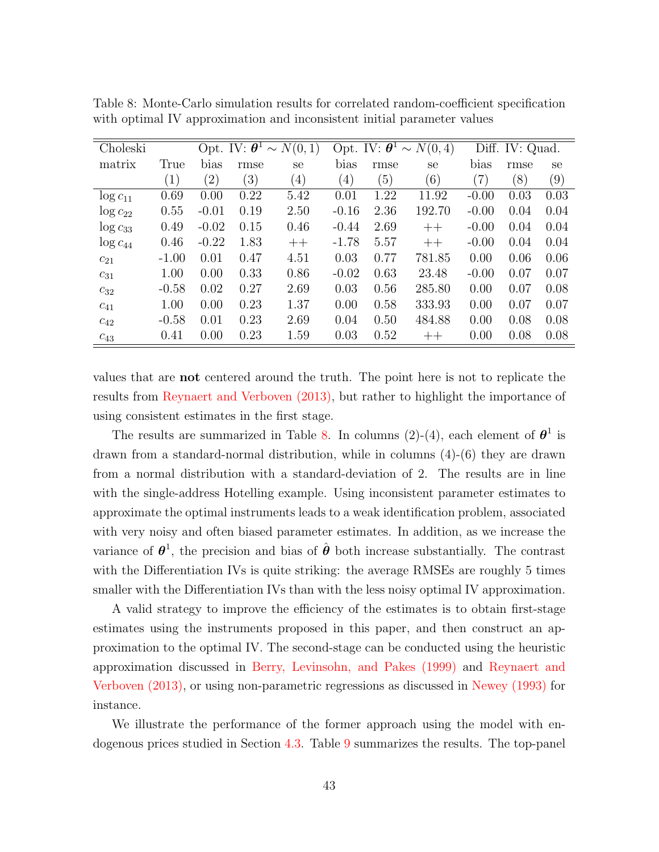| Choleski      |                  |                   |      | Opt. IV: $\boldsymbol{\theta}^1 \sim N(0, 1)$ |                  |                  | Opt. IV: $\boldsymbol{\theta}^1 \sim N(0, 4)$ |                   | Diff. IV: Quad. |                   |
|---------------|------------------|-------------------|------|-----------------------------------------------|------------------|------------------|-----------------------------------------------|-------------------|-----------------|-------------------|
| matrix        | True             | bias              | rmse | se                                            | bias             | rmse             | se                                            | bias              | rmse            | se                |
|               | $\left(1\right)$ | $\left( 2\right)$ | (3)  | $\left(4\right)$                              | $\left(4\right)$ | $\left(5\right)$ | (6)                                           | $\left( 7\right)$ | (8)             | $\left( 9\right)$ |
| $\log c_{11}$ | 0.69             | 0.00              | 0.22 | 5.42                                          | 0.01             | 1.22             | 11.92                                         | $-0.00$           | 0.03            | 0.03              |
| $\log c_{22}$ | 0.55             | $-0.01$           | 0.19 | 2.50                                          | $-0.16$          | 2.36             | 192.70                                        | $-0.00$           | 0.04            | 0.04              |
| $\log c_{33}$ | 0.49             | $-0.02$           | 0.15 | 0.46                                          | $-0.44$          | 2.69             | $++$                                          | $-0.00$           | 0.04            | 0.04              |
| $\log c_{44}$ | 0.46             | $-0.22$           | 1.83 | $++$                                          | $-1.78$          | 5.57             | $++$                                          | $-0.00$           | 0.04            | 0.04              |
| $c_{21}$      | $-1.00$          | 0.01              | 0.47 | 4.51                                          | 0.03             | 0.77             | 781.85                                        | 0.00              | 0.06            | 0.06              |
| $c_{31}$      | 1.00             | 0.00              | 0.33 | 0.86                                          | $-0.02$          | 0.63             | 23.48                                         | $-0.00$           | 0.07            | 0.07              |
| $c_{32}$      | $-0.58$          | 0.02              | 0.27 | 2.69                                          | 0.03             | 0.56             | 285.80                                        | 0.00              | 0.07            | 0.08              |
| $c_{41}$      | 1.00             | 0.00              | 0.23 | 1.37                                          | 0.00             | 0.58             | 333.93                                        | 0.00              | 0.07            | 0.07              |
| $c_{42}$      | $-0.58$          | 0.01              | 0.23 | 2.69                                          | 0.04             | 0.50             | 484.88                                        | 0.00              | 0.08            | 0.08              |
| $c_{43}$      | 0.41             | 0.00              | 0.23 | 1.59                                          | 0.03             | 0.52             | $++$                                          | 0.00              | 0.08            | 0.08              |

<span id="page-43-0"></span>Table 8: Monte-Carlo simulation results for correlated random-coefficient specification with optimal IV approximation and inconsistent initial parameter values

values that are not centered around the truth. The point here is not to replicate the results from [Reynaert and Verboven \(2013\),](#page-54-4) but rather to highlight the importance of using consistent estimates in the first stage.

The results are summarized in Table [8.](#page-43-0) In columns (2)-(4), each element of  $\theta^1$  is drawn from a standard-normal distribution, while in columns (4)-(6) they are drawn from a normal distribution with a standard-deviation of 2. The results are in line with the single-address Hotelling example. Using inconsistent parameter estimates to approximate the optimal instruments leads to a weak identification problem, associated with very noisy and often biased parameter estimates. In addition, as we increase the variance of  $\theta^1$ , the precision and bias of  $\hat{\theta}$  both increase substantially. The contrast with the Differentiation IVs is quite striking: the average RMSEs are roughly 5 times smaller with the Differentiation IVs than with the less noisy optimal IV approximation.

A valid strategy to improve the efficiency of the estimates is to obtain first-stage estimates using the instruments proposed in this paper, and then construct an approximation to the optimal IV. The second-stage can be conducted using the heuristic approximation discussed in [Berry, Levinsohn, and Pakes \(1999\)](#page-52-0) and [Reynaert and](#page-54-4) [Verboven \(2013\),](#page-54-4) or using non-parametric regressions as discussed in [Newey \(1993\)](#page-54-10) for instance.

We illustrate the performance of the former approach using the model with endogenous prices studied in Section [4.3.](#page-33-2) Table [9](#page-44-0) summarizes the results. The top-panel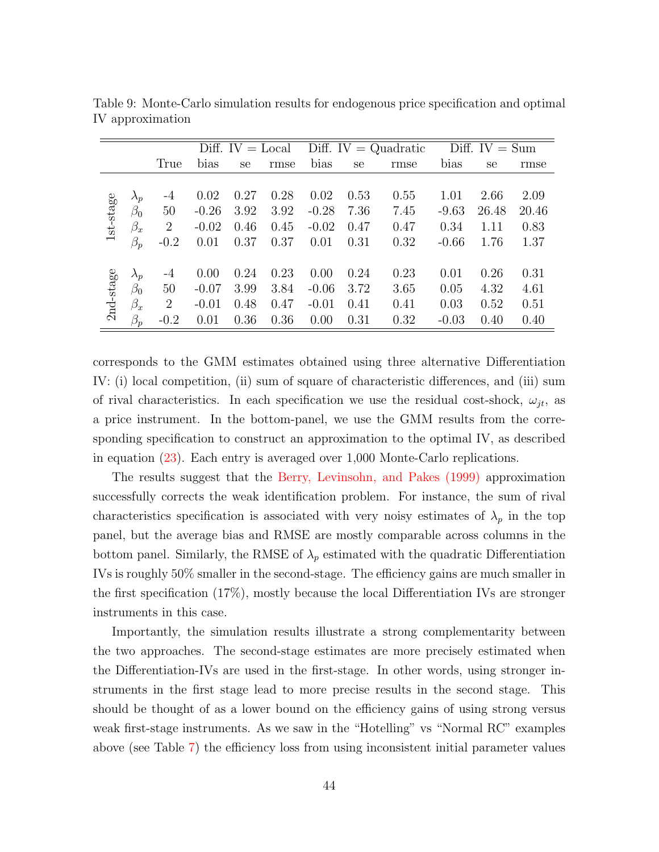|           |                  |                |         | Diff. $IV = Local$ |      |         | Diff. IV = $Quadratic$ |      | Diff. $IV = Sum$ |       |       |
|-----------|------------------|----------------|---------|--------------------|------|---------|------------------------|------|------------------|-------|-------|
|           |                  | True           | bias    | <sub>se</sub>      | rmse | bias    | se                     | rmse | bias             | se    | rmse  |
|           |                  |                |         |                    |      |         |                        |      |                  |       |       |
|           | $\lambda_p$      | $-4$           | 0.02    | 0.27               | 0.28 | 0.02    | 0.53                   | 0.55 | 1.01             | 2.66  | 2.09  |
|           | $\beta_0$        | 50             | $-0.26$ | 3.92               | 3.92 | $-0.28$ | 7.36                   | 7.45 | $-9.63$          | 26.48 | 20.46 |
| 1st-stage | $\beta_x$        | $\overline{2}$ | $-0.02$ | 0.46               | 0.45 | $-0.02$ | 0.47                   | 0.47 | 0.34             | 1.11  | 0.83  |
|           | $\beta_p$        | $-0.2$         | 0.01    | 0.37               | 0.37 | 0.01    | 0.31                   | 0.32 | $-0.66$          | 1.76  | 1.37  |
|           |                  |                |         |                    |      |         |                        |      |                  |       |       |
|           | $\lambda_p$      | $-4$           | 0.00    | 0.24               | 0.23 | 0.00    | 0.24                   | 0.23 | 0.01             | 0.26  | 0.31  |
|           | $\beta_0$        | 50             | $-0.07$ | 3.99               | 3.84 | $-0.06$ | 3.72                   | 3.65 | 0.05             | 4.32  | 4.61  |
| 2nd-stage | $\beta_x$        | $\overline{2}$ | $-0.01$ | 0.48               | 0.47 | $-0.01$ | 0.41                   | 0.41 | 0.03             | 0.52  | 0.51  |
|           | $\beta_{\bm{v}}$ | $-0.2$         | 0.01    | 0.36               | 0.36 | 0.00    | 0.31                   | 0.32 | $-0.03$          | 0.40  | 0.40  |

<span id="page-44-0"></span>Table 9: Monte-Carlo simulation results for endogenous price specification and optimal IV approximation

corresponds to the GMM estimates obtained using three alternative Differentiation IV: (i) local competition, (ii) sum of square of characteristic differences, and (iii) sum of rival characteristics. In each specification we use the residual cost-shock,  $\omega_{jt}$ , as a price instrument. In the bottom-panel, we use the GMM results from the corresponding specification to construct an approximation to the optimal IV, as described in equation [\(23\)](#page-40-1). Each entry is averaged over 1,000 Monte-Carlo replications.

The results suggest that the [Berry, Levinsohn, and Pakes \(1999\)](#page-52-0) approximation successfully corrects the weak identification problem. For instance, the sum of rival characteristics specification is associated with very noisy estimates of  $\lambda_p$  in the top panel, but the average bias and RMSE are mostly comparable across columns in the bottom panel. Similarly, the RMSE of  $\lambda_p$  estimated with the quadratic Differentiation IVs is roughly 50% smaller in the second-stage. The efficiency gains are much smaller in the first specification  $(17\%)$ , mostly because the local Differentiation IVs are stronger instruments in this case.

Importantly, the simulation results illustrate a strong complementarity between the two approaches. The second-stage estimates are more precisely estimated when the Differentiation-IVs are used in the first-stage. In other words, using stronger instruments in the first stage lead to more precise results in the second stage. This should be thought of as a lower bound on the efficiency gains of using strong versus weak first-stage instruments. As we saw in the "Hotelling" vs "Normal RC" examples above (see Table [7\)](#page-41-0) the efficiency loss from using inconsistent initial parameter values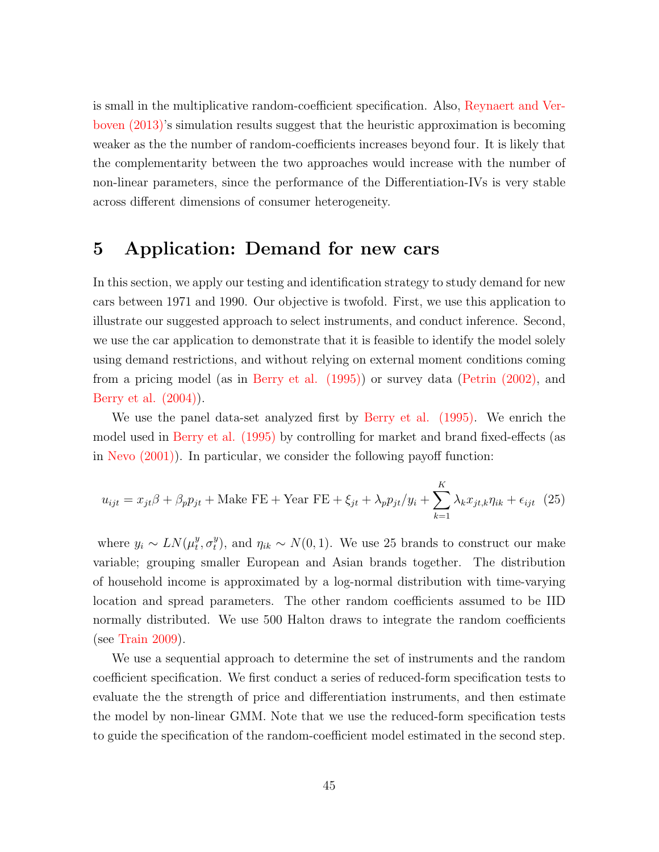is small in the multiplicative random-coefficient specification. Also, [Reynaert and Ver](#page-54-4)[boven \(2013\)'](#page-54-4)s simulation results suggest that the heuristic approximation is becoming weaker as the the number of random-coefficients increases beyond four. It is likely that the complementarity between the two approaches would increase with the number of non-linear parameters, since the performance of the Differentiation-IVs is very stable across different dimensions of consumer heterogeneity.

## <span id="page-45-0"></span>5 Application: Demand for new cars

In this section, we apply our testing and identification strategy to study demand for new cars between 1971 and 1990. Our objective is twofold. First, we use this application to illustrate our suggested approach to select instruments, and conduct inference. Second, we use the car application to demonstrate that it is feasible to identify the model solely using demand restrictions, and without relying on external moment conditions coming from a pricing model (as in [Berry et al. \(1995\)\)](#page-51-1) or survey data [\(Petrin \(2002\),](#page-54-1) and [Berry et al. \(2004\)\)](#page-52-1).

We use the panel data-set analyzed first by [Berry et al. \(1995\).](#page-51-1) We enrich the model used in [Berry et al. \(1995\)](#page-51-1) by controlling for market and brand fixed-effects (as in [Nevo \(2001\)\)](#page-54-8). In particular, we consider the following payoff function:

$$
u_{ijt} = x_{jt}\beta + \beta_p p_{jt} + \text{Make FE} + \text{Year FE} + \xi_{jt} + \lambda_p p_{jt}/y_i + \sum_{k=1}^{K} \lambda_k x_{jt,k} \eta_{ik} + \epsilon_{ijt} \tag{25}
$$

where  $y_i \sim LN(\mu_t^y)$  $_t^y, \sigma_t^y$ <sup>y</sup><sub>t</sub>), and  $\eta_{ik} \sim N(0, 1)$ . We use 25 brands to construct our make variable; grouping smaller European and Asian brands together. The distribution of household income is approximated by a log-normal distribution with time-varying location and spread parameters. The other random coefficients assumed to be IID normally distributed. We use 500 Halton draws to integrate the random coefficients (see [Train 2009\)](#page-55-6).

We use a sequential approach to determine the set of instruments and the random coefficient specification. We first conduct a series of reduced-form specification tests to evaluate the the strength of price and differentiation instruments, and then estimate the model by non-linear GMM. Note that we use the reduced-form specification tests to guide the specification of the random-coefficient model estimated in the second step.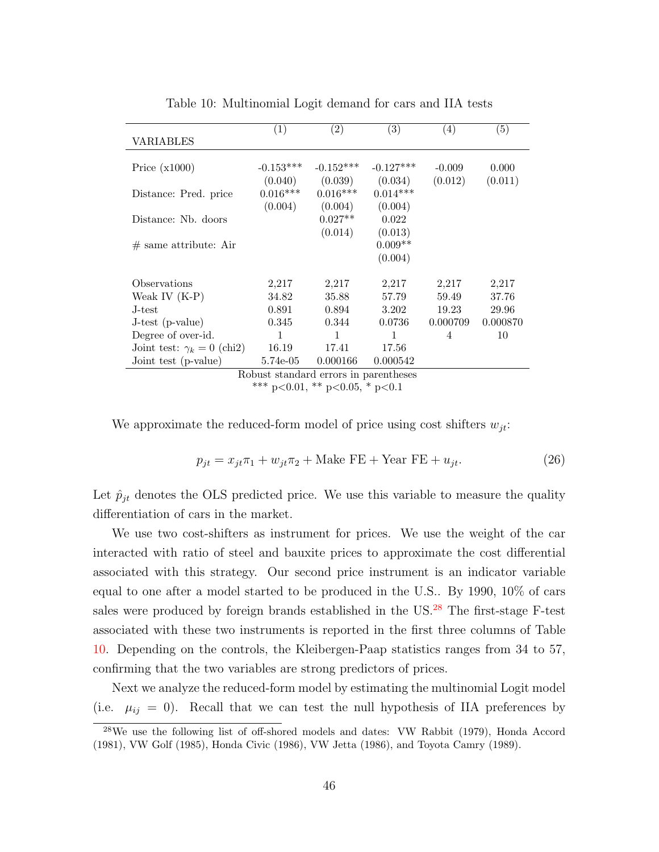<span id="page-46-1"></span>

|                                   | $\left( 1\right)$ | $\left( 2\right)$                     | $\left( 3\right)$ | (4)      | $\left( 5\right)$ |
|-----------------------------------|-------------------|---------------------------------------|-------------------|----------|-------------------|
| <b>VARIABLES</b>                  |                   |                                       |                   |          |                   |
|                                   |                   |                                       |                   |          |                   |
| Price $(x1000)$                   | $-0.153***$       | $-0.152***$                           | $-0.127***$       | $-0.009$ | 0.000             |
|                                   | (0.040)           | (0.039)                               | (0.034)           | (0.012)  | (0.011)           |
| Distance: Pred. price             | $0.016***$        | $0.016***$                            | $0.014***$        |          |                   |
|                                   | (0.004)           | (0.004)                               | (0.004)           |          |                   |
| Distance: Nb. doors               |                   | $0.027**$                             | 0.022             |          |                   |
|                                   |                   | (0.014)                               | (0.013)           |          |                   |
| $#$ same attribute: Air           |                   |                                       | $0.009**$         |          |                   |
|                                   |                   |                                       | (0.004)           |          |                   |
| Observations                      | 2,217             | 2,217                                 | 2,217             | 2,217    | 2,217             |
| Weak IV $(K-P)$                   | 34.82             | 35.88                                 | 57.79             | 59.49    | 37.76             |
| J-test                            | 0.891             | 0.894                                 | 3.202             | 19.23    | 29.96             |
| J-test (p-value)                  | 0.345             | 0.344                                 | 0.0736            | 0.000709 | 0.000870          |
| Degree of over-id.                | $\mathbf{1}$      | $\mathbf{1}$                          | 1                 | 4        | 10                |
| Joint test: $\gamma_k = 0$ (chi2) | 16.19             | 17.41                                 | 17.56             |          |                   |
| Joint test (p-value)              | 5.74e-05          | 0.000166                              | 0.000542          |          |                   |
|                                   |                   | Robust standard errors in parentheses |                   |          |                   |

Table 10: Multinomial Logit demand for cars and IIA tests

\*\*\* p<0.01, \*\* p<0.05, \* p<0.1

We approximate the reduced-form model of price using cost shifters  $w_{jt}$ :

$$
p_{jt} = x_{jt}\pi_1 + w_{jt}\pi_2 + \text{Make FE} + \text{Year FE} + u_{jt}.\tag{26}
$$

Let  $\hat{p}_{jt}$  denotes the OLS predicted price. We use this variable to measure the quality differentiation of cars in the market.

We use two cost-shifters as instrument for prices. We use the weight of the car interacted with ratio of steel and bauxite prices to approximate the cost differential associated with this strategy. Our second price instrument is an indicator variable equal to one after a model started to be produced in the U.S.. By 1990, 10% of cars sales were produced by foreign brands established in the US.<sup>[28](#page-46-0)</sup> The first-stage F-test associated with these two instruments is reported in the first three columns of Table [10.](#page-46-1) Depending on the controls, the Kleibergen-Paap statistics ranges from 34 to 57, confirming that the two variables are strong predictors of prices.

Next we analyze the reduced-form model by estimating the multinomial Logit model (i.e.  $\mu_{ij} = 0$ ). Recall that we can test the null hypothesis of IIA preferences by

<span id="page-46-0"></span><sup>28</sup>We use the following list of off-shored models and dates: VW Rabbit (1979), Honda Accord (1981), VW Golf (1985), Honda Civic (1986), VW Jetta (1986), and Toyota Camry (1989).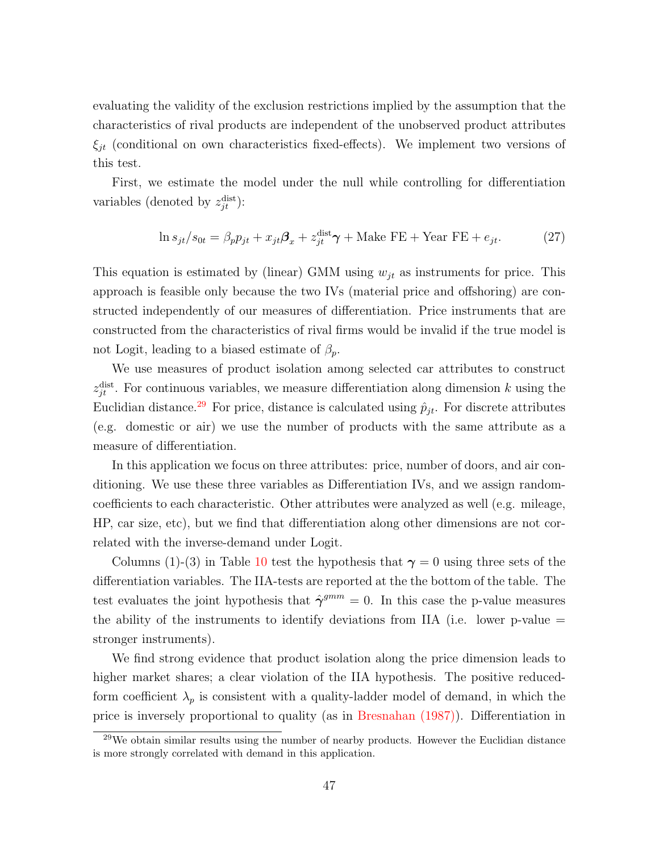evaluating the validity of the exclusion restrictions implied by the assumption that the characteristics of rival products are independent of the unobserved product attributes  $\xi_{jt}$  (conditional on own characteristics fixed-effects). We implement two versions of this test.

First, we estimate the model under the null while controlling for differentiation variables (denoted by  $z_{jt}^{\text{dist}}$ ):

$$
\ln s_{jt}/s_{0t} = \beta_p p_{jt} + x_{jt} \mathcal{B}_x + z_{jt}^{\text{dist}} \boldsymbol{\gamma} + \text{Make FE} + \text{Year FE} + e_{jt}. \tag{27}
$$

This equation is estimated by (linear) GMM using  $w_{jt}$  as instruments for price. This approach is feasible only because the two IVs (material price and offshoring) are constructed independently of our measures of differentiation. Price instruments that are constructed from the characteristics of rival firms would be invalid if the true model is not Logit, leading to a biased estimate of  $\beta_p$ .

We use measures of product isolation among selected car attributes to construct  $z_{jt}^{\text{dist}}$ . For continuous variables, we measure differentiation along dimension k using the Euclidian distance.<sup>[29](#page-47-0)</sup> For price, distance is calculated using  $\hat{p}_{jt}$ . For discrete attributes (e.g. domestic or air) we use the number of products with the same attribute as a measure of differentiation.

In this application we focus on three attributes: price, number of doors, and air conditioning. We use these three variables as Differentiation IVs, and we assign randomcoefficients to each characteristic. Other attributes were analyzed as well (e.g. mileage, HP, car size, etc), but we find that differentiation along other dimensions are not correlated with the inverse-demand under Logit.

Columns (1)-(3) in Table [10](#page-46-1) test the hypothesis that  $\gamma = 0$  using three sets of the differentiation variables. The IIA-tests are reported at the the bottom of the table. The test evaluates the joint hypothesis that  $\hat{\gamma}^{gmm} = 0$ . In this case the p-value measures the ability of the instruments to identify deviations from IIA (i.e. lower p-value  $=$ stronger instruments).

We find strong evidence that product isolation along the price dimension leads to higher market shares; a clear violation of the IIA hypothesis. The positive reducedform coefficient  $\lambda_p$  is consistent with a quality-ladder model of demand, in which the price is inversely proportional to quality (as in [Bresnahan \(1987\)\)](#page-52-13). Differentiation in

<span id="page-47-0"></span> $29$ We obtain similar results using the number of nearby products. However the Euclidian distance is more strongly correlated with demand in this application.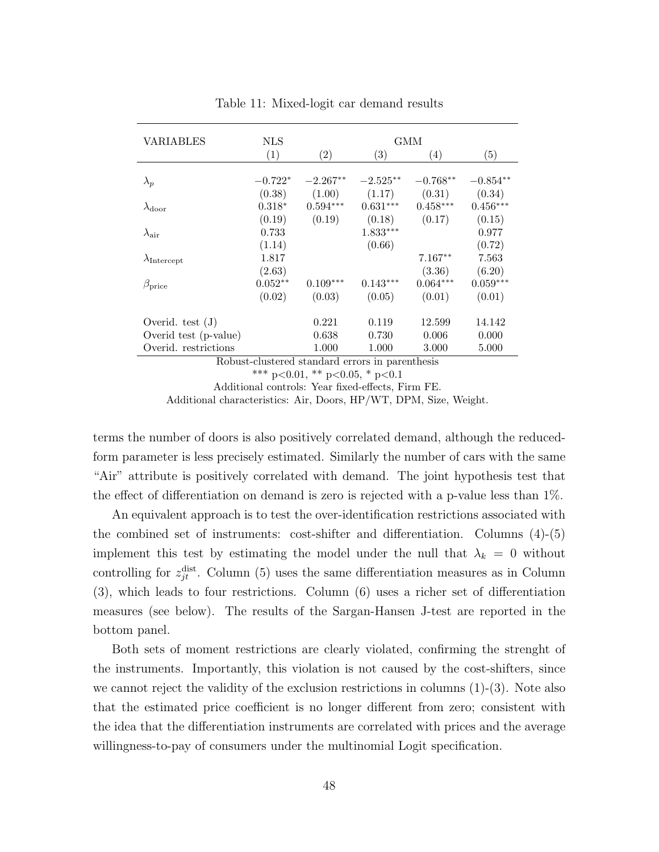<span id="page-48-0"></span>

| <b>VARIABLES</b>                                         | NLS                                             |                                |                   | GMM               |            |  |  |  |  |  |
|----------------------------------------------------------|-------------------------------------------------|--------------------------------|-------------------|-------------------|------------|--|--|--|--|--|
|                                                          | (1)                                             | $\left( 2\right)$              | $\left( 3\right)$ | $\left( 4\right)$ | (5)        |  |  |  |  |  |
|                                                          |                                                 |                                |                   |                   |            |  |  |  |  |  |
| $\lambda_p$                                              | $-0.722*$                                       | $-2.267**$                     | $-2.525**$        | $-0.768**$        | $-0.854**$ |  |  |  |  |  |
|                                                          | (0.38)                                          | (1.00)                         | (1.17)            | (0.31)            | (0.34)     |  |  |  |  |  |
| $\lambda_{\rm door}$                                     | $0.318*$                                        | $0.594***$                     | $0.631***$        | $0.458***$        | $0.456***$ |  |  |  |  |  |
|                                                          | (0.19)                                          | (0.19)                         | (0.18)            | (0.17)            | (0.15)     |  |  |  |  |  |
| $\lambda_{\textrm{air}}$                                 | 0.733                                           |                                | $1.833***$        |                   | 0.977      |  |  |  |  |  |
|                                                          | (1.14)                                          |                                | (0.66)            |                   | (0.72)     |  |  |  |  |  |
| $\lambda_{\rm Intercept}$                                | 1.817                                           |                                |                   | $7.167**$         | 7.563      |  |  |  |  |  |
|                                                          | (2.63)                                          |                                |                   | (3.36)            | (6.20)     |  |  |  |  |  |
| $\beta_{\text{price}}$                                   | $0.052**$                                       | $0.109***$                     | $0.143***$        | $0.064***$        | $0.059***$ |  |  |  |  |  |
|                                                          | (0.02)                                          | (0.03)                         | (0.05)            | (0.01)            | (0.01)     |  |  |  |  |  |
| Overid. test $(J)$                                       |                                                 | 0.221                          | 0.119             | 12.599            | 14.142     |  |  |  |  |  |
| Overid test (p-value)                                    |                                                 | 0.638                          | 0.730             | 0.006             | 0.000      |  |  |  |  |  |
| Overid. restrictions<br>1.000<br>1.000<br>3.000<br>5.000 |                                                 |                                |                   |                   |            |  |  |  |  |  |
|                                                          | Robust-clustered standard errors in parenthesis |                                |                   |                   |            |  |  |  |  |  |
|                                                          |                                                 | *** p<0.01, ** p<0.05, * p<0.1 |                   |                   |            |  |  |  |  |  |
|                                                          |                                                 |                                |                   |                   |            |  |  |  |  |  |

Table 11: Mixed-logit car demand results

Additional controls: Year fixed-effects, Firm FE. Additional characteristics: Air, Doors, HP/WT, DPM, Size, Weight.

terms the number of doors is also positively correlated demand, although the reducedform parameter is less precisely estimated. Similarly the number of cars with the same "Air" attribute is positively correlated with demand. The joint hypothesis test that the effect of differentiation on demand is zero is rejected with a p-value less than 1%.

An equivalent approach is to test the over-identification restrictions associated with the combined set of instruments: cost-shifter and differentiation. Columns (4)-(5) implement this test by estimating the model under the null that  $\lambda_k = 0$  without controlling for  $z_{jt}^{\text{dist}}$ . Column (5) uses the same differentiation measures as in Column (3), which leads to four restrictions. Column (6) uses a richer set of differentiation measures (see below). The results of the Sargan-Hansen J-test are reported in the bottom panel.

Both sets of moment restrictions are clearly violated, confirming the strenght of the instruments. Importantly, this violation is not caused by the cost-shifters, since we cannot reject the validity of the exclusion restrictions in columns  $(1)-(3)$ . Note also that the estimated price coefficient is no longer different from zero; consistent with the idea that the differentiation instruments are correlated with prices and the average willingness-to-pay of consumers under the multinomial Logit specification.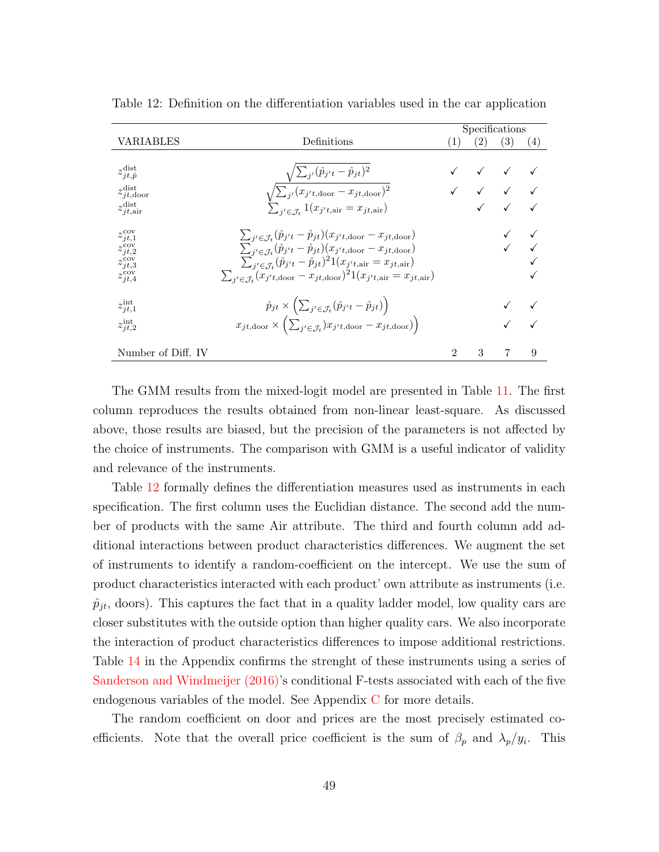|                                    |                                                                                                                      | Specifications |     |                                  |                   |
|------------------------------------|----------------------------------------------------------------------------------------------------------------------|----------------|-----|----------------------------------|-------------------|
| VARIABLES                          | Definitions                                                                                                          | (1)            | (2) | (3)                              | $\left( 4\right)$ |
|                                    |                                                                                                                      |                |     |                                  |                   |
| $z_{jt, \hat{p}}^{\text{dist}}$    | $\sqrt{\sum_{j'}(\hat{p}_{j't} - \hat{p}_{jt})^2}$                                                                   |                |     | $\sqrt{2}$                       |                   |
| $z_{jt,\text{door}}^{\text{dist}}$ | $\sqrt{\sum_{j'}(x_{j't,\text{door}}-x_{jt,\text{door}})^2}$                                                         |                |     | $\sqrt{2}$ $\sqrt{2}$ $\sqrt{2}$ |                   |
| $z_{jt,air}^{\text{dist}}$         | $\sum_{j' \in \mathcal{J}_t} 1(x_{j't, \text{air}} = x_{jt, \text{air}})$                                            |                |     |                                  |                   |
| $z_{jt,1}^{\text{cov}}$            | $\sum_{j' \in \mathcal{J}_t} (\hat{p}_{j't} - \hat{p}_{jt})(x_{j't,\text{door}} - x_{jt,\text{door}})$               |                |     |                                  |                   |
| $z_{jt,2}^{\rm cov}$               | $\sum_{j' \in \mathcal{J}_t} (\hat{p}_{j't} - \hat{p}_{jt})(x_{j't,\text{door}} - x_{jt,\text{door}})$               |                |     |                                  |                   |
| $z_{jt,3}^{\rm cov}$               | $\sum_{j' \in J_t} (\hat{p}_{j't} - \hat{p}_{jt})^2 1(x_{j't,air} = x_{jt,air})$                                     |                |     |                                  |                   |
| $z_{jt,4}^{\rm cov}$               | $\sum_{j' \in \mathcal{J}_t} (x_{j't,\text{door}} - x_{jt,\text{door}})^2 1(x_{j't,\text{air}} = x_{jt,\text{air}})$ |                |     |                                  |                   |
| $z_{jt,1}^{\rm int}$               | $\hat{p}_{jt} \times (\sum_{j' \in \mathcal{J}_t} (\hat{p}_{j't} - \hat{p}_{jt}))$                                   |                |     |                                  |                   |
| $z_{jt,2}^{\rm int}$               | $x_{jt,\text{door}} \times \left( \sum_{j' \in \mathcal{J}_t} y_{j't,\text{door}} - x_{jt,\text{door}} \right)$      |                |     |                                  |                   |
| Number of Diff. IV                 |                                                                                                                      | 2              | 3   | $\overline{7}$                   | 9                 |

<span id="page-49-0"></span>Table 12: Definition on the differentiation variables used in the car application

The GMM results from the mixed-logit model are presented in Table [11.](#page-48-0) The first column reproduces the results obtained from non-linear least-square. As discussed above, those results are biased, but the precision of the parameters is not affected by the choice of instruments. The comparison with GMM is a useful indicator of validity and relevance of the instruments.

Table [12](#page-49-0) formally defines the differentiation measures used as instruments in each specification. The first column uses the Euclidian distance. The second add the number of products with the same Air attribute. The third and fourth column add additional interactions between product characteristics differences. We augment the set of instruments to identify a random-coefficient on the intercept. We use the sum of product characteristics interacted with each product' own attribute as instruments (i.e.  $\hat{p}_{it}$ , doors). This captures the fact that in a quality ladder model, low quality cars are closer substitutes with the outside option than higher quality cars. We also incorporate the interaction of product characteristics differences to impose additional restrictions. Table [14](#page-67-0) in the Appendix confirms the strenght of these instruments using a series of [Sanderson and Windmeijer \(2016\)'](#page-54-11)s conditional F-tests associated with each of the five endogenous variables of the model. See Appendix [C](#page-65-0) for more details.

The random coefficient on door and prices are the most precisely estimated coefficients. Note that the overall price coefficient is the sum of  $\beta_p$  and  $\lambda_p/y_i$ . This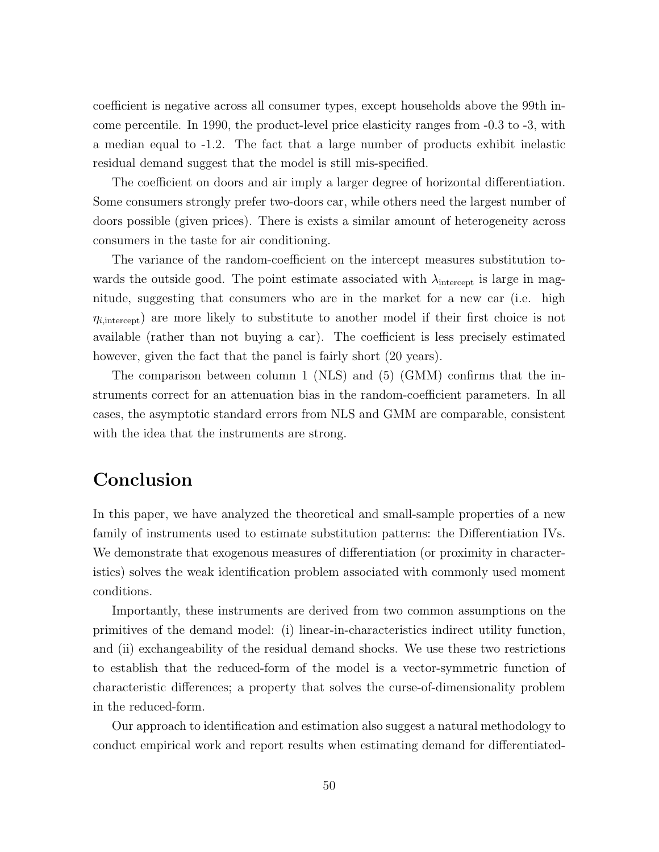coefficient is negative across all consumer types, except households above the 99th income percentile. In 1990, the product-level price elasticity ranges from -0.3 to -3, with a median equal to -1.2. The fact that a large number of products exhibit inelastic residual demand suggest that the model is still mis-specified.

The coefficient on doors and air imply a larger degree of horizontal differentiation. Some consumers strongly prefer two-doors car, while others need the largest number of doors possible (given prices). There is exists a similar amount of heterogeneity across consumers in the taste for air conditioning.

The variance of the random-coefficient on the intercept measures substitution towards the outside good. The point estimate associated with  $\lambda_{\text{intercept}}$  is large in magnitude, suggesting that consumers who are in the market for a new car (i.e. high  $\eta_{i,\text{intercept}}$  are more likely to substitute to another model if their first choice is not available (rather than not buying a car). The coefficient is less precisely estimated however, given the fact that the panel is fairly short  $(20 \text{ years})$ .

The comparison between column 1 (NLS) and (5) (GMM) confirms that the instruments correct for an attenuation bias in the random-coefficient parameters. In all cases, the asymptotic standard errors from NLS and GMM are comparable, consistent with the idea that the instruments are strong.

## Conclusion

In this paper, we have analyzed the theoretical and small-sample properties of a new family of instruments used to estimate substitution patterns: the Differentiation IVs. We demonstrate that exogenous measures of differentiation (or proximity in characteristics) solves the weak identification problem associated with commonly used moment conditions.

Importantly, these instruments are derived from two common assumptions on the primitives of the demand model: (i) linear-in-characteristics indirect utility function, and (ii) exchangeability of the residual demand shocks. We use these two restrictions to establish that the reduced-form of the model is a vector-symmetric function of characteristic differences; a property that solves the curse-of-dimensionality problem in the reduced-form.

Our approach to identification and estimation also suggest a natural methodology to conduct empirical work and report results when estimating demand for differentiated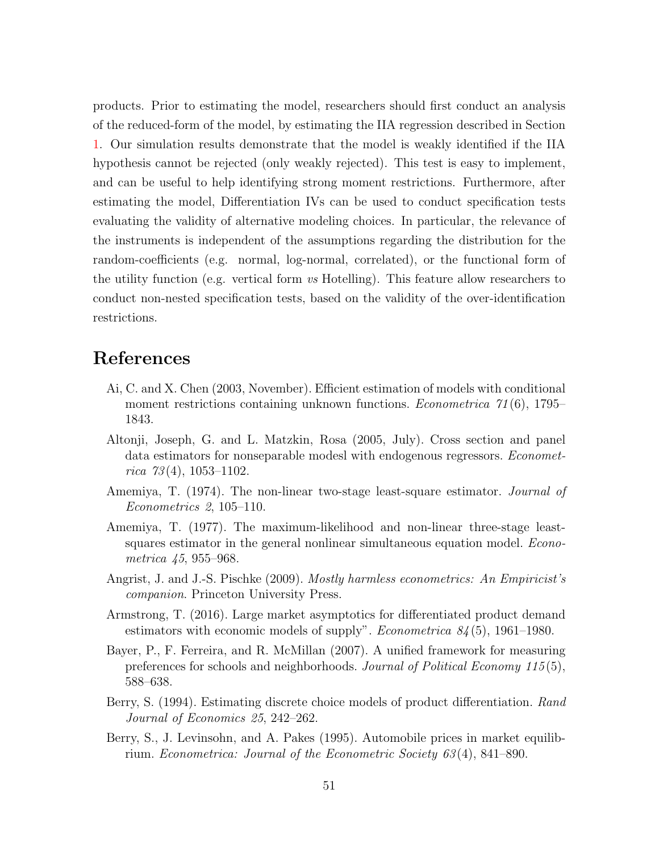products. Prior to estimating the model, researchers should first conduct an analysis of the reduced-form of the model, by estimating the IIA regression described in Section [1.](#page-5-1) Our simulation results demonstrate that the model is weakly identified if the IIA hypothesis cannot be rejected (only weakly rejected). This test is easy to implement, and can be useful to help identifying strong moment restrictions. Furthermore, after estimating the model, Differentiation IVs can be used to conduct specification tests evaluating the validity of alternative modeling choices. In particular, the relevance of the instruments is independent of the assumptions regarding the distribution for the random-coefficients (e.g. normal, log-normal, correlated), or the functional form of the utility function (e.g. vertical form vs Hotelling). This feature allow researchers to conduct non-nested specification tests, based on the validity of the over-identification restrictions.

### References

- <span id="page-51-6"></span>Ai, C. and X. Chen (2003, November). Efficient estimation of models with conditional moment restrictions containing unknown functions. *Econometrica*  $\gamma_1(6)$ , 1795– 1843.
- <span id="page-51-5"></span>Altonji, Joseph, G. and L. Matzkin, Rosa (2005, July). Cross section and panel data estimators for nonseparable modesl with endogenous regressors. *Economet*rica  $73(4)$ , 1053-1102.
- <span id="page-51-4"></span>Amemiya, T. (1974). The non-linear two-stage least-square estimator. Journal of Econometrics 2, 105–110.
- <span id="page-51-3"></span>Amemiya, T. (1977). The maximum-likelihood and non-linear three-stage leastsquares estimator in the general nonlinear simultaneous equation model. *Econo*metrica 45, 955–968.
- <span id="page-51-8"></span>Angrist, J. and J.-S. Pischke (2009). *Mostly harmless econometrics: An Empiricist's* companion. Princeton University Press.
- <span id="page-51-7"></span>Armstrong, T. (2016). Large market asymptotics for differentiated product demand estimators with economic models of supply". *Econometrica*  $84(5)$ , 1961–1980.
- <span id="page-51-2"></span>Bayer, P., F. Ferreira, and R. McMillan (2007). A unified framework for measuring preferences for schools and neighborhoods. Journal of Political Economy 115 (5), 588–638.
- <span id="page-51-0"></span>Berry, S. (1994). Estimating discrete choice models of product differentiation. Rand Journal of Economics 25, 242–262.
- <span id="page-51-1"></span>Berry, S., J. Levinsohn, and A. Pakes (1995). Automobile prices in market equilibrium. Econometrica: Journal of the Econometric Society 63 (4), 841–890.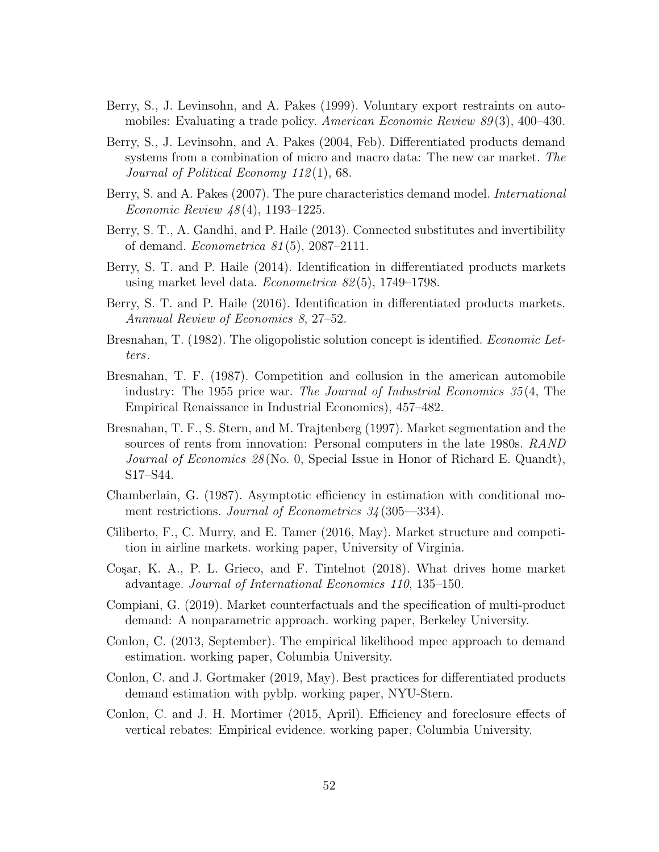- <span id="page-52-0"></span>Berry, S., J. Levinsohn, and A. Pakes (1999). Voluntary export restraints on automobiles: Evaluating a trade policy. American Economic Review  $89(3)$ , 400–430.
- <span id="page-52-1"></span>Berry, S., J. Levinsohn, and A. Pakes (2004, Feb). Differentiated products demand systems from a combination of micro and macro data: The new car market. The Journal of Political Economy 112 (1), 68.
- <span id="page-52-9"></span>Berry, S. and A. Pakes (2007). The pure characteristics demand model. International Economic Review 48 (4), 1193–1225.
- <span id="page-52-12"></span>Berry, S. T., A. Gandhi, and P. Haile (2013). Connected substitutes and invertibility of demand. Econometrica 81 (5), 2087–2111.
- <span id="page-52-5"></span>Berry, S. T. and P. Haile (2014). Identification in differentiated products markets using market level data. *Econometrica*  $82(5)$ , 1749–1798.
- <span id="page-52-11"></span>Berry, S. T. and P. Haile (2016). Identification in differentiated products markets. Annnual Review of Economics 8, 27–52.
- <span id="page-52-4"></span>Bresnahan, T. (1982). The oligopolistic solution concept is identified. Economic Letters.
- <span id="page-52-13"></span>Bresnahan, T. F. (1987). Competition and collusion in the american automobile industry: The 1955 price war. The Journal of Industrial Economics 35 (4, The Empirical Renaissance in Industrial Economics), 457–482.
- <span id="page-52-2"></span>Bresnahan, T. F., S. Stern, and M. Trajtenberg (1997). Market segmentation and the sources of rents from innovation: Personal computers in the late 1980s. RAND Journal of Economics 28 (No. 0, Special Issue in Honor of Richard E. Quandt), S17–S44.
- <span id="page-52-8"></span>Chamberlain, G. (1987). Asymptotic efficiency in estimation with conditional moment restrictions. Journal of Econometrics  $34(305-334)$ .
- <span id="page-52-15"></span>Ciliberto, F., C. Murry, and E. Tamer (2016, May). Market structure and competition in airline markets. working paper, University of Virginia.
- <span id="page-52-6"></span>Cosar, K. A., P. L. Grieco, and F. Tintelnot (2018). What drives home market advantage. Journal of International Economics 110, 135–150.
- <span id="page-52-10"></span>Compiani, G. (2019). Market counterfactuals and the specification of multi-product demand: A nonparametric approach. working paper, Berkeley University.
- <span id="page-52-3"></span>Conlon, C. (2013, September). The empirical likelihood mpec approach to demand estimation. working paper, Columbia University.
- <span id="page-52-7"></span>Conlon, C. and J. Gortmaker (2019, May). Best practices for differentiated products demand estimation with pyblp. working paper, NYU-Stern.
- <span id="page-52-14"></span>Conlon, C. and J. H. Mortimer (2015, April). Efficiency and foreclosure effects of vertical rebates: Empirical evidence. working paper, Columbia University.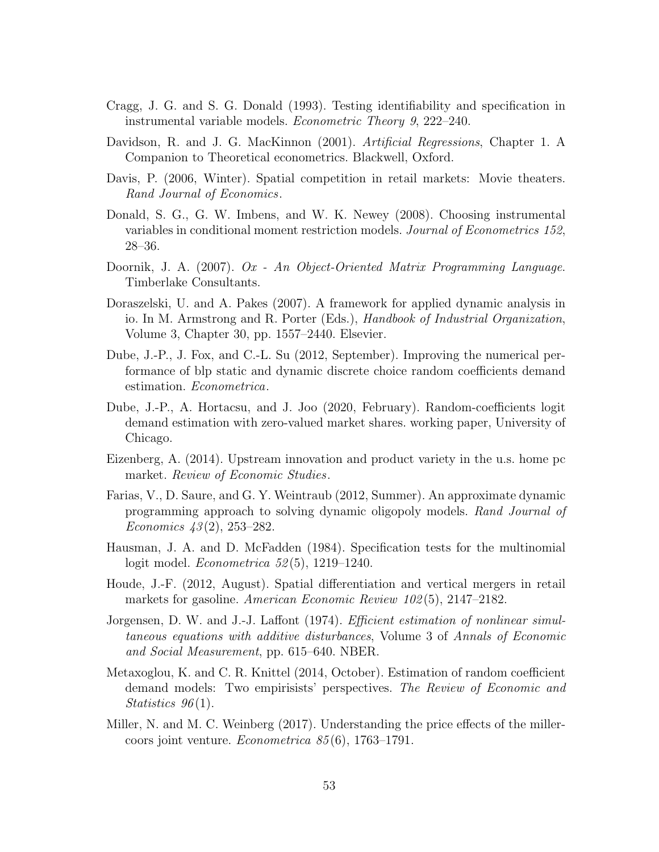- <span id="page-53-11"></span>Cragg, J. G. and S. G. Donald (1993). Testing identifiability and specification in instrumental variable models. Econometric Theory 9, 222–240.
- <span id="page-53-14"></span>Davidson, R. and J. G. MacKinnon (2001). Artificial Regressions, Chapter 1. A Companion to Theoretical econometrics. Blackwell, Oxford.
- <span id="page-53-5"></span>Davis, P. (2006, Winter). Spatial competition in retail markets: Movie theaters. Rand Journal of Economics.
- <span id="page-53-8"></span>Donald, S. G., G. W. Imbens, and W. K. Newey (2008). Choosing instrumental variables in conditional moment restriction models. Journal of Econometrics 152, 28–36.
- <span id="page-53-13"></span>Doornik, J. A. (2007). Ox - An Object-Oriented Matrix Programming Language. Timberlake Consultants.
- <span id="page-53-12"></span>Doraszelski, U. and A. Pakes (2007). A framework for applied dynamic analysis in io. In M. Armstrong and R. Porter (Eds.), Handbook of Industrial Organization, Volume 3, Chapter 30, pp. 1557–2440. Elsevier.
- <span id="page-53-2"></span>Dube, J.-P., J. Fox, and C.-L. Su (2012, September). Improving the numerical performance of blp static and dynamic discrete choice random coefficients demand estimation. Econometrica.
- <span id="page-53-4"></span>Dube, J.-P., A. Hortacsu, and J. Joo (2020, February). Random-coefficients logit demand estimation with zero-valued market shares. working paper, University of Chicago.
- <span id="page-53-0"></span>Eizenberg, A. (2014). Upstream innovation and product variety in the u.s. home pc market. Review of Economic Studies.
- <span id="page-53-9"></span>Farias, V., D. Saure, and G. Y. Weintraub (2012, Summer). An approximate dynamic programming approach to solving dynamic oligopoly models. Rand Journal of Economics 43 (2), 253–282.
- <span id="page-53-10"></span>Hausman, J. A. and D. McFadden (1984). Specification tests for the multinomial logit model. *Econometrica* 52(5), 1219–1240.
- <span id="page-53-6"></span>Houde, J.-F. (2012, August). Spatial differentiation and vertical mergers in retail markets for gasoline. American Economic Review 102(5), 2147–2182.
- <span id="page-53-7"></span>Jorgensen, D. W. and J.-J. Laffont (1974). *Efficient estimation of nonlinear simul*taneous equations with additive disturbances, Volume 3 of Annals of Economic and Social Measurement, pp. 615–640. NBER.
- <span id="page-53-1"></span>Metaxoglou, K. and C. R. Knittel (2014, October). Estimation of random coefficient demand models: Two empirisists' perspectives. The Review of Economic and Statistics  $96(1)$ .
- <span id="page-53-3"></span>Miller, N. and M. C. Weinberg (2017). Understanding the price effects of the millercoors joint venture. Econometrica 85 (6), 1763–1791.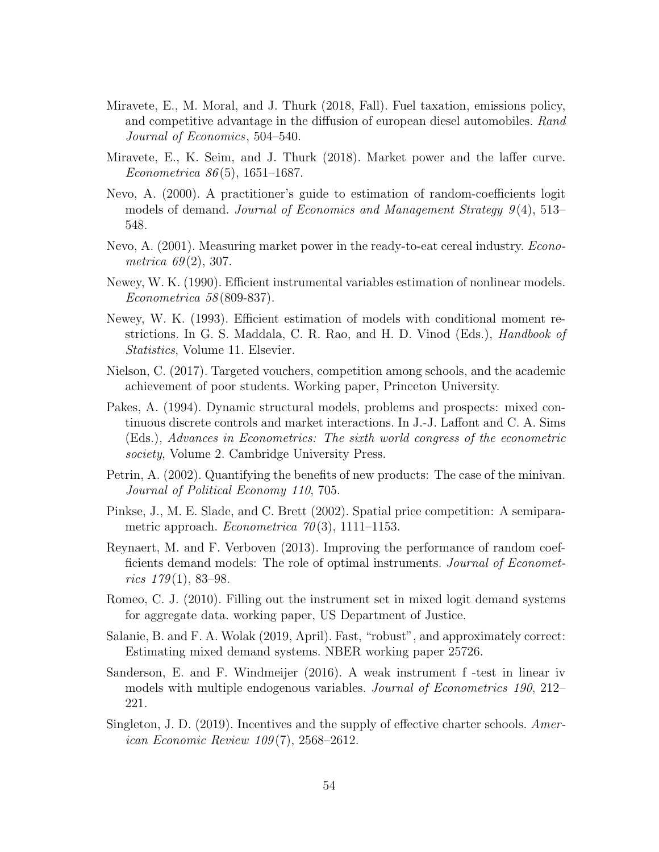- <span id="page-54-2"></span>Miravete, E., M. Moral, and J. Thurk (2018, Fall). Fuel taxation, emissions policy, and competitive advantage in the diffusion of european diesel automobiles. Rand Journal of Economics, 504–540.
- <span id="page-54-13"></span>Miravete, E., K. Seim, and J. Thurk (2018). Market power and the laffer curve. Econometrica 86(5), 1651–1687.
- <span id="page-54-14"></span>Nevo, A. (2000). A practitioner's guide to estimation of random-coefficients logit models of demand. Journal of Economics and Management Strategy 9(4), 513– 548.
- <span id="page-54-8"></span>Nevo, A. (2001). Measuring market power in the ready-to-eat cereal industry. Econometrica  $69(2)$ , 307.
- <span id="page-54-12"></span>Newey, W. K. (1990). Efficient instrumental variables estimation of nonlinear models. Econometrica 58 (809-837).
- <span id="page-54-10"></span>Newey, W. K. (1993). Efficient estimation of models with conditional moment restrictions. In G. S. Maddala, C. R. Rao, and H. D. Vinod (Eds.), Handbook of Statistics, Volume 11. Elsevier.
- <span id="page-54-0"></span>Nielson, C. (2017). Targeted vouchers, competition among schools, and the academic achievement of poor students. Working paper, Princeton University.
- <span id="page-54-9"></span>Pakes, A. (1994). Dynamic structural models, problems and prospects: mixed continuous discrete controls and market interactions. In J.-J. Laffont and C. A. Sims (Eds.), Advances in Econometrics: The sixth world congress of the econometric society, Volume 2. Cambridge University Press.
- <span id="page-54-1"></span>Petrin, A. (2002). Quantifying the benefits of new products: The case of the minivan. Journal of Political Economy 110, 705.
- <span id="page-54-7"></span>Pinkse, J., M. E. Slade, and C. Brett (2002). Spatial price competition: A semiparametric approach. *Econometrica*  $70(3)$ , 1111–1153.
- <span id="page-54-4"></span>Reynaert, M. and F. Verboven (2013). Improving the performance of random coefficients demand models: The role of optimal instruments. *Journal of Economet*rics  $179(1)$ , 83-98.
- <span id="page-54-6"></span>Romeo, C. J. (2010). Filling out the instrument set in mixed logit demand systems for aggregate data. working paper, US Department of Justice.
- <span id="page-54-5"></span>Salanie, B. and F. A. Wolak (2019, April). Fast, "robust", and approximately correct: Estimating mixed demand systems. NBER working paper 25726.
- <span id="page-54-11"></span>Sanderson, E. and F. Windmeijer (2016). A weak instrument f -test in linear iv models with multiple endogenous variables. Journal of Econometrics 190, 212– 221.
- <span id="page-54-3"></span>Singleton, J. D. (2019). Incentives and the supply of effective charter schools. American Economic Review 109 (7), 2568–2612.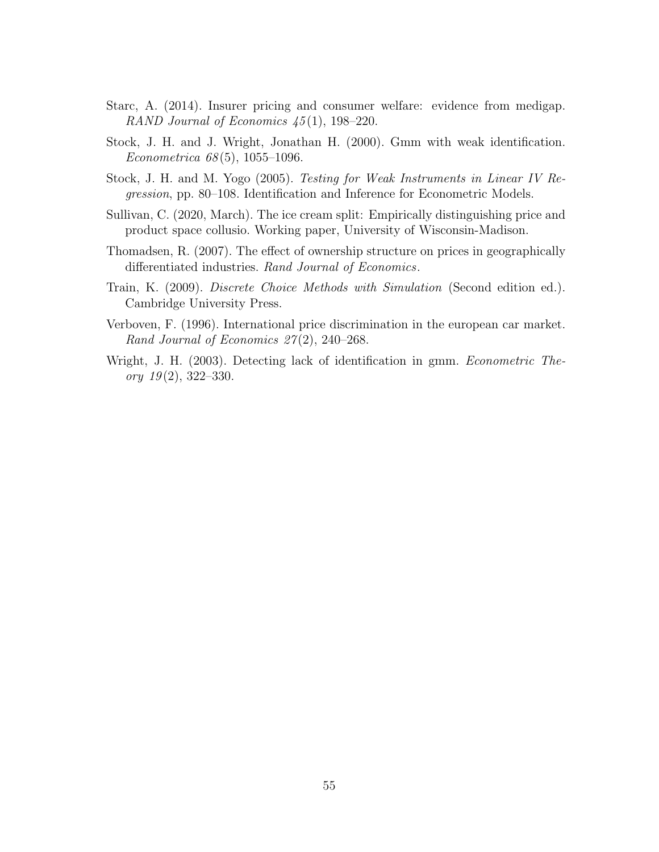- <span id="page-55-1"></span>Starc, A. (2014). Insurer pricing and consumer welfare: evidence from medigap. RAND Journal of Economics  $45(1)$ , 198-220.
- <span id="page-55-0"></span>Stock, J. H. and J. Wright, Jonathan H. (2000). Gmm with weak identification. Econometrica  $68(5)$ , 1055–1096.
- <span id="page-55-5"></span>Stock, J. H. and M. Yogo (2005). Testing for Weak Instruments in Linear IV Regression, pp. 80–108. Identification and Inference for Econometric Models.
- <span id="page-55-3"></span>Sullivan, C. (2020, March). The ice cream split: Empirically distinguishing price and product space collusio. Working paper, University of Wisconsin-Madison.
- <span id="page-55-4"></span>Thomadsen, R. (2007). The effect of ownership structure on prices in geographically differentiated industries. Rand Journal of Economics.
- <span id="page-55-6"></span>Train, K. (2009). Discrete Choice Methods with Simulation (Second edition ed.). Cambridge University Press.
- <span id="page-55-2"></span>Verboven, F. (1996). International price discrimination in the european car market. Rand Journal of Economics  $27(2)$ , 240–268.
- <span id="page-55-7"></span>Wright, J. H. (2003). Detecting lack of identification in gmm. *Econometric The*ory  $19(2)$ , 322-330.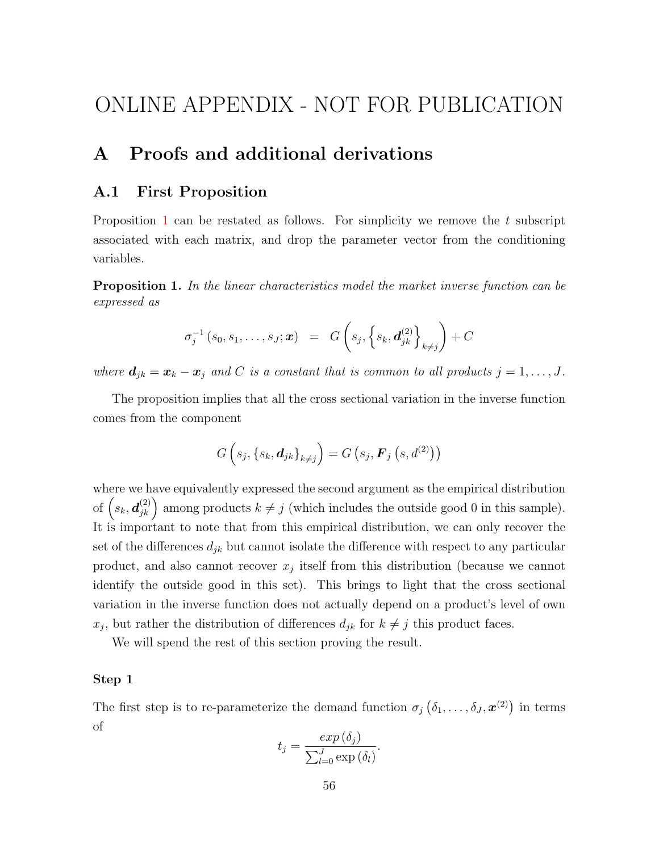# ONLINE APPENDIX - NOT FOR PUBLICATION

# <span id="page-56-0"></span>A Proofs and additional derivations

### A.1 First Proposition

Proposition [1](#page-11-1) can be restated as follows. For simplicity we remove the  $t$  subscript associated with each matrix, and drop the parameter vector from the conditioning variables.

Proposition 1. In the linear characteristics model the market inverse function can be expressed as

$$
\sigma_j^{-1}(s_0, s_1, \ldots, s_J; \bm{x}) = G\left(s_j, \left\{s_k, \bm{d}_{jk}^{(2)}\right\}_{k \neq j}\right) + C
$$

where  $d_{jk} = x_k - x_j$  and C is a constant that is common to all products  $j = 1, \ldots, J$ .

The proposition implies that all the cross sectional variation in the inverse function comes from the component

$$
G\left(s_j,\left\{s_k,\boldsymbol{d}_{jk}\right\}_{k\neq j}\right)=G\left(s_j,\boldsymbol{F}_j\left(s,d^{(2)}\right)\right)
$$

where we have equivalently expressed the second argument as the empirical distribution of  $(s_k, d_{jk}^{(2)})$  among products  $k \neq j$  (which includes the outside good 0 in this sample). It is important to note that from this empirical distribution, we can only recover the set of the differences  $d_{jk}$  but cannot isolate the difference with respect to any particular product, and also cannot recover  $x_j$  itself from this distribution (because we cannot identify the outside good in this set). This brings to light that the cross sectional variation in the inverse function does not actually depend on a product's level of own  $x_j$ , but rather the distribution of differences  $d_{jk}$  for  $k \neq j$  this product faces.

We will spend the rest of this section proving the result.

#### Step 1

The first step is to re-parameterize the demand function  $\sigma_j(\delta_1,\ldots,\delta_J,\mathbf{x}^{(2)})$  in terms of

$$
t_j = \frac{exp(\delta_j)}{\sum_{l=0}^J \exp(\delta_l)}.
$$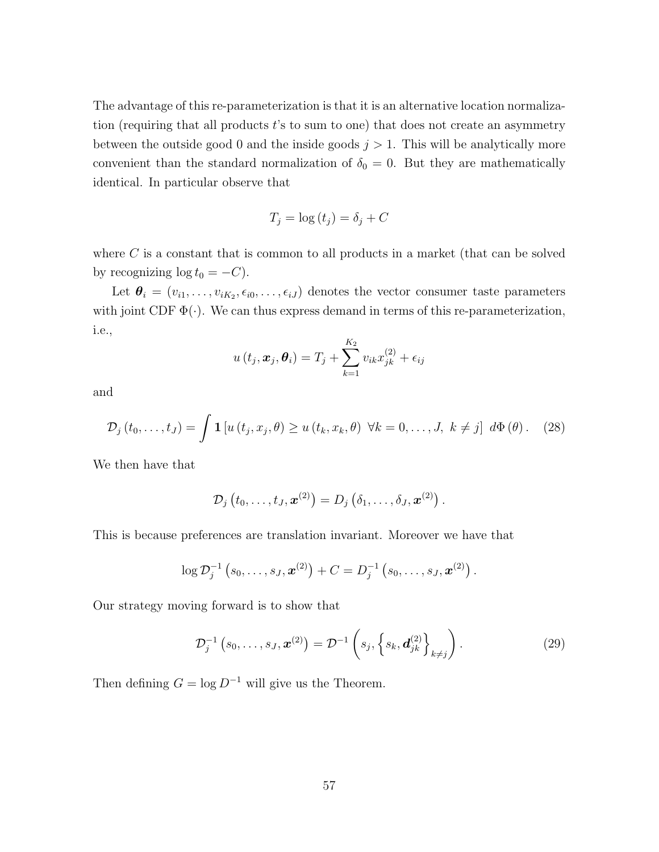The advantage of this re-parameterization is that it is an alternative location normalization (requiring that all products  $t$ 's to sum to one) that does not create an asymmetry between the outside good 0 and the inside goods  $j > 1$ . This will be analytically more convenient than the standard normalization of  $\delta_0 = 0$ . But they are mathematically identical. In particular observe that

$$
T_j = \log(t_j) = \delta_j + C
$$

where  $C$  is a constant that is common to all products in a market (that can be solved by recognizing  $log t_0 = -C$ ).

Let  $\bm{\theta}_i = (v_{i1}, \dots, v_{iK_2}, \epsilon_{i0}, \dots, \epsilon_{iJ})$  denotes the vector consumer taste parameters with joint CDF  $\Phi(\cdot)$ . We can thus express demand in terms of this re-parameterization, i.e.,

$$
u(t_j, \boldsymbol{x}_j, \boldsymbol{\theta}_i) = T_j + \sum_{k=1}^{K_2} v_{ik} x_{jk}^{(2)} + \epsilon_{ij}
$$

and

<span id="page-57-0"></span>
$$
\mathcal{D}_{j}\left(t_{0},\ldots,t_{J}\right)=\int \mathbf{1}\left[u\left(t_{j},x_{j},\theta\right)\geq u\left(t_{k},x_{k},\theta\right)\,\,\forall k=0,\ldots,J,\,\,k\neq j\right]\,\,d\Phi\left(\theta\right). \tag{28}
$$

We then have that

$$
\mathcal{D}_j\left(t_0,\ldots,t_J,\boldsymbol{x}^{(2)}\right)=D_j\left(\delta_1,\ldots,\delta_J,\boldsymbol{x}^{(2)}\right).
$$

This is because preferences are translation invariant. Moreover we have that

$$
\log \mathcal{D}_j^{-1}\left(s_0,\ldots,s_J, \boldsymbol{x}^{(2)}\right) + C = D_j^{-1}\left(s_0,\ldots,s_J, \boldsymbol{x}^{(2)}\right).
$$

Our strategy moving forward is to show that

<span id="page-57-1"></span>
$$
\mathcal{D}_j^{-1}\left(s_0,\ldots,s_J,\boldsymbol{x}^{(2)}\right) = \mathcal{D}^{-1}\left(s_j,\left\{s_k,\boldsymbol{d}_{jk}^{(2)}\right\}_{k\neq j}\right). \tag{29}
$$

Then defining  $G = \log D^{-1}$  will give us the Theorem.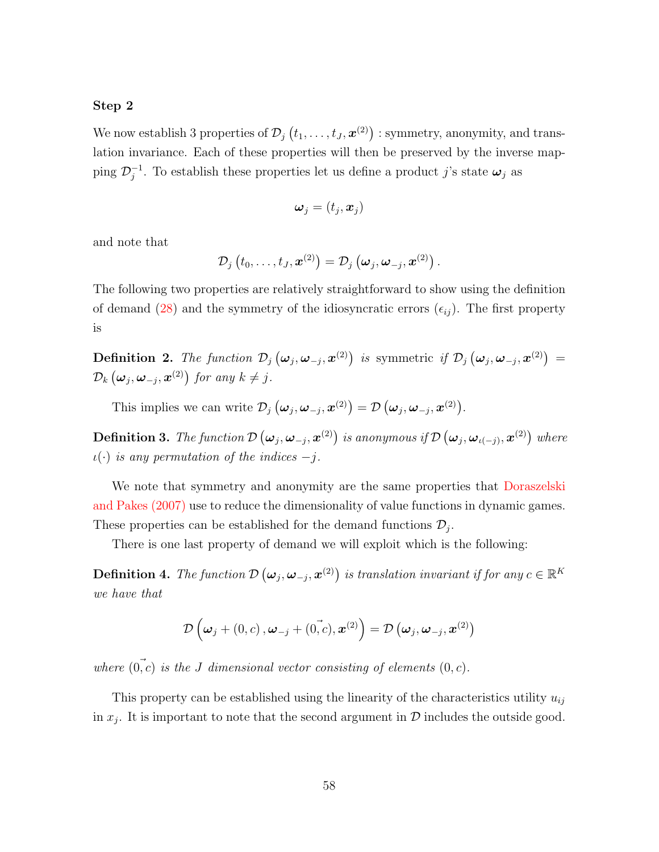#### Step 2

We now establish 3 properties of  $\mathcal{D}_j\left(t_1,\ldots,t_J,\boldsymbol{x}^{(2)}\right)$  : symmetry, anonymity, and translation invariance. Each of these properties will then be preserved by the inverse mapping  $\mathcal{D}_i^{-1}$  $j^{-1}$ . To establish these properties let us define a product j's state  $\boldsymbol{\omega}_j$  as

$$
\boldsymbol{\omega}_j=(t_j,\boldsymbol{x}_j)
$$

and note that

$$
\mathcal{D}_{j}\left(t_{0},\ldots,t_{J},\boldsymbol{x}^{\left(2\right)}\right)=\mathcal{D}_{j}\left(\boldsymbol{\omega}_{j},\boldsymbol{\omega}_{-j},\boldsymbol{x}^{\left(2\right)}\right).
$$

The following two properties are relatively straightforward to show using the definition of demand [\(28\)](#page-57-0) and the symmetry of the idiosyncratic errors  $(\epsilon_{ij})$ . The first property is

**Definition 2.** The function  $\mathcal{D}_j(\omega_j, \omega_{-j}, x^{(2)})$  is symmetric if  $\mathcal{D}_j(\omega_j, \omega_{-j}, x^{(2)}) =$  $\mathcal{D}_k\left(\boldsymbol{\omega}_j,\boldsymbol{\omega}_{-j},\boldsymbol{x}^{(2)}\right)$  for any  $k\neq j$ .

This implies we can write  $\mathcal{D}_j(\boldsymbol{\omega}_j, \boldsymbol{\omega}_{-j}, \boldsymbol{x}^{(2)}) = \mathcal{D}(\boldsymbol{\omega}_j, \boldsymbol{\omega}_{-j}, \boldsymbol{x}^{(2)})$ .

**Definition 3.** The function  $\mathcal{D} \left( \bm{\omega}_j, \bm{\omega}_{-j}, \bm{x}^{(2)} \right)$  is anonymous if  $\mathcal{D} \left( \bm{\omega}_j, \bm{\omega}_{\iota(-j)}, \bm{x}^{(2)} \right)$  where  $\iota(\cdot)$  is any permutation of the indices  $-j$ .

We note that symmetry and anonymity are the same properties that [Doraszelski](#page-53-12) [and Pakes \(2007\)](#page-53-12) use to reduce the dimensionality of value functions in dynamic games. These properties can be established for the demand functions  $\mathcal{D}_j$ .

There is one last property of demand we will exploit which is the following:

**Definition 4.** The function  $\mathcal{D}(\boldsymbol{\omega}_j, \boldsymbol{\omega}_{-j}, \boldsymbol{x}^{(2)})$  is translation invariant if for any  $c \in \mathbb{R}^K$ we have that

$$
\mathcal{D}\left({\boldsymbol{\omega}}_j + (0, c), {\boldsymbol{\omega}}_{-j} + (\vec{0, c}), {\boldsymbol{x}}^{(2)}\right) = \mathcal{D}\left({\boldsymbol{\omega}}_j, {\boldsymbol{\omega}}_{-j}, {\boldsymbol{x}}^{(2)}\right)
$$

where  $(0, c)$  is the J dimensional vector consisting of elements  $(0, c)$ .

This property can be established using the linearity of the characteristics utility  $u_{ij}$ in  $x_j$ . It is important to note that the second argument in  $\mathcal D$  includes the outside good.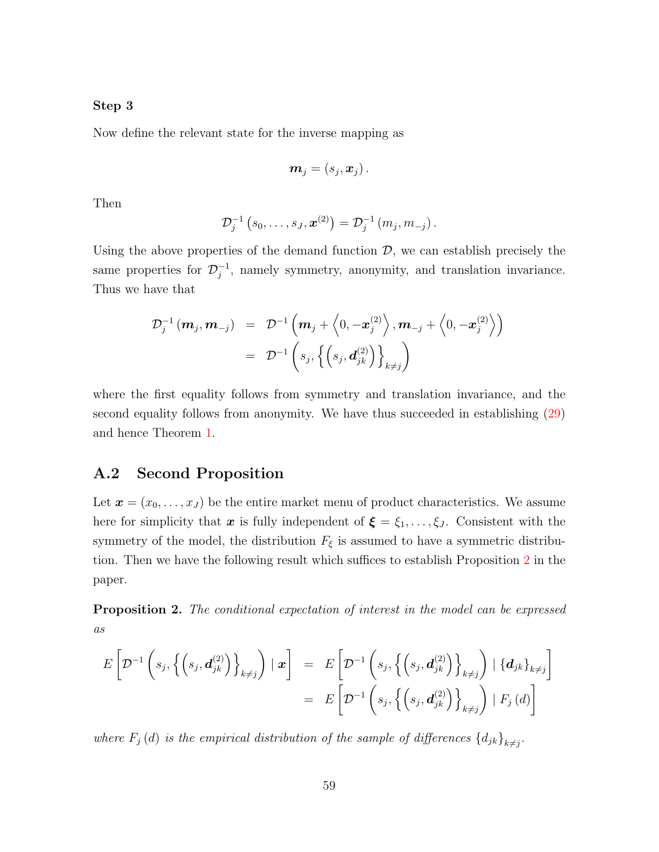#### Step 3

Now define the relevant state for the inverse mapping as

$$
\boldsymbol{m}_j=\left(s_j,\boldsymbol{x}_j\right).
$$

Then

$$
\mathcal{D}_j^{-1}\left(s_0,\ldots,s_J,\boldsymbol{x}^{(2)}\right)=\mathcal{D}_j^{-1}\left(m_j,m_{-j}\right).
$$

Using the above properties of the demand function  $\mathcal{D}$ , we can establish precisely the same properties for  $\mathcal{D}_i^{-1}$  $j^{-1}$ , namely symmetry, anonymity, and translation invariance. Thus we have that

$$
\mathcal{D}_j^{-1} \left( \mathbf{m}_j, \mathbf{m}_{-j} \right) = \mathcal{D}^{-1} \left( \mathbf{m}_j + \left\langle 0, -\mathbf{x}_j^{(2)} \right\rangle, \mathbf{m}_{-j} + \left\langle 0, -\mathbf{x}_j^{(2)} \right\rangle \right) \n= \mathcal{D}^{-1} \left( s_j, \left\{ \left( s_j, \mathbf{d}_{jk}^{(2)} \right) \right\}_{k \neq j} \right)
$$

where the first equality follows from symmetry and translation invariance, and the second equality follows from anonymity. We have thus succeeded in establishing [\(29\)](#page-57-1) and hence Theorem [1.](#page-11-1)

### A.2 Second Proposition

Let  $\mathbf{x} = (x_0, \ldots, x_J)$  be the entire market menu of product characteristics. We assume here for simplicity that x is fully independent of  $\xi = \xi_1, \ldots, \xi_J$ . Consistent with the symmetry of the model, the distribution  $F_{\xi}$  is assumed to have a symmetric distribution. Then we have the following result which suffices to establish Proposition [2](#page-12-2) in the paper.

Proposition 2. The conditional expectation of interest in the model can be expressed as

$$
E\left[\mathcal{D}^{-1}\left(s_j,\left\{\left(s_j,\boldsymbol{d}_{jk}^{(2)}\right)\right\}_{k\neq j}\right) \mid \boldsymbol{x}\right] = E\left[\mathcal{D}^{-1}\left(s_j,\left\{\left(s_j,\boldsymbol{d}_{jk}^{(2)}\right)\right\}_{k\neq j}\right) \mid \left\{\boldsymbol{d}_{jk}\right\}_{k\neq j}\right] = E\left[\mathcal{D}^{-1}\left(s_j,\left\{\left(s_j,\boldsymbol{d}_{jk}^{(2)}\right)\right\}_{k\neq j}\right) \mid F_j\left(\boldsymbol{d}\right)\right]
$$

where  $F_j(d)$  is the empirical distribution of the sample of differences  $\{d_{jk}\}_{k\neq j}$ .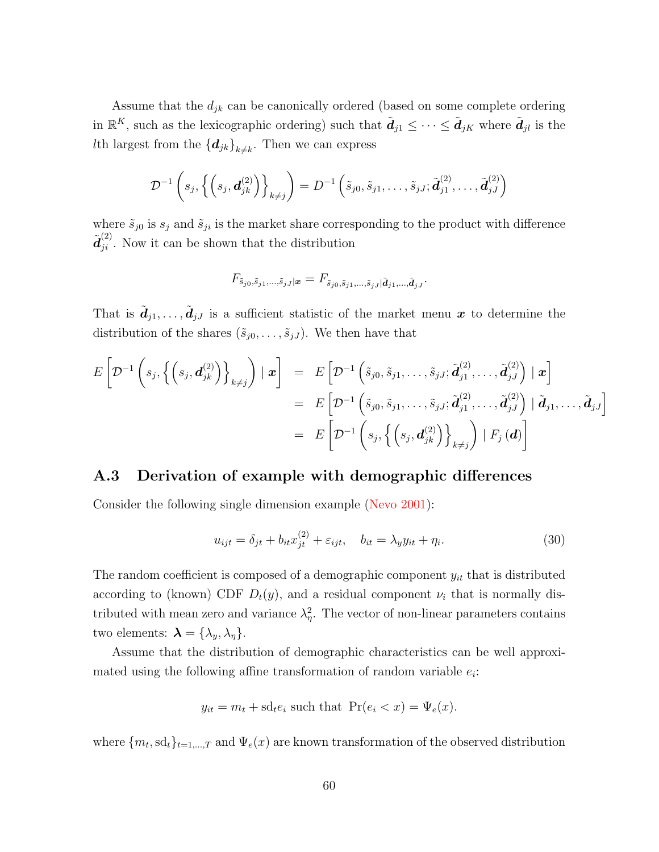Assume that the  $d_{jk}$  can be canonically ordered (based on some complete ordering in  $\mathbb{R}^K$ , such as the lexicographic ordering) such that  $\tilde{d}_{j1} \leq \cdots \leq \tilde{d}_{jK}$  where  $\tilde{d}_{jl}$  is the Ith largest from the  $\left\{\boldsymbol{d}_{jk}\right\}_{k\neq k}$ . Then we can express

$$
\mathcal{D}^{-1}\left(s_j,\left\{\left(s_j,\boldsymbol{d}_{jk}^{(2)}\right)\right\}_{k\neq j}\right)=D^{-1}\left(\tilde{s}_{j0},\tilde{s}_{j1},\ldots,\tilde{s}_{jJ};\tilde{\boldsymbol{d}}_{j1}^{(2)},\ldots,\tilde{\boldsymbol{d}}_{jJ}^{(2)}\right)
$$

where  $\tilde{s}_{j0}$  is  $s_j$  and  $\tilde{s}_{ji}$  is the market share corresponding to the product with difference  $\tilde{d}_{ji}^{(2)}$ . Now it can be shown that the distribution

$$
F_{\tilde s_{j0},\tilde s_{j1},...,\tilde s_{jJ}|\bm x} = F_{\tilde s_{j0},\tilde s_{j1},...,\tilde s_{jJ}|\tilde{\bm d}_{j1},...,\tilde{\bm d}_{jJ}}.
$$

That is  $\tilde{\bm{d}}_{j1}, \ldots, \tilde{\bm{d}}_{jJ}$  is a sufficient statistic of the market menu  $\bm{x}$  to determine the distribution of the shares  $(\tilde{s}_{j0}, \ldots, \tilde{s}_{jJ})$ . We then have that

$$
E\left[\mathcal{D}^{-1}\left(s_j,\left\{\left(s_j,\boldsymbol{d}_{jk}^{(2)}\right)\right\}_{k\neq j}\right) \mid \boldsymbol{x}\right] = E\left[\mathcal{D}^{-1}\left(\tilde{s}_{j0},\tilde{s}_{j1},\ldots,\tilde{s}_{jJ};\tilde{\boldsymbol{d}}_{j1}^{(2)},\ldots,\tilde{\boldsymbol{d}}_{jJ}^{(2)}\right) \mid \boldsymbol{x}\right] = E\left[\mathcal{D}^{-1}\left(\tilde{s}_{j0},\tilde{s}_{j1},\ldots,\tilde{s}_{jJ};\tilde{\boldsymbol{d}}_{j1}^{(2)},\ldots,\tilde{\boldsymbol{d}}_{jJ}^{(2)}\right) \mid \tilde{\boldsymbol{d}}_{j1},\ldots,\tilde{\boldsymbol{d}}_{jJ}\right] = E\left[\mathcal{D}^{-1}\left(s_j,\left\{\left(s_j,\boldsymbol{d}_{jk}^{(2)}\right)\right\}_{k\neq j}\right) \mid F_j\left(\boldsymbol{d}\right)\right]
$$

### <span id="page-60-0"></span>A.3 Derivation of example with demographic differences

Consider the following single dimension example [\(Nevo 2001\)](#page-54-8):

$$
u_{ijt} = \delta_{jt} + b_{it}x_{jt}^{(2)} + \varepsilon_{ijt}, \quad b_{it} = \lambda_y y_{it} + \eta_i.
$$
 (30)

The random coefficient is composed of a demographic component  $y_{it}$  that is distributed according to (known) CDF  $D_t(y)$ , and a residual component  $\nu_i$  that is normally distributed with mean zero and variance  $\lambda_{\eta}^2$ . The vector of non-linear parameters contains two elements:  $\boldsymbol{\lambda} = {\lambda_y, \lambda_\eta}.$ 

Assume that the distribution of demographic characteristics can be well approximated using the following affine transformation of random variable  $e_i$ :

$$
y_{it} = m_t + \mathrm{sd}_t e_i
$$
 such that  $\Pr(e_i < x) = \Psi_e(x)$ .

where  ${m_t, \mathrm{sd}_t}_{t=1,\dots,T}$  and  ${\Psi_e(x)}$  are known transformation of the observed distribution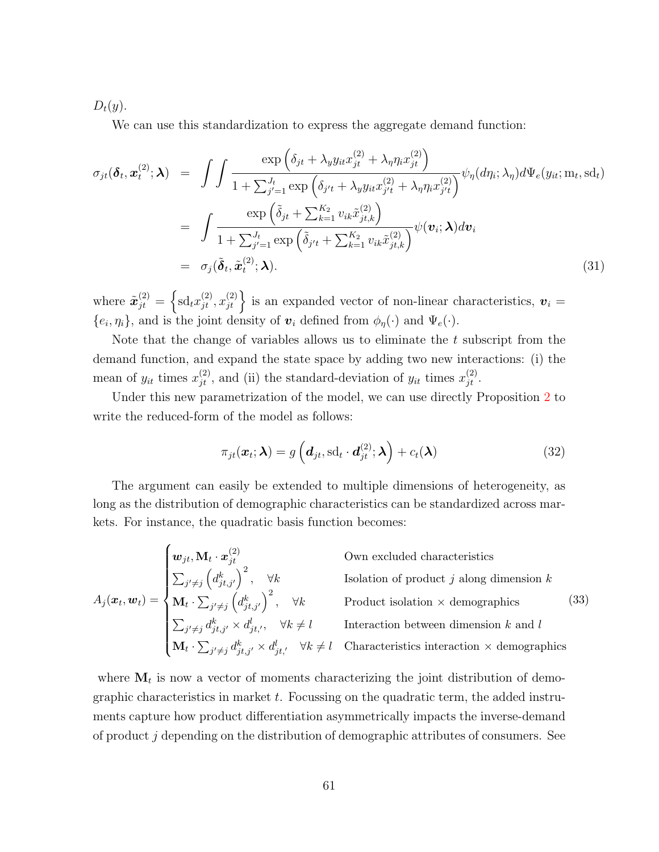$D_t(y)$ .

We can use this standardization to express the aggregate demand function:

$$
\sigma_{jt}(\boldsymbol{\delta}_t, \boldsymbol{x}_t^{(2)}; \boldsymbol{\lambda}) = \int \int \frac{\exp\left(\delta_{jt} + \lambda_y y_{it} x_{jt}^{(2)} + \lambda_\eta \eta_i x_{jt}^{(2)}\right)}{1 + \sum_{j'=1}^{J_t} \exp\left(\delta_{j't} + \lambda_y y_{it} x_{j't}^{(2)} + \lambda_\eta \eta_i x_{j't}^{(2)}\right)} \psi_\eta(d\eta_i; \lambda_\eta) d\Psi_e(y_{it}; \mathbf{m}_t, \mathbf{s} d_t)
$$
\n
$$
= \int \frac{\exp\left(\tilde{\delta}_{jt} + \sum_{k=1}^{K_2} v_{ik} \tilde{x}_{jt,k}^{(2)}\right)}{1 + \sum_{j'=1}^{J_t} \exp\left(\tilde{\delta}_{j't} + \sum_{k=1}^{K_2} v_{ik} \tilde{x}_{jt,k}^{(2)}\right)} \psi(\mathbf{v}_i; \boldsymbol{\lambda}) d\mathbf{v}_i
$$
\n
$$
= \sigma_j(\tilde{\boldsymbol{\delta}}_t, \tilde{\boldsymbol{x}}_t^{(2)}; \boldsymbol{\lambda}). \tag{31}
$$

where  $\tilde{\mathbf{x}}_{jt}^{(2)} = \left\{ \mathrm{sd}_t x_{jt}^{(2)}, x_{jt}^{(2)} \right\}$  is an expanded vector of non-linear characteristics,  $\mathbf{v}_i =$  $\{e_i, \eta_i\}$ , and is the joint density of  $\mathbf{v}_i$  defined from  $\phi_{\eta}(\cdot)$  and  $\Psi_{e}(\cdot)$ .

Note that the change of variables allows us to eliminate the  $t$  subscript from the demand function, and expand the state space by adding two new interactions: (i) the mean of  $y_{it}$  times  $x_{jt}^{(2)}$ , and (ii) the standard-deviation of  $y_{it}$  times  $x_{jt}^{(2)}$ .

Under this new parametrization of the model, we can use directly Proposition [2](#page-12-2) to write the reduced-form of the model as follows:

$$
\pi_{jt}(\boldsymbol{x}_t; \boldsymbol{\lambda}) = g\left(\boldsymbol{d}_{jt}, \mathrm{sd}_t \cdot \boldsymbol{d}_{jt}^{(2)}; \boldsymbol{\lambda}\right) + c_t(\boldsymbol{\lambda})
$$
\n(32)

The argument can easily be extended to multiple dimensions of heterogeneity, as long as the distribution of demographic characteristics can be standardized across markets. For instance, the quadratic basis function becomes:

<span id="page-61-0"></span> $A_j(\boldsymbol{x}_t, \boldsymbol{w}_t) =$  $\sqrt{ }$  $\begin{array}{c} \hline \end{array}$  $\overline{\phantom{a}}$  $\begin{array}{lll} \boldsymbol{w}_{jt}, \mathbf{M}_t \cdot \boldsymbol{x}_{jt}^{(2)} & \hspace*{2.5cm} \text{Own excluded characteristics} \end{array}$  $\sum_{j' \neq j} \left( d_{jt,j'}^{k} \right)^2$ ,  $\forall k$  Isolation of product j along dimension k  $\mathbf{M}_t \cdot \sum_{j' \neq j} \left( d_{jt,j'}^k \right)^2$ ,  $\forall k$  Product isolation  $\times$  demographics  $\sum_{j' \neq j} d_{jt,j'}^k \times d_{jt','}^l$ ,  $\forall k \neq l$  Interaction between dimension k and l  $\mathbf{M}_t \cdot \sum_{j' \neq j} d_{jt,j'}^k \times d_{jt'}^l$   $\forall k \neq l$  Characteristics interaction  $\times$  demographics (33)

where  $M_t$  is now a vector of moments characterizing the joint distribution of demois now a vector of moments characterizing the joint distribution of demographic characteristics in market  $t$ . Focussing on the quadratic term, the added instruments capture how product differentiation asymmetrically impacts the inverse-demand of product j depending on the distribution of demographic attributes of consumers. See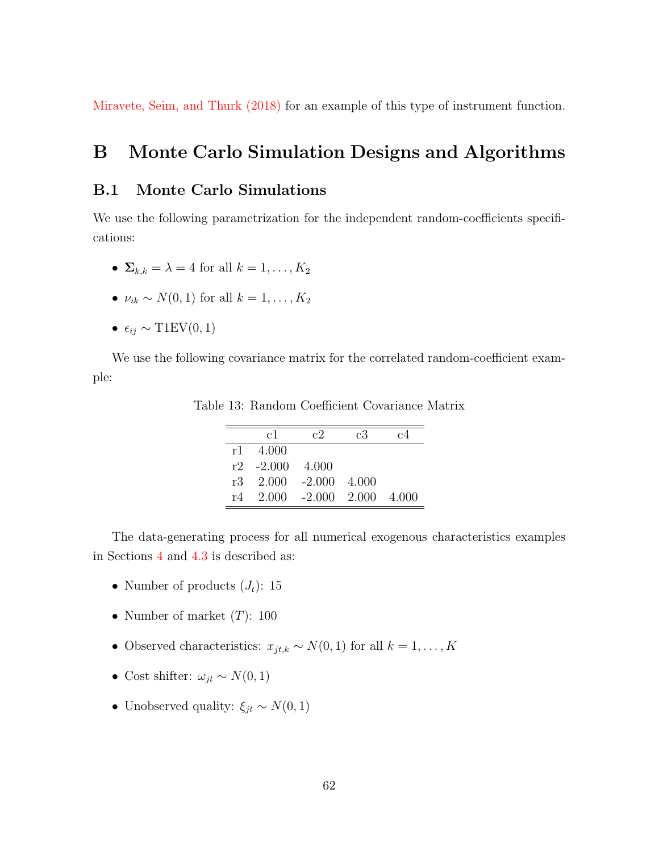[Miravete, Seim, and Thurk \(2018\)](#page-54-13) for an example of this type of instrument function.

## <span id="page-62-0"></span>B Monte Carlo Simulation Designs and Algorithms

### B.1 Monte Carlo Simulations

We use the following parametrization for the independent random-coefficients specifications:

- $\Sigma_{k,k} = \lambda = 4$  for all  $k = 1, \ldots, K_2$
- $\nu_{ik} \sim N(0, 1)$  for all  $k = 1, \ldots, K_2$
- $\epsilon_{ij} \sim \text{T1EV}(0, 1)$

<span id="page-62-1"></span>We use the following covariance matrix for the correlated random-coefficient example:

|      | c1                   | $c$ <sup>2</sup>                          | c3 | c4       |
|------|----------------------|-------------------------------------------|----|----------|
| r1 - | -4.000               |                                           |    |          |
|      | $r2 - 2.000 - 4.000$ |                                           |    |          |
|      |                      | $r3 \quad 2.000 \quad -2.000 \quad 4.000$ |    |          |
| r4.  |                      | $2.000 - 2.000 2.000$                     |    | $-4.000$ |

Table 13: Random Coefficient Covariance Matrix

The data-generating process for all numerical exogenous characteristics examples in Sections [4](#page-24-0) and [4.3](#page-33-2) is described as:

- Number of products  $(J_t)$ : 15
- Number of market  $(T)$ : 100
- Observed characteristics:  $x_{jt,k} \sim N(0, 1)$  for all  $k = 1, ..., K$
- Cost shifter:  $\omega_{jt} \sim N(0, 1)$
- Unobserved quality:  $\xi_{jt} \sim N(0, 1)$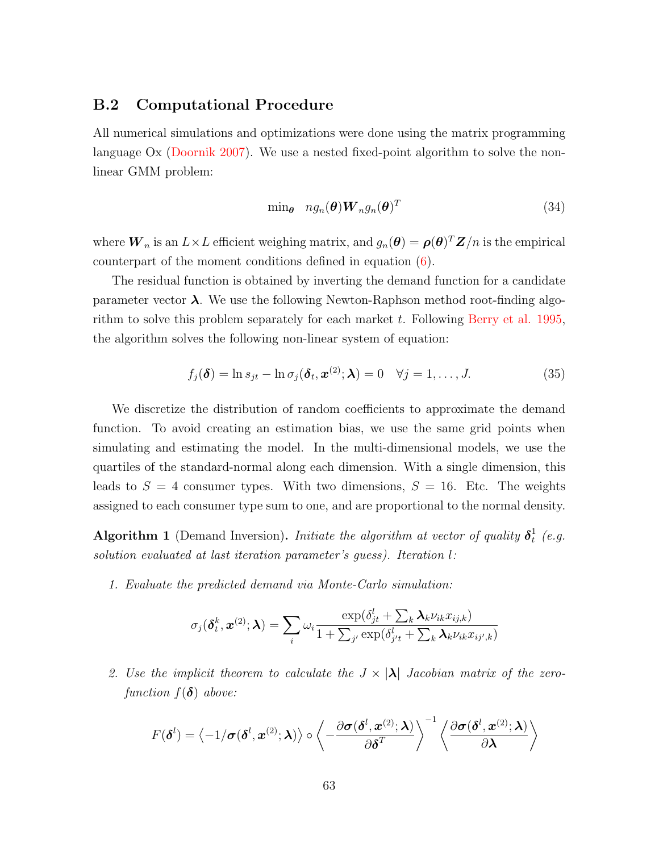#### <span id="page-63-0"></span>B.2 Computational Procedure

All numerical simulations and optimizations were done using the matrix programming language Ox [\(Doornik 2007\)](#page-53-13). We use a nested fixed-point algorithm to solve the nonlinear GMM problem:

$$
\min_{\theta} \quad n g_n(\theta) \boldsymbol{W}_n g_n(\theta)^T \tag{34}
$$

where  $\bm{W}_n$  is an  $L\times L$  efficient weighing matrix, and  $g_n(\bm{\theta})=\bm{\rho}(\bm{\theta})^T\bm{Z}/n$  is the empirical counterpart of the moment conditions defined in equation [\(6\)](#page-8-4).

The residual function is obtained by inverting the demand function for a candidate parameter vector  $\lambda$ . We use the following Newton-Raphson method root-finding algorithm to solve this problem separately for each market  $t$ . Following [Berry et al. 1995,](#page-51-1) the algorithm solves the following non-linear system of equation:

$$
f_j(\boldsymbol{\delta}) = \ln s_{jt} - \ln \sigma_j(\boldsymbol{\delta}_t, \boldsymbol{x}^{(2)}; \boldsymbol{\lambda}) = 0 \quad \forall j = 1, ..., J.
$$
 (35)

We discretize the distribution of random coefficients to approximate the demand function. To avoid creating an estimation bias, we use the same grid points when simulating and estimating the model. In the multi-dimensional models, we use the quartiles of the standard-normal along each dimension. With a single dimension, this leads to  $S = 4$  consumer types. With two dimensions,  $S = 16$ . Etc. The weights assigned to each consumer type sum to one, and are proportional to the normal density.

**Algorithm 1** (Demand Inversion). Initiate the algorithm at vector of quality  $\delta_t^1$  $\frac{1}{t}$  (e.g. solution evaluated at last iteration parameter's guess). Iteration l:

1. Evaluate the predicted demand via Monte-Carlo simulation:

$$
\sigma_j(\boldsymbol{\delta}_t^k, \boldsymbol{x}^{(2)}; \boldsymbol{\lambda}) = \sum_i \omega_i \frac{\exp(\delta_{jt}^l + \sum_k \boldsymbol{\lambda}_k \nu_{ik} x_{ij,k})}{1 + \sum_{j'} \exp(\delta_{j't}^l + \sum_k \boldsymbol{\lambda}_k \nu_{ik} x_{ij',k})}
$$

2. Use the implicit theorem to calculate the  $J \times |\lambda|$  Jacobian matrix of the zerofunction  $f(\boldsymbol{\delta})$  above:

$$
F(\boldsymbol{\delta}^{l}) = \left\langle -1/\boldsymbol{\sigma}(\boldsymbol{\delta}^{l}, \boldsymbol{x}^{(2)}; \boldsymbol{\lambda})\right\rangle \circ \left\langle -\frac{\partial \boldsymbol{\sigma}(\boldsymbol{\delta}^{l}, \boldsymbol{x}^{(2)}; \boldsymbol{\lambda})}{\partial \boldsymbol{\delta}^{T}} \right\rangle^{-1} \left\langle \frac{\partial \boldsymbol{\sigma}(\boldsymbol{\delta}^{l}, \boldsymbol{x}^{(2)}; \boldsymbol{\lambda})}{\partial \boldsymbol{\lambda}} \right\rangle
$$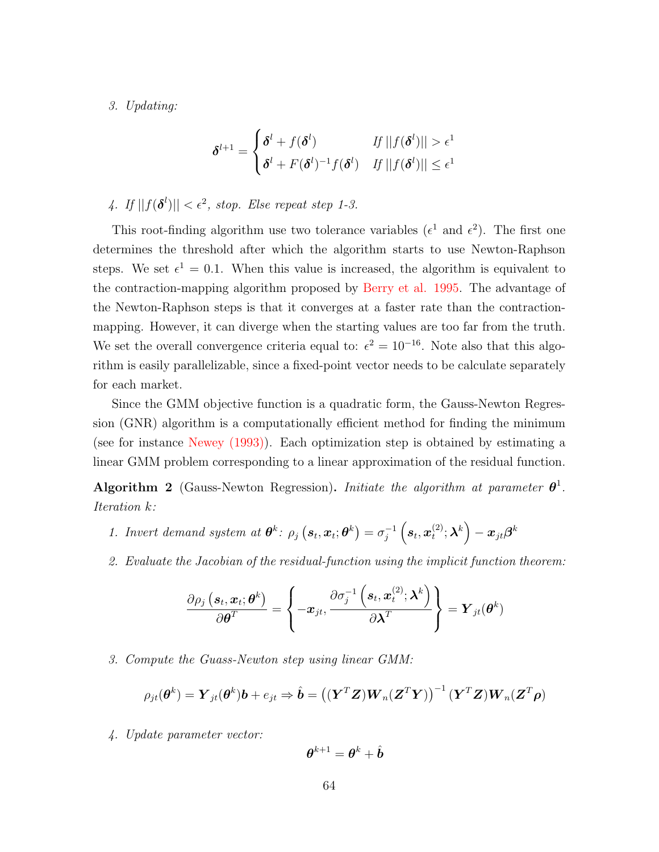3. Updating:

$$
\boldsymbol{\delta}^{l+1} = \begin{cases} \boldsymbol{\delta}^{l} + f(\boldsymbol{\delta}^{l}) & \textit{If } ||f(\boldsymbol{\delta}^{l})|| > \epsilon^{1} \\ \boldsymbol{\delta}^{l} + F(\boldsymbol{\delta}^{l})^{-1} f(\boldsymbol{\delta}^{l}) & \textit{If } ||f(\boldsymbol{\delta}^{l})|| \leq \epsilon^{1} \end{cases}
$$

4. If  $||f(\boldsymbol{\delta}^l)|| < \epsilon^2$ , stop. Else repeat step 1-3.

This root-finding algorithm use two tolerance variables ( $\epsilon^1$  and  $\epsilon^2$ ). The first one determines the threshold after which the algorithm starts to use Newton-Raphson steps. We set  $\epsilon^1 = 0.1$ . When this value is increased, the algorithm is equivalent to the contraction-mapping algorithm proposed by [Berry et al. 1995.](#page-51-1) The advantage of the Newton-Raphson steps is that it converges at a faster rate than the contractionmapping. However, it can diverge when the starting values are too far from the truth. We set the overall convergence criteria equal to:  $\epsilon^2 = 10^{-16}$ . Note also that this algorithm is easily parallelizable, since a fixed-point vector needs to be calculate separately for each market.

Since the GMM objective function is a quadratic form, the Gauss-Newton Regression (GNR) algorithm is a computationally efficient method for finding the minimum (see for instance [Newey \(1993\)\)](#page-54-10). Each optimization step is obtained by estimating a linear GMM problem corresponding to a linear approximation of the residual function.

Algorithm 2 (Gauss-Newton Regression). Initiate the algorithm at parameter  $\theta^1$ . Iteration k:

- 1. Invert demand system at  $\boldsymbol{\theta}^k$ :  $\rho_j(\boldsymbol{s}_t, \boldsymbol{x}_t; \boldsymbol{\theta}^k) = \sigma_j^{-1}$  $\frac{-1}{j}\left(\boldsymbol{s}_t,\boldsymbol{x}_t^{(2)}\right)$  $\left( \mathbf{x}^{(2)};\boldsymbol{\lambda}^{k}\right) -\boldsymbol{x}_{jt}\boldsymbol{\beta}^{k}$
- 2. Evaluate the Jacobian of the residual-function using the implicit function theorem:

$$
\frac{\partial \rho_j\left(\boldsymbol{s}_t,\boldsymbol{x}_t;\boldsymbol{\theta}^k\right)}{\partial \boldsymbol{\theta}^T} = \left\{-\boldsymbol{x}_{jt}, \frac{\partial \sigma_j^{-1}\left(\boldsymbol{s}_t,\boldsymbol{x}_t^{(2)};\boldsymbol{\lambda}^k\right)}{\partial \boldsymbol{\lambda}^T}\right\} = \boldsymbol{Y}_{jt}(\boldsymbol{\theta}^k)
$$

3. Compute the Guass-Newton step using linear GMM:

$$
\rho_{jt}(\boldsymbol{\theta}^k) = \boldsymbol{Y}_{jt}(\boldsymbol{\theta}^k)\boldsymbol{b} + e_{jt} \Rightarrow \hat{\boldsymbol{b}} = \left( (\boldsymbol{Y}^T\boldsymbol{Z})\boldsymbol{W}_n(\boldsymbol{Z}^T\boldsymbol{Y}) \right)^{-1} (\boldsymbol{Y}^T\boldsymbol{Z})\boldsymbol{W}_n(\boldsymbol{Z}^T\boldsymbol{\rho})
$$

4. Update parameter vector:

$$
\boldsymbol{\theta}^{k+1} = \boldsymbol{\theta}^k + \hat{\boldsymbol{b}}
$$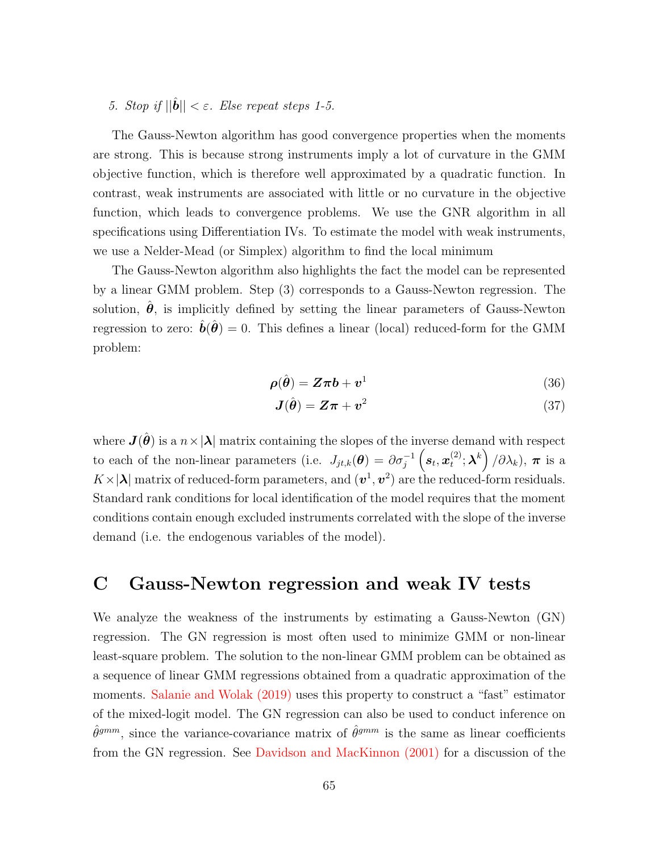### 5. Stop if  $||\hat{\boldsymbol{b}}|| < \varepsilon$ . Else repeat steps 1-5.

The Gauss-Newton algorithm has good convergence properties when the moments are strong. This is because strong instruments imply a lot of curvature in the GMM objective function, which is therefore well approximated by a quadratic function. In contrast, weak instruments are associated with little or no curvature in the objective function, which leads to convergence problems. We use the GNR algorithm in all specifications using Differentiation IVs. To estimate the model with weak instruments, we use a Nelder-Mead (or Simplex) algorithm to find the local minimum

The Gauss-Newton algorithm also highlights the fact the model can be represented by a linear GMM problem. Step (3) corresponds to a Gauss-Newton regression. The solution,  $\hat{\theta}$ , is implicitly defined by setting the linear parameters of Gauss-Newton regression to zero:  $\hat{b}(\hat{\theta}) = 0$ . This defines a linear (local) reduced-form for the GMM problem:

$$
\rho(\hat{\theta}) = Z\pi b + v^1 \tag{36}
$$

$$
\mathbf{J}(\hat{\boldsymbol{\theta}}) = \mathbf{Z}\boldsymbol{\pi} + \mathbf{v}^2 \tag{37}
$$

where  $J(\hat{\theta})$  is a  $n \times |\lambda|$  matrix containing the slopes of the inverse demand with respect to each of the non-linear parameters (i.e.  $J_{jt,k}(\theta) = \partial \sigma_j^{-1} \left(s_t, x_t^{(2)}\right)$  $\left( \begin{smallmatrix} (2)\ \ \, \end{smallmatrix} ; \boldsymbol{\lambda}^k \right)/\partial \lambda_k), \ \boldsymbol{\pi} \ \text{ is a }$  $K \times |\lambda|$  matrix of reduced-form parameters, and  $(v^1, v^2)$  are the reduced-form residuals. Standard rank conditions for local identification of the model requires that the moment conditions contain enough excluded instruments correlated with the slope of the inverse demand (i.e. the endogenous variables of the model).

# <span id="page-65-0"></span>C Gauss-Newton regression and weak IV tests

We analyze the weakness of the instruments by estimating a Gauss-Newton (GN) regression. The GN regression is most often used to minimize GMM or non-linear least-square problem. The solution to the non-linear GMM problem can be obtained as a sequence of linear GMM regressions obtained from a quadratic approximation of the moments. [Salanie and Wolak \(2019\)](#page-54-5) uses this property to construct a "fast" estimator of the mixed-logit model. The GN regression can also be used to conduct inference on  $\hat{\theta}^{gmm}$ , since the variance-covariance matrix of  $\hat{\theta}^{gmm}$  is the same as linear coefficients from the GN regression. See [Davidson and MacKinnon \(2001\)](#page-53-14) for a discussion of the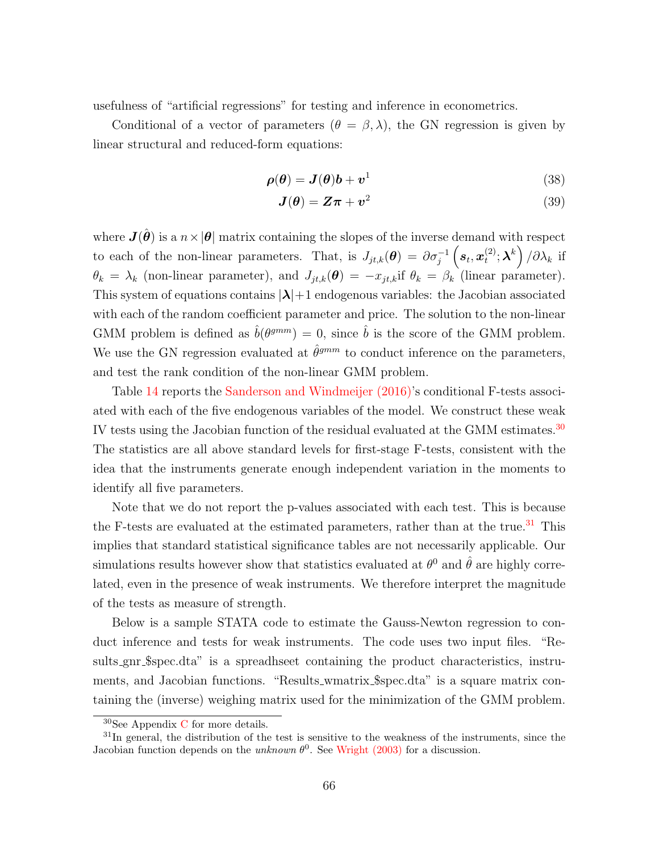usefulness of "artificial regressions" for testing and inference in econometrics.

Conditional of a vector of parameters  $(\theta = \beta, \lambda)$ , the GN regression is given by linear structural and reduced-form equations:

$$
\rho(\theta) = \mathbf{J}(\theta)\mathbf{b} + \mathbf{v}^1 \tag{38}
$$

$$
\mathbf{J}(\boldsymbol{\theta}) = \mathbf{Z}\boldsymbol{\pi} + \mathbf{v}^2 \tag{39}
$$

where  $J(\hat{\theta})$  is a  $n \times |\theta|$  matrix containing the slopes of the inverse demand with respect to each of the non-linear parameters. That, is  $J_{jt,k}(\theta) = \partial \sigma_j^{-1} \left(s_t, x_t^{(2)}\right)$  $\left( \begin{smallmatrix} (2)\ & t \end{smallmatrix} \right); \boldsymbol{\lambda}^k \bigg) / \partial \lambda_k$  if  $\theta_k = \lambda_k$  (non-linear parameter), and  $J_{jt,k}(\theta) = -x_{jt,k}$  if  $\theta_k = \beta_k$  (linear parameter). This system of equations contains  $|\lambda|+1$  endogenous variables: the Jacobian associated with each of the random coefficient parameter and price. The solution to the non-linear GMM problem is defined as  $\hat{b}(\theta^{gmm}) = 0$ , since  $\hat{b}$  is the score of the GMM problem. We use the GN regression evaluated at  $\hat{\theta}^{gmm}$  to conduct inference on the parameters, and test the rank condition of the non-linear GMM problem.

Table [14](#page-67-0) reports the [Sanderson and Windmeijer \(2016\)'](#page-54-11)s conditional F-tests associated with each of the five endogenous variables of the model. We construct these weak IV tests using the Jacobian function of the residual evaluated at the GMM estimates.<sup>[30](#page-66-0)</sup> The statistics are all above standard levels for first-stage F-tests, consistent with the idea that the instruments generate enough independent variation in the moments to identify all five parameters.

Note that we do not report the p-values associated with each test. This is because the F-tests are evaluated at the estimated parameters, rather than at the true.<sup>[31](#page-66-1)</sup> This implies that standard statistical significance tables are not necessarily applicable. Our simulations results however show that statistics evaluated at  $\theta^0$  and  $\hat{\theta}$  are highly correlated, even in the presence of weak instruments. We therefore interpret the magnitude of the tests as measure of strength.

Below is a sample STATA code to estimate the Gauss-Newton regression to conduct inference and tests for weak instruments. The code uses two input files. "Results gnr \$spec.dta" is a spreadhseet containing the product characteristics, instruments, and Jacobian functions. "Results\_wmatrix\_\$spec.dta" is a square matrix containing the (inverse) weighing matrix used for the minimization of the GMM problem.

<span id="page-66-1"></span><span id="page-66-0"></span><sup>30</sup>See Appendix [C](#page-65-0) for more details.

 $31$ In general, the distribution of the test is sensitive to the weakness of the instruments, since the Jacobian function depends on the unknown  $\theta^0$ . See [Wright \(2003\)](#page-55-7) for a discussion.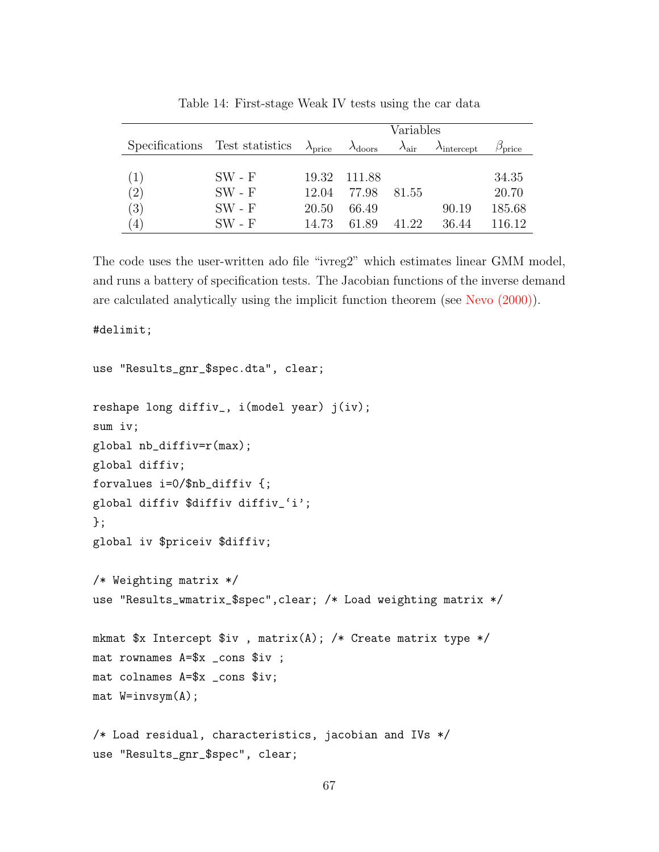<span id="page-67-0"></span>

|     |                                | Variables                |                          |                        |                              |                        |
|-----|--------------------------------|--------------------------|--------------------------|------------------------|------------------------------|------------------------|
|     | Specifications Test statistics | $\lambda_{\text{price}}$ | $\lambda_{\text{doors}}$ | $\lambda_{\text{air}}$ | $\lambda_{\text{intercept}}$ | $\beta_{\text{price}}$ |
|     |                                |                          |                          |                        |                              |                        |
| (1) | $SW - F$                       | 19.32                    | 111.88                   |                        |                              | 34.35                  |
| (2) | $SW - F$                       | 12.04                    | 77.98                    | 81.55                  |                              | 20.70                  |
| (3) | $SW - F$                       | 20.50                    | 66.49                    |                        | 90.19                        | 185.68                 |
| (4) | $SW - F$                       | 14.73                    | 61.89                    | 41.22                  | 36.44                        | 116.12                 |

Table 14: First-stage Weak IV tests using the car data

The code uses the user-written ado file "ivreg2" which estimates linear GMM model, and runs a battery of specification tests. The Jacobian functions of the inverse demand are calculated analytically using the implicit function theorem (see [Nevo \(2000\)\)](#page-54-14).

#delimit;

```
use "Results_gnr_$spec.dta", clear;
reshape long diffiv_, i(model year) j(iv);
sum iv;
global nb_diffiv=r(max);
global diffiv;
forvalues i=0/$nb_diffiv {;
global diffiv $diffiv diffiv_'i';
};
global iv $priceiv $diffiv;
/* Weighting matrix */
use "Results_wmatrix_$spec",clear; /* Load weighting matrix */
mkmat $x Intercept $iv , matrix(A); /* Create matrix type */
mat rownames A=$x _cons $iv ;
mat colnames A=$x _cons $iv;
mat W=invsym(A);
/* Load residual, characteristics, jacobian and IVs */
use "Results_gnr_$spec", clear;
```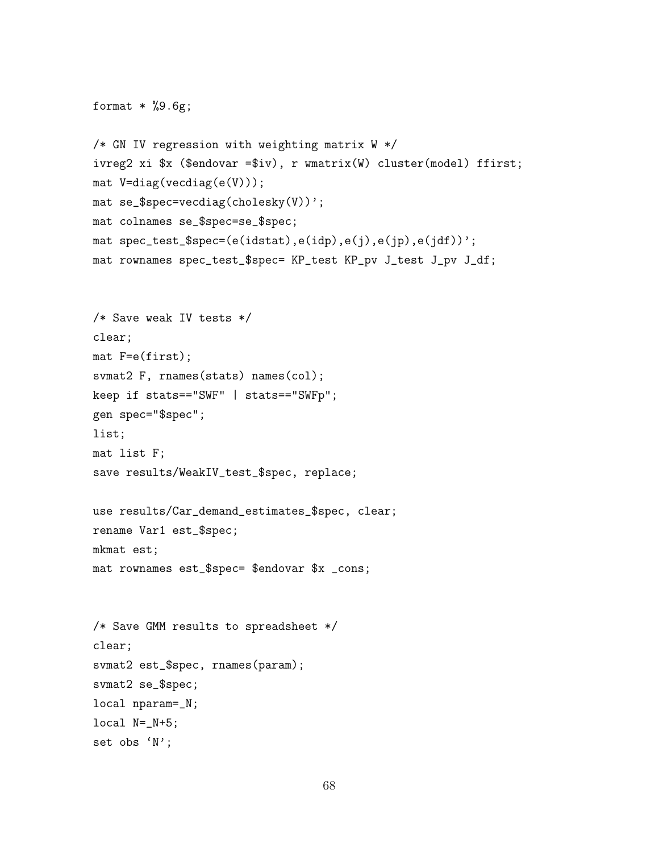```
format * %9.6g;
/* GN IV regression with weighting matrix W */
ivreg2 xi $x ($endovar =$iv), r wmatrix(W) cluster(model) ffirst;
mat V=diag(vecdiag(e(V)));
mat se_$spec=vecdiag(cholesky(V))';
mat colnames se_$spec=se_$spec;
mat spec_test_$spec=(e(idstat),e(idp),e(j),e(jp),e(jdf))';
mat rownames spec_test_$spec= KP_test KP_pv J_test J_pv J_df;
/* Save weak IV tests */
clear;
mat F=e(first);
svmat2 F, rnames(stats) names(col);
keep if stats=="SWF" | stats=="SWFp";
gen spec="$spec";
list;
mat list F;
save results/WeakIV_test_$spec, replace;
use results/Car_demand_estimates_$spec, clear;
rename Var1 est_$spec;
mkmat est;
mat rownames est_$spec= $endovar $x _cons;
/* Save GMM results to spreadsheet */
clear;
svmat2 est_$spec, rnames(param);
svmat2 se_$spec;
local nparam=_N;
local N=_N+5;
set obs 'N';
```